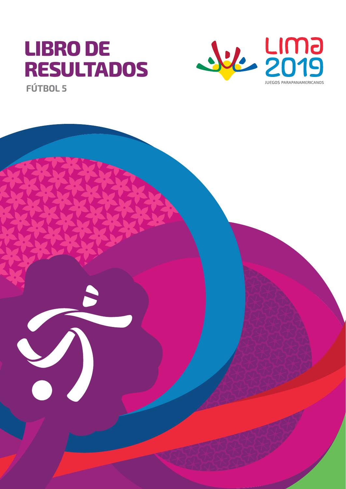# **LIBRO DE RESULTADOS**



**FÚTBOL 5**

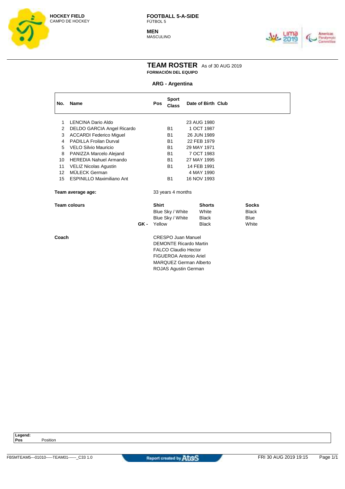

**MEN** MASCULINO



#### **TEAM ROSTER** As of 30 AUG 2019 **FORMACIÓN DEL EQUIPO**

#### **ARG - Argentina**

| No.   | Name                              |      | Pos                         | <b>Sport</b><br><b>Class</b>  | Date of Birth Club |               |  |              |  |
|-------|-----------------------------------|------|-----------------------------|-------------------------------|--------------------|---------------|--|--------------|--|
| 1     | LENCINA Dario Aldo                |      |                             |                               | 23 AUG 1980        |               |  |              |  |
| 2     | <b>DELDO GARCIA Angel Ricardo</b> |      |                             | B1                            | 1 OCT 1987         |               |  |              |  |
| 3     | <b>ACCARDI Federico Miguel</b>    |      |                             | B1                            | 26 JUN 1989        |               |  |              |  |
| 4     | <b>PADILLA Froilan Durval</b>     |      |                             | <b>B1</b>                     | 22 FEB 1979        |               |  |              |  |
| 5     | VELO Silvio Mauricio              |      |                             | B1                            | 29 MAY 1971        |               |  |              |  |
| 8     | PANIZZA Marcelo Alejand           |      |                             | <b>B1</b>                     | 7 OCT 1983         |               |  |              |  |
| 10    | <b>HEREDIA Nahuel Armando</b>     |      |                             | <b>B1</b>                     | 27 MAY 1995        |               |  |              |  |
| 11    | <b>VELIZ Nicolas Agustin</b>      |      |                             | B1                            | 14 FEB 1991        |               |  |              |  |
| 12    | MÜLECK German                     |      |                             |                               | 4 MAY 1990         |               |  |              |  |
| 15    | <b>ESPINILLO Maximiliano Ant</b>  |      |                             | <b>B1</b>                     | 16 NOV 1993        |               |  |              |  |
|       | Team average age:                 |      |                             | 33 years 4 months             |                    |               |  |              |  |
|       | <b>Team colours</b>               |      | <b>Shirt</b>                |                               |                    | <b>Shorts</b> |  | <b>Socks</b> |  |
|       |                                   |      |                             | Blue Sky / White              |                    | White         |  | <b>Black</b> |  |
|       |                                   |      |                             | Blue Sky / White              |                    | <b>Black</b>  |  | <b>Blue</b>  |  |
|       |                                   | GK - | Yellow                      |                               |                    | <b>Black</b>  |  | White        |  |
| Coach |                                   |      |                             | <b>CRESPO Juan Manuel</b>     |                    |               |  |              |  |
|       |                                   |      |                             | <b>DEMONTE Ricardo Martin</b> |                    |               |  |              |  |
|       |                                   |      | <b>FALCO Claudio Hector</b> |                               |                    |               |  |              |  |
|       |                                   |      |                             | <b>FIGUEROA Antonio Ariel</b> |                    |               |  |              |  |
|       |                                   |      |                             | <b>MARQUEZ German Alberto</b> |                    |               |  |              |  |
|       |                                   |      |                             | <b>ROJAS Agustin German</b>   |                    |               |  |              |  |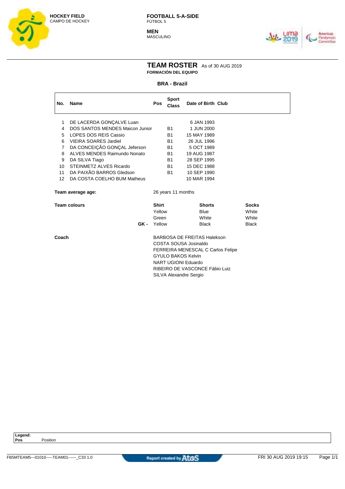

**MEN MASCULINO** 



#### **TEAM ROSTER** As of 30 AUG 2019 **FORMACIÓN DEL EQUIPO**

#### **BRA - Brazil**

| No.               | <b>Name</b>                     | Pos                                | <b>Sport</b><br><b>Class</b> | Date of Birth Club |  |              |  |
|-------------------|---------------------------------|------------------------------------|------------------------------|--------------------|--|--------------|--|
| 1                 | DE LACERDA GONÇALVE Luan        |                                    |                              | 6 JAN 1993         |  |              |  |
| 4                 | DOS SANTOS MENDES Maicon Junior |                                    | B1                           | 1 JUN 2000         |  |              |  |
| 5                 | LOPES DOS REIS Cassio           |                                    | <b>B1</b>                    | 15 MAY 1989        |  |              |  |
| 6                 | <b>VIEIRA SOARES Jardiel</b>    |                                    | B1                           | 26 JUL 1996        |  |              |  |
| $\overline{7}$    | DA CONCEIÇÃO GONÇAL Jeferson    |                                    | B1                           | 5 OCT 1989         |  |              |  |
| 8                 | ALVES MENDES Raimundo Nonato    |                                    | B <sub>1</sub>               | 19 AUG 1987        |  |              |  |
| 9                 | DA SILVA Tiago                  |                                    | B <sub>1</sub>               | 28 SEP 1995        |  |              |  |
| 10                | STEINMETZ ALVES Ricardo         |                                    | <b>B1</b>                    | 15 DEC 1988        |  |              |  |
| 11                | DA PAIXÃO BARROS Gledson        |                                    | B <sub>1</sub>               | 10 SEP 1990        |  |              |  |
| 12 <sup>°</sup>   | DA COSTA COELHO BUM Matheus     |                                    |                              | 10 MAR 1994        |  |              |  |
| Team average age: |                                 |                                    | 26 years 11 months           |                    |  |              |  |
|                   | <b>Team colours</b>             | <b>Shirt</b>                       |                              | <b>Shorts</b>      |  | <b>Socks</b> |  |
|                   |                                 | Yellow                             |                              | <b>Blue</b>        |  | White        |  |
|                   |                                 | Green                              |                              | White              |  | White        |  |
|                   | GK -                            | Yellow                             |                              | <b>Black</b>       |  | <b>Black</b> |  |
| Coach             |                                 | <b>BARBOSA DE FREITAS Halekson</b> |                              |                    |  |              |  |

COSTA SOUSA Josinaldo FERREIRA MENESCAL C Carlos Felipe GYULO BAKOS Kelvin NART UGIONI Eduardo RIBEIRO DE VASCONCE Fábio Luiz SILVA Alexandre Sergio

**Legend:**

**Pos** Position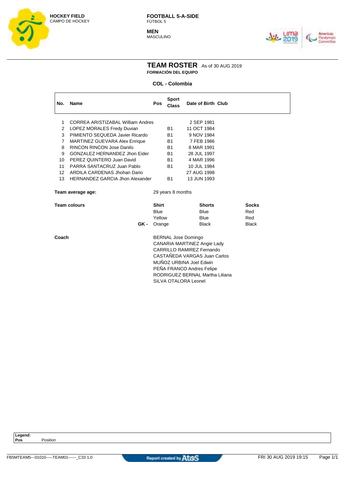

**MEN** MASCULINO



#### **TEAM ROSTER** As of 30 AUG 2019 **FORMACIÓN DEL EQUIPO**

#### **COL - Colombia**

| No.               | Name                                   | Pos               | <b>Sport</b><br><b>Class</b>                                                                                                                      | Date of Birth Club |  |              |  |  |
|-------------------|----------------------------------------|-------------------|---------------------------------------------------------------------------------------------------------------------------------------------------|--------------------|--|--------------|--|--|
| 1                 | CORREA ARISTIZABAL William Andres      |                   |                                                                                                                                                   | 2 SEP 1981         |  |              |  |  |
| 2                 | <b>LOPEZ MORALES Fredy Duvian</b>      |                   | <b>B1</b>                                                                                                                                         | 11 OCT 1984        |  |              |  |  |
| 3                 | PIMIENTO SEQUEDA Javier Ricardo        |                   | <b>B1</b>                                                                                                                                         | 9 NOV 1984         |  |              |  |  |
| 7                 | MARTINEZ GUEVARA Alex Enrique          |                   | <b>B1</b>                                                                                                                                         | 7 FEB 1986         |  |              |  |  |
| 8                 | RINCON RINCON Jose Danilo              |                   | <b>B1</b>                                                                                                                                         | 8 MAR 1991         |  |              |  |  |
| 9                 | GONZALEZ HERNANDEZ Jhon Eider          |                   | <b>B1</b>                                                                                                                                         | 28 JUL 1997        |  |              |  |  |
| 10                | PEREZ QUINTERO Juan David              |                   | <b>B1</b>                                                                                                                                         | 4 MAR 1996         |  |              |  |  |
| 11                | PARRA SANTACRUZ Juan Pablo             |                   | <b>B1</b>                                                                                                                                         | 10 JUL 1984        |  |              |  |  |
| $12 \overline{ }$ | ARDILA CARDENAS Jhohan Dario           |                   |                                                                                                                                                   | 27 AUG 1998        |  |              |  |  |
| 13                | <b>HERNANDEZ GARCIA Jhon Alexander</b> |                   | <b>B1</b>                                                                                                                                         | 13 JUN 1993        |  |              |  |  |
|                   | Team average age:                      | 29 years 8 months |                                                                                                                                                   |                    |  |              |  |  |
|                   | <b>Team colours</b>                    | <b>Shirt</b>      |                                                                                                                                                   | <b>Shorts</b>      |  | <b>Socks</b> |  |  |
|                   |                                        | <b>Blue</b>       |                                                                                                                                                   | <b>Blue</b>        |  | Red          |  |  |
|                   |                                        | Yellow            |                                                                                                                                                   | <b>Blue</b>        |  | Red          |  |  |
|                   | GK -                                   | Orange            |                                                                                                                                                   | <b>Black</b>       |  | <b>Black</b> |  |  |
| Coach             |                                        |                   | <b>BERNAL Jose Domingo</b><br>CANARIA MARTINEZ Angie Lady<br>CARRILLO RAMIREZ Fernando<br>CASTAÑEDA VARGAS Juan Carlos<br>MUÑOZ URBINA Joel Edwin |                    |  |              |  |  |

PEÑA FRANCO Andres Felipe RODRIGUEZ BERNAL Martha Liliana

SILVA OTALORA Leonel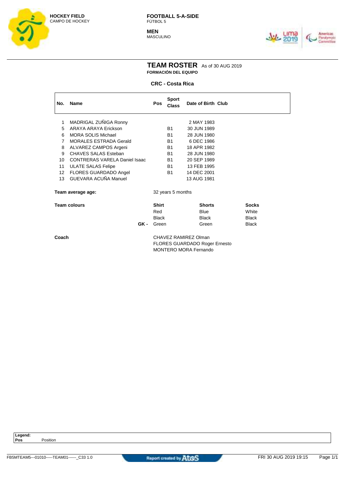

**MEN** MASCULINO



#### **TEAM ROSTER** As of 30 AUG 2019 **FORMACIÓN DEL EQUIPO**

#### **CRC - Costa Rica**

| <b>Name</b>                   | <b>Pos</b>                                                                                                                                                              | <b>Sport</b><br><b>Class</b> |                                                                                                                        |                   |                                                                                                                                                                                                           |                    |                       |
|-------------------------------|-------------------------------------------------------------------------------------------------------------------------------------------------------------------------|------------------------------|------------------------------------------------------------------------------------------------------------------------|-------------------|-----------------------------------------------------------------------------------------------------------------------------------------------------------------------------------------------------------|--------------------|-----------------------|
| MADRIGAL ZUÑIGA Ronny         |                                                                                                                                                                         |                              |                                                                                                                        |                   |                                                                                                                                                                                                           |                    |                       |
|                               |                                                                                                                                                                         |                              |                                                                                                                        |                   |                                                                                                                                                                                                           |                    |                       |
| <b>MORALES ESTRADA Gerald</b> |                                                                                                                                                                         | B <sub>1</sub>               |                                                                                                                        |                   |                                                                                                                                                                                                           |                    |                       |
| ALVAREZ CAMPOS Argeni         |                                                                                                                                                                         | <b>B1</b>                    |                                                                                                                        |                   |                                                                                                                                                                                                           |                    |                       |
|                               |                                                                                                                                                                         |                              |                                                                                                                        |                   |                                                                                                                                                                                                           |                    |                       |
|                               |                                                                                                                                                                         |                              |                                                                                                                        |                   |                                                                                                                                                                                                           |                    |                       |
|                               |                                                                                                                                                                         |                              |                                                                                                                        |                   |                                                                                                                                                                                                           |                    |                       |
| GUEVARA ACUÑA Manuel          |                                                                                                                                                                         |                              |                                                                                                                        |                   |                                                                                                                                                                                                           |                    |                       |
| Team average age:             |                                                                                                                                                                         |                              |                                                                                                                        |                   |                                                                                                                                                                                                           |                    |                       |
| Team colours                  |                                                                                                                                                                         |                              |                                                                                                                        |                   |                                                                                                                                                                                                           | <b>Socks</b>       |                       |
|                               |                                                                                                                                                                         |                              |                                                                                                                        |                   |                                                                                                                                                                                                           |                    |                       |
| GK -                          |                                                                                                                                                                         |                              |                                                                                                                        |                   |                                                                                                                                                                                                           | <b>Black</b>       |                       |
|                               | ARAYA ARAYA Frickson<br><b>MORA SOLIS Michael</b><br>CHAVES SALAS Esteban<br><b>CONTRERAS VARELA Daniel Isaac</b><br><b>ULATE SALAS Felipe</b><br>FLORES GUARDADO Angel | Red                          | B1<br>B <sub>1</sub><br><b>B1</b><br>B <sub>1</sub><br><b>B1</b><br><b>B1</b><br><b>Shirt</b><br><b>Black</b><br>Green | 32 years 5 months | 2 MAY 1983<br>30 JUN 1989<br>28 JUN 1980<br>6 DEC 1986<br>18 APR 1982<br>28 JUN 1980<br>20 SEP 1989<br>13 FEB 1995<br>14 DEC 2001<br>13 AUG 1981<br><b>Shorts</b><br><b>Blue</b><br><b>Black</b><br>Green | Date of Birth Club | White<br><b>Black</b> |

**Coach** COACH CHAVEZ RAMIREZ Olman FLORES GUARDADO Roger Ernesto MONTERO MORA Fernando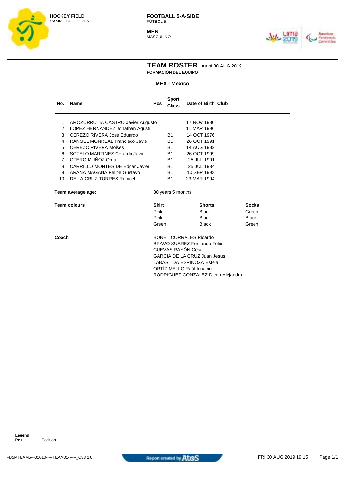

**MEN** MASCULINO



#### **TEAM ROSTER** As of 30 AUG 2019 **FORMACIÓN DEL EQUIPO**

#### **MEX - Mexico**

| No.             | Name                              | <b>Pos</b>                          | <b>Sport</b><br><b>Class</b> | Date of Birth Club            |  |              |  |  |
|-----------------|-----------------------------------|-------------------------------------|------------------------------|-------------------------------|--|--------------|--|--|
| 1.              | AMOZURRUTIA CASTRO Javier Augusto |                                     |                              | 17 NOV 1980                   |  |              |  |  |
| 2               | LOPEZ HERNANDEZ Jonathan Agustí   |                                     |                              | 11 MAR 1996                   |  |              |  |  |
| 3               | CEREZO RIVERA Jose Eduardo        |                                     | <b>B1</b>                    | 14 OCT 1976                   |  |              |  |  |
| 4               | RANGEL MONREAL Francisco Javie    |                                     | <b>B1</b>                    | 26 OCT 1991                   |  |              |  |  |
| 5               | <b>CEREZO RIVERA Moises</b>       |                                     | <b>B1</b>                    | 14 AUG 1982                   |  |              |  |  |
| 6               | SOTELO MARTINEZ Gerardo Javier    |                                     | <b>B1</b>                    | 26 OCT 1999                   |  |              |  |  |
| $\overline{7}$  | OTERO MUÑOZ Omar                  |                                     | <b>B1</b>                    | 25 JUL 1991                   |  |              |  |  |
| 8               | CARRILLO MONTES DE Edgar Javier   |                                     | <b>B1</b>                    | 25 JUL 1984                   |  |              |  |  |
| 9               | ARANA MAGAÑA Felipe Gustavo       |                                     | <b>B1</b>                    | 10 SEP 1993                   |  |              |  |  |
| 10 <sup>1</sup> | DE LA CRUZ TORRES Rubicel         |                                     | <b>B1</b>                    | 23 MAR 1994                   |  |              |  |  |
|                 | Team average age:                 |                                     | 30 years 5 months            |                               |  |              |  |  |
|                 | <b>Team colours</b>               | <b>Shirt</b>                        |                              | <b>Shorts</b>                 |  | <b>Socks</b> |  |  |
|                 |                                   | Pink                                |                              | <b>Black</b>                  |  | Green        |  |  |
|                 |                                   | Pink                                |                              | <b>Black</b>                  |  | <b>Black</b> |  |  |
|                 |                                   | Green                               |                              | <b>Black</b>                  |  | Green        |  |  |
| Coach           |                                   |                                     |                              | <b>BONET CORRALES Ricardo</b> |  |              |  |  |
|                 |                                   |                                     |                              | BRAVO SUAREZ Fernando Felix   |  |              |  |  |
|                 |                                   | CUEVAS RAYÓN César                  |                              |                               |  |              |  |  |
|                 |                                   | <b>GARCIA DE LA CRUZ Juan Jesus</b> |                              |                               |  |              |  |  |
|                 |                                   |                                     | LABASTIDA ESPINOZA Estela    |                               |  |              |  |  |

ORTÍZ MELLO Raúl Ignacio

RODRÍGUEZ GONZÁLEZ Diego Alejandro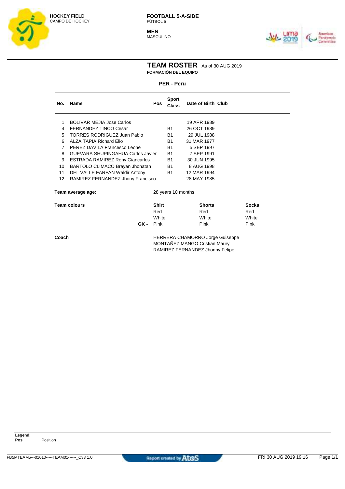

**MEN MASCULINO** 



#### **TEAM ROSTER** As of 30 AUG 2019 **FORMACIÓN DEL EQUIPO**

#### **PER - Peru**

| No. | <b>Name</b>                            | <b>Pos</b> | <b>Sport</b><br>Class | Date of Birth Club                    |                             |
|-----|----------------------------------------|------------|-----------------------|---------------------------------------|-----------------------------|
|     | <b>BOLIVAR MEJIA Jose Carlos</b>       |            |                       | 19 APR 1989                           |                             |
|     |                                        |            |                       |                                       |                             |
| 4   | <b>FERNANDEZ TINCO Cesar</b>           |            | <b>B1</b>             | 26 OCT 1989                           |                             |
| 5   | <b>TORRES RODRIGUEZ Juan Pablo</b>     |            | B1                    | 29 JUL 1988                           |                             |
| 6   | ALZA TAPIA Richard Elio                |            | <b>B1</b>             | 31 MAR 1977                           |                             |
| 7   | PEREZ DAVILA Francesco Leone           |            | B1                    | 5 SEP 1997                            |                             |
| 8   | GUEVARA SHUPINGAHUA Carlos Javier      |            | <b>B1</b>             | 7 SEP 1991                            |                             |
| 9   | <b>ESTRADA RAMIREZ Rony Giancarlos</b> |            | <b>B1</b>             | 30 JUN 1995                           |                             |
| 10  | BARTOLO CLIMACO Brayan Jhonatan        |            | B1                    | 8 AUG 1998                            |                             |
| 11  | DEL VALLE FARFAN Waldir Antony         |            | <b>B1</b>             | 12 MAR 1994                           |                             |
| 12  | RAMIREZ FERNANDEZ Jhony Francisco      |            |                       | 28 MAY 1985                           |                             |
|     | Team average age:                      |            | 28 years 10 months    |                                       |                             |
|     | 7. <b>.</b>                            | CH 1-4     |                       | $\mathbf{A}$ is a set of $\mathbf{A}$ | $\mathbf{a}$ - $\mathbf{b}$ |

| <b>Team colours</b> |      | <b>Shirt</b> | <b>Shorts</b> | <b>Socks</b> |
|---------------------|------|--------------|---------------|--------------|
|                     |      | Red          | Red           | Red          |
|                     |      | White        | White         | White        |
|                     | GK - | Pink         | Pink          | Pink         |
|                     |      |              |               |              |

**Coach HERRERA CHAMORRO Jorge Guiseppe** MONTAÑEZ MANGO Cristian Maury RAMIREZ FERNANDEZ Jhonny Felipe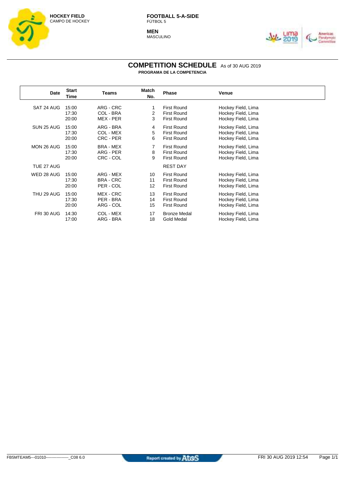

**MEN** MASCULINO



#### **COMPETITION SCHEDULE** As of 30 AUG 2019 **PROGRAMA DE LA COMPETENCIA**

**Date Start Time Teams Match No. Phase Venue** SAT 24 AUG 15:00 ARG - CRC 1 First Round Hockey Field, Lima<br>17:30 COL - BRA 2 First Round Hockey Field. Lima 17:30 COL - BRA 2 First Round Hockey Field, Lima<br>20:00 MEX - PER 3 First Round Hockey Field, Lima Hockey Field, Lima SUN 25 AUG 15:00 ARG - BRA 4 First Round Hockey Field, Lima<br>17:30 COL - MEX 5 First Round Hockey Field. Lima Hockey Field, Lima 20:00 CRC - PER 6 First Round Hockey Field, Lima MON 26 AUG 15:00 BRA - MEX 7 First Round Hockey Field, Lima<br>17:30 ARG - PER 8 First Round Hockey Field, Lima 17:30 ARG - PER 8 First Round Hockey Field, Lima 20:00 CRC - COL 9 First Round Hockey Field, Lima TUE 27 AUG **REST DAY** WED 28 AUG 15:00 ARG - MEX 10 First Round Hockey Field, Lima 17:30 BRA - CRC 11 First Round Hockey Field, Lima 20:00 PER - COL 12 First Round Hockey Field, Lima THU 29 AUG 15:00 MEX - CRC 13 First Round Hockey Field, Lima<br>17:30 PER - BRA 14 First Round Hockey Field, Lima 17:30 PER - BRA 14 First Round Hockey Field, Lima 20:00 ARG - COL 15 First Round Hockey Field, Lima FRI 30 AUG 14:30 COL - MEX 17 Bronze Medal Hockey Field, Lima<br>17:00 ARG - BRA 18 Gold Medal Hockey Field, Lima Hockey Field, Lima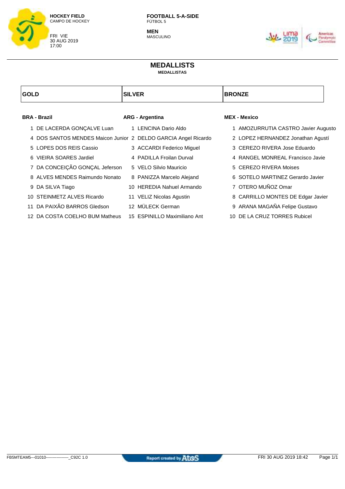

**MEN** MASCULINO



#### **MEDALLISTS MEDALLISTAS**

| <b>GOLD</b>                    | <b>SILVER</b>          |                                                                | <b>BRONZE</b>                       |  |
|--------------------------------|------------------------|----------------------------------------------------------------|-------------------------------------|--|
| <b>BRA - Brazil</b>            | <b>ARG - Argentina</b> |                                                                | <b>MEX - Mexico</b>                 |  |
| 1 DE LACERDA GONÇALVE Luan     |                        | 1 LENCINA Dario Aldo                                           | 1 AMOZURRUTIA CASTRO Javier Augusto |  |
|                                |                        | 4 DOS SANTOS MENDES Maicon Junior 2 DELDO GARCIA Angel Ricardo | 2 LOPEZ HERNANDEZ Jonathan Agustí   |  |
| 5 LOPES DOS REIS Cassio        |                        | 3 ACCARDI Federico Miguel                                      | 3 CEREZO RIVERA Jose Eduardo        |  |
| 6 VIEIRA SOARES Jardiel        |                        | 4 PADILLA Froilan Durval                                       | 4 RANGEL MONREAL Francisco Javie    |  |
| 7 DA CONCEIÇÃO GONÇAL Jeferson |                        | 5 VELO Silvio Mauricio                                         | 5 CEREZO RIVERA Moises              |  |
| 8 ALVES MENDES Raimundo Nonato |                        | 8 PANIZZA Marcelo Alejand                                      | 6 SOTELO MARTINEZ Gerardo Javier    |  |
| 9 DA SILVA Tiago               |                        | 10 HEREDIA Nahuel Armando                                      | 7 OTERO MUÑOZ Omar                  |  |
| STEINMETZ ALVES Ricardo<br>10. |                        | 11 VELIZ Nicolas Agustin                                       | 8 CARRILLO MONTES DE Edgar Javier   |  |
| 11 DA PAIXÃO BARROS Gledson    |                        | 12 MÜLECK German                                               | 9 ARANA MAGAÑA Felipe Gustavo       |  |
| 12 DA COSTA COELHO BUM Matheus |                        | 15 ESPINILLO Maximiliano Ant                                   | 10 DE LA CRUZ TORRES Rubicel        |  |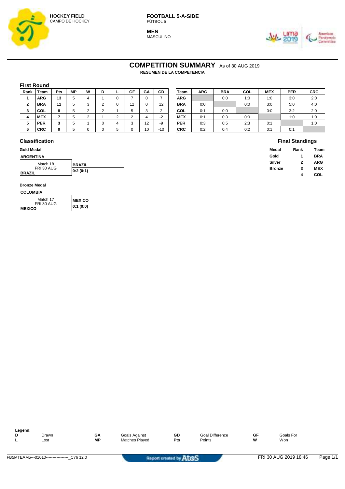

**MEN MASCULINO** 



**Final Standings Medal Rank Team Gold 1 BRA Silver 2 ARG Bronze 3 MEX**

**4 COL**

## COMPETITION SUMMARY As of 30 AUG 2019

**RESUMEN DE LA COMPETENCIA**

#### **First Round**

| Rank           | Team       | Pts          | <b>MP</b> | W | D |                 | GF            | GA | GD    | Team       | <b>ARG</b> | <b>BRA</b> | COL | <b>MEX</b> | <b>PER</b> | <b>CRC</b> |
|----------------|------------|--------------|-----------|---|---|-----------------|---------------|----|-------|------------|------------|------------|-----|------------|------------|------------|
|                | <b>ARG</b> | 13           |           |   |   |                 |               |    |       | <b>ARG</b> |            | 0:0        | 1:0 | 1:0        | 3:0        | 2:0        |
| $\overline{2}$ | <b>BRA</b> | 11           | 5.        |   |   |                 | 12            |    | 12    | <b>BRA</b> | 0:0        |            | 0:0 | 3:0        | 5:0        | 4:0        |
| 3              | COL        | ۰<br>o       |           |   |   |                 | 5             | ົ  |       | COL        | 0:1        | 0:0        |     | 0:0        | 3:2        | 2:0        |
| 4              | <b>MEX</b> |              |           |   |   | $\sqrt{2}$<br>▵ | ◠<br><u>_</u> |    | $-2$  | <b>MEX</b> | 0:1        | 0:3        | 0:0 |            | 1:0        | 1:0        |
| 5              | <b>PER</b> | $\cdot$<br>v | 5.        |   |   |                 | 3             | 12 | -9    | <b>PER</b> | 0:3        | 0:5        | 2:3 | 0:1        |            | 1:0        |
| 6              | <b>CRC</b> | 0            |           |   |   |                 |               | 10 | $-10$ | <b>CRC</b> | 0:2        | 0:4        | 0:2 | 0:1        | 0:1        |            |

| Team       | <b>ARG</b> | <b>BRA</b> | COL | <b>MEX</b> | <b>PER</b> | <b>CRC</b> |
|------------|------------|------------|-----|------------|------------|------------|
| ARG        |            | 0:0        | 1:0 | 1:0        | 3:0        | 2:0        |
| BRA        | 0:0        |            | 0:0 | 3:0        | 5:0        | 4:0        |
| COL        | 0:1        | 0:0        |     | 0:0        | 3:2        | 2:0        |
| <b>MEX</b> | 0:1        | 0:3        | 0:0 |            | 1:0        | 1:0        |
| PER        | 0:3        | 0:5        | 2:3 | 0:1        |            | 1:0        |
| CRC        | 0:2        | 0:4        | 0:2 | 0:1        | 0:1        |            |

#### **Classification**

## **Gold Medal**

#### **ARGENTINA** Match 18 **BRAZIL**

|                             | .        |
|-----------------------------|----------|
| FRI 30 AUG<br><b>BRAZIL</b> | 0:2(0:1) |
|                             |          |

#### **COLOMBIA Bronze Medal**

| <b>CULUMBIA</b>             |                |
|-----------------------------|----------------|
| Match 17                    | <b>IMEXICO</b> |
| FRI 30 AUG<br><b>MEXICO</b> | 0:1(0:0)       |

| Legend: |       |           |                       |            |                           |    |           |  |
|---------|-------|-----------|-----------------------|------------|---------------------------|----|-----------|--|
| D       | Drawn | GΑ        | Goals Against         | GD         | <b>Difference</b><br>Goal | GF | Goals For |  |
| . .     | Lost  | <b>MP</b> | <b>Matches Played</b> | <b>Pts</b> | Points                    | W  | Won       |  |
|         |       |           |                       |            |                           |    |           |  |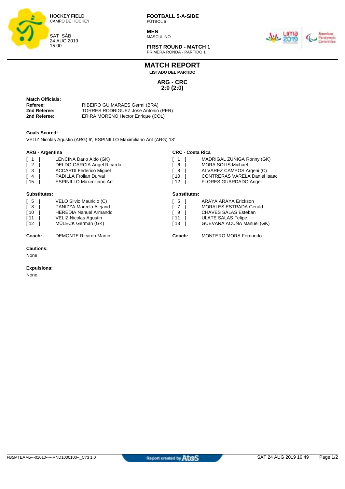

**MEN** MASCULINO



**FIRST ROUND - MATCH 1** PRIMERA RONDA - PARTIDO 1

**MATCH REPORT**

**LISTADO DEL PARTIDO**

**ARG - CRC 2:0 (2:0)**

**Substitutes:**

| <b>Match Officials:</b> |  |  |  |  |
|-------------------------|--|--|--|--|
| Referee:                |  |  |  |  |
| 2nd Referee:            |  |  |  |  |
| 2nd Referee:            |  |  |  |  |

**RIBEIRO GUIMARAES Germi (BRA) 2nd Referee:** TORRES RODRIGUEZ Jose Antonio (PER) *ERIRA MORENO Hector Enrique (COL)* 

#### **Goals Scored:**

VELIZ Nicolas Agustin (ARG) 6', ESPINILLO Maximiliano Ant (ARG) 18'

#### **ARG - Argentina**

| <b>ARG - Argentina</b>                |                                  | <b>CRC - Costa Rica</b>               |                                      |  |  |  |  |  |
|---------------------------------------|----------------------------------|---------------------------------------|--------------------------------------|--|--|--|--|--|
| $\begin{bmatrix} 1 & 1 \end{bmatrix}$ | LENCINA Dario Aldo (GK)          | $\begin{bmatrix} 1 & 1 \end{bmatrix}$ | MADRIGAL ZUÑIGA Ronny (GK)           |  |  |  |  |  |
| $\begin{bmatrix} 2 \end{bmatrix}$     | DELDO GARCIA Angel Ricardo       | 61                                    | <b>MORA SOLIS Michael</b>            |  |  |  |  |  |
| $\sqrt{3}$                            | <b>ACCARDI Federico Miquel</b>   | [ 8 ]                                 | ALVAREZ CAMPOS Argeni (C)            |  |  |  |  |  |
| $\left[ 4 \right]$                    | <b>PADILLA Froilan Durval</b>    | $110-1$                               | <b>CONTRERAS VARELA Daniel Isaac</b> |  |  |  |  |  |
| [15                                   | <b>ESPINILLO Maximiliano Ant</b> | $112-1$                               | <b>FLORES GUARDADO Angel</b>         |  |  |  |  |  |

#### **Substitutes:**

| Coach:                            | <b>DEMONTE Ricardo Martin</b> | Coach:                             | MONTERO MORA Fernando         |
|-----------------------------------|-------------------------------|------------------------------------|-------------------------------|
| [12]                              | MÜLECK German (GK)            | $\begin{bmatrix} 13 \end{bmatrix}$ | GUEVARA ACUÑA Manuel (GK)     |
| $\sqrt{11}$                       | VELIZ Nicolas Agustin         | f 11                               | ULATE SALAS Felipe            |
| [ 10                              | <b>HEREDIA Nahuel Armando</b> | I 9                                | CHAVES SALAS Esteban          |
| [ 8                               | PANIZZA Marcelo Alejand       | $\sqrt{7}$                         | <b>MORALES ESTRADA Gerald</b> |
| $\begin{bmatrix} 5 \end{bmatrix}$ | VELO Silvio Mauricio (C)      | I 5                                | ARAYA ARAYA Erickson          |
|                                   |                               |                                    |                               |

#### **Cautions:**

None

#### **Expulsions:**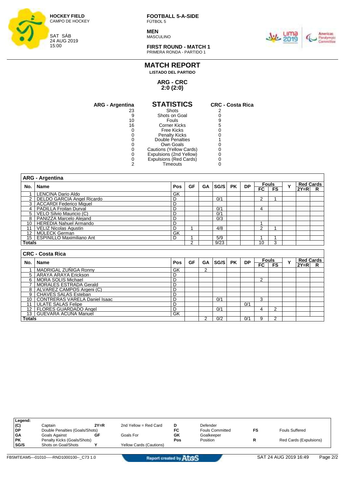

**MEN** MASCULINO



**FIRST ROUND - MATCH 1** PRIMERA RONDA - PARTIDO 1

### **MATCH REPORT**

**LISTADO DEL PARTIDO**

**ARG - CRC 2:0 (2:0)**

| <b>ARG - Argentina</b> | <b>STATISTICS</b>       | <b>CRC - Costa Rica</b> |
|------------------------|-------------------------|-------------------------|
| 23                     | Shots                   |                         |
| 9                      | Shots on Goal           |                         |
| 10                     | <b>Fouls</b>            |                         |
| 16                     | Corner Kicks            | 5                       |
| O                      | <b>Free Kicks</b>       |                         |
| 0                      | <b>Penalty Kicks</b>    |                         |
|                        | Double Penalties        |                         |
| 0                      | Own Goals               |                         |
| 0                      | Cautions (Yellow Cards) |                         |
| 0                      | Expulsions (2nd Yellow) |                         |
| 0                      | Expulsions (Red Cards)  |                         |
| っ                      | Timeouts                |                         |

|                 | <b>ARG - Argentina</b>           |     |    |    |      |           |           |    |              |             |        |                  |
|-----------------|----------------------------------|-----|----|----|------|-----------|-----------|----|--------------|-------------|--------|------------------|
| No.             | <b>Name</b>                      | Pos | GF | GA | SG/S | <b>PK</b> | <b>DP</b> |    | <b>Fouls</b> |             |        | <b>Red Cards</b> |
|                 |                                  |     |    |    |      |           |           | FC | <b>FS</b>    | Y           | $2Y=R$ | R                |
| 1               | <b>LENCINA Dario Aldo</b>        | GK  |    |    |      |           |           |    |              |             |        |                  |
| $\overline{2}$  | DELDO GARCIA Angel Ricardo       | D   |    |    | 0/1  |           |           | 2  |              |             |        |                  |
| 3               | <b>ACCARDI Federico Miquel</b>   | D   |    |    |      |           |           |    |              |             |        |                  |
| 4               | <b>PADILLA Froilan Durval</b>    | D   |    |    | 0/1  |           |           | 4  |              |             |        |                  |
| 5               | VELO Silvio Mauricio (C)         | D   |    |    | 0/1  |           |           |    |              |             |        |                  |
| 8               | PANIZZA Marcelo Alejand          | D   |    |    | 0/3  |           |           |    |              |             |        |                  |
| 10              | <b>HEREDIA Nahuel Armando</b>    | D   |    |    |      |           |           |    |              |             |        |                  |
| 11              | <b>VELIZ Nicolas Agustin</b>     | D   |    |    | 4/8  |           |           | 2  |              |             |        |                  |
| 12 <sup>2</sup> | MÜLECK German                    | GK  |    |    |      |           |           |    |              |             |        |                  |
| 15 <sup>1</sup> | <b>ESPINILLO Maximiliano Ant</b> | D   |    |    | 5/9  |           |           |    |              |             |        |                  |
| <b>Totals</b>   |                                  |     | 2  |    | 9/23 |           |           | 10 | 3            |             |        |                  |
|                 |                                  |     |    |    |      |           |           |    |              |             |        |                  |
|                 | <b>CRC - Costa Rica</b>          |     |    |    |      |           |           |    |              |             |        |                  |
| No.             | <b>Name</b>                      | Pos | GF | GA | SG/S | <b>PK</b> | <b>DP</b> |    | <b>Fouls</b> | $\mathbf v$ |        | <b>Red Cards</b> |
|                 |                                  |     |    |    |      |           |           | FC | <b>FS</b>    |             | $2Y=R$ | R                |
| 1               | MADRIGAL ZUÑIGA Ronny            | GK  |    | 2  |      |           |           |    |              |             |        |                  |
| 5               | ARAYA ARAYA Erickson             | D   |    |    |      |           |           |    |              |             |        |                  |
| 6               | <b>MORA SOLIS Michael</b>        | D   |    |    |      |           |           | 2  |              |             |        |                  |

|               | I MURA SULIS MICHEH              |    |  |     |     |  |  |  |
|---------------|----------------------------------|----|--|-----|-----|--|--|--|
|               | <b>MORALES ESTRADA Gerald</b>    |    |  |     |     |  |  |  |
|               | ALVAREZ CAMPOS Argeni (C)        |    |  |     |     |  |  |  |
|               | CHAVES SALAS Esteban             |    |  |     |     |  |  |  |
|               | 10 CONTRERAS VARELA Daniel Isaac |    |  | 0/2 |     |  |  |  |
| 14            | ULATE SALAS Felipe               |    |  |     | 0/1 |  |  |  |
|               | 12 FLORES GUARDADO Angel         |    |  | 0/2 |     |  |  |  |
|               | 13   GUEVARA ACUÑA Manuel        | GK |  |     |     |  |  |  |
| <b>Totals</b> |                                  |    |  | 0/2 | 0/1 |  |  |  |

| Legend:   |                                |        |                                |     |                        |    |                        |
|-----------|--------------------------------|--------|--------------------------------|-----|------------------------|----|------------------------|
| (C)       | Captain                        | $2Y=R$ | 2nd Yellow = Red Card          | D   | Defender               |    |                        |
| l DP      | Double Penalties (Goals/Shots) |        |                                | FC  | <b>Fouls Committed</b> | FS | <b>Fouls Suffered</b>  |
| -GA       | Goals Against                  | GF     | Goals For                      | GK  | Goalkeeper             |    |                        |
| <b>PK</b> | Penalty Kicks (Goals/Shots)    |        |                                | Pos | Position               |    | Red Cards (Expulsions) |
| SG/S      | Shots on Goal/Shots            |        | <b>Yellow Cards (Cautions)</b> |     |                        |    |                        |
|           |                                |        |                                |     |                        |    |                        |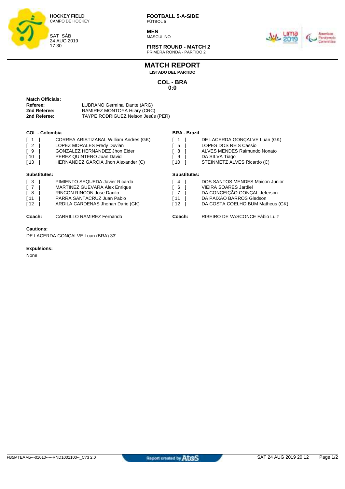

**MEN** MASCULINO



**FIRST ROUND - MATCH 2** PRIMERA RONDA - PARTIDO 2

## **MATCH REPORT**

**LISTADO DEL PARTIDO**

**COL - BRA 0:0**

| Match Officials: |                                    |
|------------------|------------------------------------|
| <b>Referee:</b>  | LUBRANO Germinal Dante (ARG)       |
| 2nd Referee:     | RAMIREZ MONTOYA Hilary (CRC)       |
| 2nd Referee:     | TAYPE RODRIGUEZ Nelson Jesús (PER) |
|                  |                                    |

#### **COL - Colombia**

| $\lceil 1 \rceil$ |    | CORREA ARISTIZABAL William Andres (GK) |
|-------------------|----|----------------------------------------|
| $\sqrt{2}$        | -1 | LOPEZ MORALES Fredy Duvian             |
| I 9               |    | <b>GONZALEZ HERNANDEZ Jhon Eider</b>   |
| $\sqrt{10}$       |    | PEREZ QUINTERO Juan David              |
| $\sqrt{13}$       |    | HERNANDEZ GARCIA Jhon Alexander (C)    |
|                   |    |                                        |

#### **Substitutes:**

| $\sqrt{3}$  |    | PIMIENTO SEQUEDA Javier Ricardo      |
|-------------|----|--------------------------------------|
| $\sqrt{7}$  |    | <b>MARTINEZ GUEVARA Alex Enrique</b> |
| I 8         |    | <b>RINCON RINCON Jose Danilo</b>     |
| [11]        |    | PARRA SANTACRUZ Juan Pablo           |
| <b>f</b> 12 | -1 | ARDILA CARDENAS Jhohan Dario (GK)    |
|             |    |                                      |

#### **Cautions:**

DE LACERDA GONÇALVE Luan (BRA) 33'

#### **Expulsions:**

None

#### **BRA - Brazil**

| $\begin{bmatrix} 1 \end{bmatrix}$ | DE LACERDA GONÇALVE Luan (GK) |
|-----------------------------------|-------------------------------|
| $\begin{bmatrix} 5 \end{bmatrix}$ | LOPES DOS REIS Cassio         |
| [ 8                               | ALVES MENDES Raimundo Nonato  |

- 
- $\begin{bmatrix} 9 & 1 \\ 10 & 1 \end{bmatrix}$  DA SILVA Tiago STEINMETZ ALVES Ricardo (C)

#### **Substitutes:**

|      | DOS SANTOS MENDES Maicon Junior  |
|------|----------------------------------|
| - 6  | <b>VIEIRA SOARES Jardiel</b>     |
| I 7  | DA CONCEIÇÃO GONÇAL Jeferson     |
| I 11 | DA PAIXÃO BARROS Gledson         |
| 112  | DA COSTA COELHO BUM Matheus (GK) |
|      |                                  |

**Coach:** CARRILLO RAMIREZ Fernando **Coach:** RIBEIRO DE VASCONCE Fábio Luiz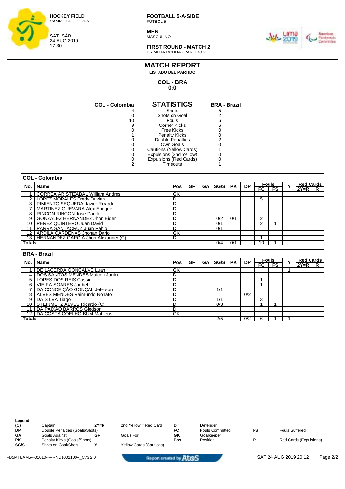

**MEN** MASCULINO



**FIRST ROUND - MATCH 2** PRIMERA RONDA - PARTIDO 2

### **MATCH REPORT**

**LISTADO DEL PARTIDO**

**COL - BRA 0:0**

| <b>STATISTICS</b>       | <b>BRA - Brazil</b>    |
|-------------------------|------------------------|
| Shots                   | 5                      |
| Shots on Goal           |                        |
| Fouls                   |                        |
| Corner Kicks            |                        |
| Free Kicks              |                        |
| <b>Penalty Kicks</b>    |                        |
| Double Penalties        |                        |
| Own Goals               |                        |
| Cautions (Yellow Cards) |                        |
| Expulsions (2nd Yellow) |                        |
|                         |                        |
| Timeouts                |                        |
|                         | Expulsions (Red Cards) |

|                   | <b>COL - Colombia</b>                |     |           |           |      |           |           |     |              |             |                  |                  |
|-------------------|--------------------------------------|-----|-----------|-----------|------|-----------|-----------|-----|--------------|-------------|------------------|------------------|
| No.               | Name                                 | Pos | <b>GF</b> | <b>GA</b> | SG/S | <b>PK</b> | <b>DP</b> |     | <b>Fouls</b> | $\mathbf v$ | <b>Red Cards</b> |                  |
|                   |                                      |     |           |           |      |           |           | F C | <b>FS</b>    |             | $2Y=R$           | R                |
|                   | CORREA ARISTIZABAL William Andres    | GK  |           |           |      |           |           |     |              |             |                  |                  |
| 2                 | LOPEZ MORALES Fredy Duvian           | D   |           |           |      |           |           | 5   |              |             |                  |                  |
| 3                 | PIMIENTO SEQUEDA Javier Ricardo      | D   |           |           |      |           |           |     |              |             |                  |                  |
|                   | <b>MARTINEZ GUEVARA Alex Enrique</b> | D   |           |           |      |           |           |     |              |             |                  |                  |
| 8                 | <b>RINCON RINCON Jose Danilo</b>     | D   |           |           |      |           |           |     |              |             |                  |                  |
| 9                 | GONZALEZ HERNANDEZ Jhon Eider        | D   |           |           | 0/2  | 0/1       |           | 2   |              |             |                  |                  |
| 10                | PEREZ QUINTERO Juan David            | D   |           |           | 0/1  |           |           | 2   |              |             |                  |                  |
| 11                | PARRA SANTACRUZ Juan Pablo           | D   |           |           | 0/1  |           |           |     |              |             |                  |                  |
| $12 \overline{ }$ | ARDILA CARDENAS Jhohan Dario         | GK  |           |           |      |           |           |     |              |             |                  |                  |
| 13                | HERNANDEZ GARCIA Jhon Alexander (C)  | D   |           |           |      |           |           |     |              |             |                  |                  |
| <b>Totals</b>     |                                      |     |           |           | 0/4  | 0/1       |           | 10  |              |             |                  |                  |
|                   |                                      |     |           |           |      |           |           |     |              |             |                  |                  |
|                   | <b>BRA - Brazil</b>                  |     |           |           |      |           |           |     |              |             |                  |                  |
| No.               | Name                                 | Pos | GF        | GA        | SG/S | <b>PK</b> | <b>DP</b> |     | <b>Fouls</b> | Y           |                  | <b>Red Cards</b> |
|                   |                                      |     |           |           |      |           |           | FC. | <b>FS</b>    |             | $2Y=R$           | R                |
|                   | DE LACERDA GONCALVE Luan             | GK  |           |           |      |           |           |     |              |             |                  |                  |
| 4                 | DOS SANTOS MENDES Maicon Junior      | D   |           |           |      |           |           |     |              |             |                  |                  |
| 5                 | LOPES DOS REIS Cassio                | D   |           |           |      |           |           |     |              |             |                  |                  |
| 6                 | <b>VIEIRA SOARES Jardiel</b>         | D   |           |           |      |           |           |     |              |             |                  |                  |
|                   | DA CONCEICÃO GONCAL Jeferson         | D   |           |           | 1/1  |           |           |     |              |             |                  |                  |

| <b>Totals</b>   |                                 |    |  | 2/5 | 0/2 |  |  |  |
|-----------------|---------------------------------|----|--|-----|-----|--|--|--|
| 12 <sub>1</sub> | DA COSTA COELHO BUM Matheus     | GK |  |     |     |  |  |  |
| 1 <sup>1</sup>  | <b>DA PAIXÃO BARROS Gledson</b> |    |  |     |     |  |  |  |
| 10              | STEINMETZ ALVES Ricardo (C)     |    |  | 0/3 |     |  |  |  |
|                 | DA SILVA Tiago                  |    |  | 414 |     |  |  |  |
|                 | ALVES MENDES Raimundo Nonato    |    |  |     | 0/2 |  |  |  |
|                 | DA CONCEICAO GONCAL Jeferson    |    |  |     |     |  |  |  |

| Legend:   |                                |        |                                |     |                        |                        |
|-----------|--------------------------------|--------|--------------------------------|-----|------------------------|------------------------|
| (C)       | Captain                        | $2Y=R$ | 2nd Yellow = Red Card          |     | Defender               |                        |
| <b>DP</b> | Double Penalties (Goals/Shots) |        |                                | FC  | <b>Fouls Committed</b> | <b>Fouls Suffered</b>  |
| <b>GA</b> | Goals Against                  | GF     | Goals For                      | GK  | Goalkeeper             |                        |
| <b>PK</b> | Penalty Kicks (Goals/Shots)    |        |                                | Pos | Position               | Red Cards (Expulsions) |
| SG/S      | Shots on Goal/Shots            |        | <b>Yellow Cards (Cautions)</b> |     |                        |                        |
|           |                                |        |                                |     |                        |                        |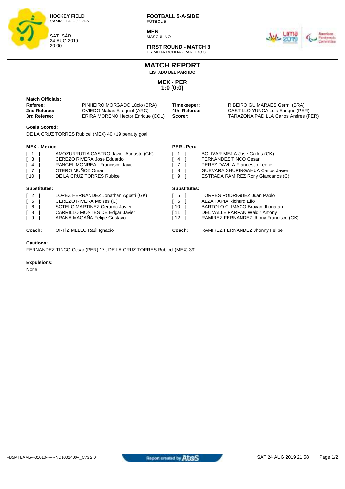

**MEN MASCULINO** 



**FIRST ROUND - MATCH 3** PRIMERA RONDA - PARTIDO 3

**MATCH REPORT**

**LISTADO DEL PARTIDO**

**MEX - PER 1:0 (0:0)**

| <b>Match Officials:</b><br>Referee:<br>2nd Referee:<br>3rd Referee:           | PINHEIRO MORGADO Lúcio (BRA)<br><b>OVIEDO Matias Ezequiel (ARG)</b><br>ERIRA MORENO Hector Enrique (COL)                                                             | Timekeeper:<br>4th Referee:<br>Scorer:              | RIBEIRO GUIMARAES Germi (BRA)<br>CASTILLO YUNCA Luis Enrique (PER)<br>TARAZONA PADILLA Carlos Andres (PER)                                                                          |
|-------------------------------------------------------------------------------|----------------------------------------------------------------------------------------------------------------------------------------------------------------------|-----------------------------------------------------|-------------------------------------------------------------------------------------------------------------------------------------------------------------------------------------|
| <b>Goals Scored:</b>                                                          | DE LA CRUZ TORRES Rubicel (MEX) 40'+19 penalty goal                                                                                                                  |                                                     |                                                                                                                                                                                     |
| <b>MEX - Mexico</b>                                                           |                                                                                                                                                                      | <b>PER - Peru</b>                                   |                                                                                                                                                                                     |
| $\overline{1}$<br>$\mathbf{3}$<br>$\overline{4}$<br>$\sqrt{7}$<br>$\sqrt{10}$ | AMOZURRUTIA CASTRO Javier Augusto (GK)<br>CEREZO RIVERA Jose Eduardo<br>RANGEL MONREAL Francisco Javie<br>OTERO MUÑOZ Omar<br>DE LA CRUZ TORRES Rubicel              | $\overline{4}$<br>7<br>8<br>9                       | BOLIVAR MEJIA Jose Carlos (GK)<br><b>FERNANDEZ TINCO Cesar</b><br>PEREZ DAVILA Francesco Leone<br><b>GUEVARA SHUPINGAHUA Carlos Javier</b><br>ESTRADA RAMIREZ Rony Giancarlos (C)   |
| Substitutes:                                                                  |                                                                                                                                                                      | <b>Substitutes:</b>                                 |                                                                                                                                                                                     |
| $\begin{bmatrix} 2 \end{bmatrix}$<br>5<br>6<br>8<br>9                         | LOPEZ HERNANDEZ Jonathan Agustí (GK)<br>CEREZO RIVERA Moises (C)<br>SOTELO MARTINEZ Gerardo Javier<br>CARRILLO MONTES DE Edgar Javier<br>ARANA MAGAÑA Felipe Gustavo | 5<br>6<br>$\lceil 10 \rceil$<br>[11]<br>$\sqrt{12}$ | <b>TORRES RODRIGUEZ Juan Pablo</b><br><b>ALZA TAPIA Richard Elio</b><br>BARTOLO CLIMACO Brayan Jhonatan<br>DEL VALLE FARFAN Waldir Antony<br>RAMIREZ FERNANDEZ Jhony Francisco (GK) |
| Coach:                                                                        | ORTÍZ MELLO Raúl Ignacio                                                                                                                                             | Coach:                                              | RAMIREZ FERNANDEZ Jhonny Felipe                                                                                                                                                     |
| <b>Cautions:</b>                                                              |                                                                                                                                                                      |                                                     |                                                                                                                                                                                     |

FERNANDEZ TINCO Cesar (PER) 17', DE LA CRUZ TORRES Rubicel (MEX) 39'

**Expulsions:**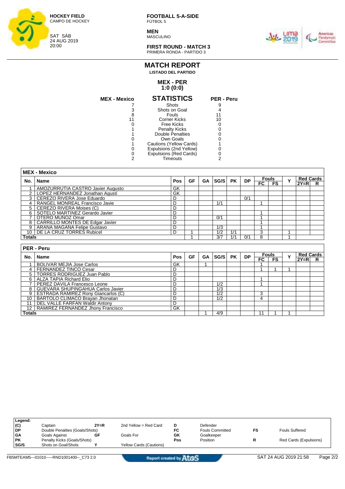

**MEN MASCULINO** 



**FIRST ROUND - MATCH 3** PRIMERA RONDA - PARTIDO 3

#### **MEX - PER MATCH REPORT LISTADO DEL PARTIDO**

## **1:0 (0:0)**

| MEX - Mexico | <b>STATISTICS</b>       | <b>PER - Peru</b> |
|--------------|-------------------------|-------------------|
|              | Shots                   |                   |
|              | Shots on Goal           |                   |
| 8            | Fouls                   |                   |
|              | <b>Corner Kicks</b>     | 10                |
|              | Free Kicks              |                   |
|              | <b>Penalty Kicks</b>    |                   |
|              | <b>Double Penalties</b> |                   |
|              | Own Goals               |                   |
|              | Cautions (Yellow Cards) |                   |
|              | Expulsions (2nd Yellow) |                   |
|              | Expulsions (Red Cards)  |                   |
|              | Timeouts                |                   |
|              |                         |                   |

|                | <b>MEX - Mexico</b>                               |            |           |           |                  |           |           |              |                    |   |                            |                  |
|----------------|---------------------------------------------------|------------|-----------|-----------|------------------|-----------|-----------|--------------|--------------------|---|----------------------------|------------------|
| No.            | Name                                              | Pos        | <b>GF</b> | <b>GA</b> | SG/S             | <b>PK</b> | <b>DP</b> | $_{\sf FC}$  | <b>Fouls</b><br>FS | Y | <b>Red Cards</b><br>$2Y=R$ | R                |
|                | AMOZURRUTIA CASTRO Javier Augusto                 | GK         |           |           |                  |           |           |              |                    |   |                            |                  |
| 2              | LOPEZ HERNANDEZ Jonathan Agustí                   | GK         |           |           |                  |           |           |              |                    |   |                            |                  |
| 3              | CEREZO RIVERA Jose Eduardo                        | D          |           |           |                  |           | 0/1       |              |                    |   |                            |                  |
| 4              | RANGEL MONREAL Francisco Javie                    | D          |           |           | 1/1              |           |           | 1            |                    |   |                            |                  |
| 5              | CEREZO RIVERA Moises (C)                          | D          |           |           |                  |           |           |              |                    |   |                            |                  |
| 6              | SOTELO MARTINEZ Gerardo Javier                    | D          |           |           |                  |           |           | 4            |                    |   |                            |                  |
| $\overline{7}$ | D<br>OTERO MUÑOZ Omar                             |            |           |           | 0/1              |           |           |              |                    |   |                            |                  |
| 8              | <b>CARRILLO MONTES DE Edgar Javier</b>            | D          |           |           |                  |           |           |              |                    |   |                            |                  |
| 9              | ARANA MAGAÑA Felipe Gustavo                       | D          |           |           | 1/3              |           |           | и            |                    |   |                            |                  |
|                | D<br>10 <sup>1</sup><br>DE LA CRUZ TORRES Rubicel |            |           |           | 1/2              | 1/1       |           | 3            |                    |   |                            |                  |
|                | Totals                                            |            |           |           | 3/7              | 1/1       | 0/1       | 8            |                    |   |                            |                  |
|                |                                                   |            |           |           |                  |           |           |              |                    |   |                            |                  |
|                | PER - Peru                                        |            |           |           |                  |           |           |              |                    |   |                            |                  |
| No.            | <b>Name</b>                                       | <b>Pos</b> | <b>GF</b> | GA        | SG/S             | <b>PK</b> | <b>DP</b> | <b>Fouls</b> |                    | Y |                            | <b>Red Cards</b> |
|                |                                                   |            |           |           |                  |           |           | $F_{\rm C}$  | FS                 |   | $2Y=R$                     | R                |
|                | <b>BOLIVAR MEJIA Jose Carlos</b>                  | GK         |           |           |                  |           |           |              |                    |   |                            |                  |
| 4              | FERNANDEZ TINCO Cesar                             | D          |           |           |                  |           |           |              |                    |   |                            |                  |
| 5              | <b>TORRES RODRIGUEZ Juan Pablo</b>                | D          |           |           |                  |           |           |              |                    |   |                            |                  |
| 6              | <b>ALZA TAPIA Richard Elio</b>                    | D          |           |           |                  |           |           |              |                    |   |                            |                  |
| $\overline{7}$ | PEREZ DAVILA Francesco Leone                      | D          |           |           | $\overline{1/2}$ |           |           |              |                    |   |                            |                  |
| 8              | GUEVARA SHUPINGAHUA Carlos Javier                 | D          |           |           | 1/3              |           |           |              |                    |   |                            |                  |
| 9              | <b>ESTRADA RAMIREZ Rony Giancarlos (C)</b>        | D          |           |           | 1/2              |           |           | 3            |                    |   |                            |                  |
| 10             | BARTOLO CLIMACO Brayan Jhonatan                   | D          |           |           | $\overline{1/2}$ |           |           | 4            |                    |   |                            |                  |
| 11             | <b>DEL VALLE FARFAN Waldir Antony</b>             | D          |           |           |                  |           |           |              |                    |   |                            |                  |

**Totals** 1 4/9 11 1 1

| Legend:   |                                |        |                         |     |                        |                        |
|-----------|--------------------------------|--------|-------------------------|-----|------------------------|------------------------|
| (C)       | Captain                        | $2Y=R$ | 2nd Yellow = Red Card   |     | Defender               |                        |
| l DP      | Double Penalties (Goals/Shots) |        |                         | FC  | <b>Fouls Committed</b> | <b>Fouls Suffered</b>  |
| <b>GA</b> | Goals Against                  | GF     | Goals For               | GK  | Goalkeeper             |                        |
| <b>PK</b> | Penalty Kicks (Goals/Shots)    |        |                         | Pos | Position               | Red Cards (Expulsions) |
| SG/S      | Shots on Goal/Shots            |        | Yellow Cards (Cautions) |     |                        |                        |
|           |                                |        |                         |     |                        |                        |

12 | RAMIREZ FERNANDEZ Jhony Francisco GK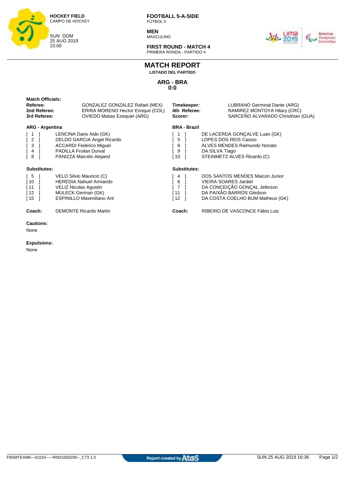

**MEN** MASCULINO



**FIRST ROUND - MATCH 4** PRIMERA RONDA - PARTIDO 4

## **MATCH REPORT**

**LISTADO DEL PARTIDO**

**ARG - BRA 0:0**

| <b>Match Officials:</b><br>Referee:<br>2nd Referee:<br>3rd Referee:                           | GONZALEZ GONZALEZ Rafael (MEX)<br>ERIRA MORENO Hector Enrique (COL)<br><b>OVIEDO Matias Ezequiel (ARG)</b>                                          | Timekeeper:<br>4th Referee:<br>Scorer:                 | LUBRANO Germinal Dante (ARG)<br>RAMIREZ MONTOYA Hilary (CRC)<br>SARCEÑO ALVARADO Christhian (GUA)                                                               |
|-----------------------------------------------------------------------------------------------|-----------------------------------------------------------------------------------------------------------------------------------------------------|--------------------------------------------------------|-----------------------------------------------------------------------------------------------------------------------------------------------------------------|
| <b>ARG - Argentina</b><br>$\overline{c}$<br>3<br>$\overline{4}$<br>- 8                        | LENCINA Dario Aldo (GK)<br>DELDO GARCIA Angel Ricardo<br><b>ACCARDI Federico Miguel</b><br><b>PADILLA Froilan Durval</b><br>PANIZZA Marcelo Alejand | <b>BRA - Brazil</b><br>5<br>8<br>9<br>[ 10             | DE LACERDA GONÇALVE Luan (GK)<br>LOPES DOS REIS Cassio<br>ALVES MENDES Raimundo Nonato<br>DA SILVA Tiago<br>STEINMETZ ALVES Ricardo (C)                         |
| Substitutes:<br>$\begin{bmatrix} 5 \end{bmatrix}$<br>$\lceil 10 \rceil$<br>[11]<br>[12]<br>15 | VELO Silvio Mauricio (C)<br><b>HEREDIA Nahuel Armando</b><br>VELIZ Nicolas Agustin<br>MÜLECK German (GK)<br><b>ESPINILLO Maximiliano Ant</b>        | Substitutes:<br>4<br>6<br>$\overline{7}$<br>[11]<br>12 | DOS SANTOS MENDES Maicon Junior<br><b>VIEIRA SOARES Jardiel</b><br>DA CONCEIÇÃO GONÇAL Jeferson<br>DA PAIXÃO BARROS Gledson<br>DA COSTA COELHO BUM Matheus (GK) |
| Coach:<br><b>Cautions:</b><br>None                                                            | <b>DEMONTE Ricardo Martin</b>                                                                                                                       | Coach:                                                 | RIBEIRO DE VASCONCE Fábio Luiz                                                                                                                                  |

#### **Expulsions:**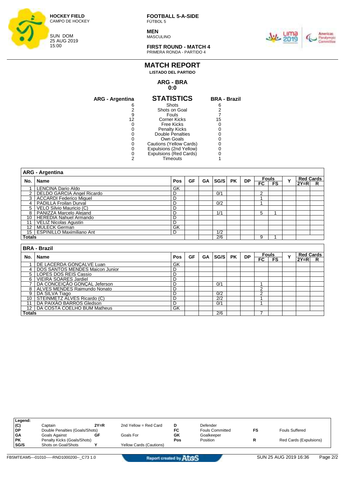

**MEN** MASCULINO



**FIRST ROUND - MATCH 4** PRIMERA RONDA - PARTIDO 4

#### **MATCH REPORT LISTADO DEL PARTIDO**

## **ARG - BRA**

## **0:0**

| <b>ARG - Argentina</b> | <b>STATISTICS</b>       | <b>BRA - Brazil</b> |
|------------------------|-------------------------|---------------------|
| 6                      | Shots                   | 6                   |
|                        | Shots on Goal           |                     |
| 9                      | Fouls                   |                     |
| 12                     | Corner Kicks            | 15                  |
|                        | Free Kicks              |                     |
|                        | <b>Penalty Kicks</b>    |                     |
|                        | Double Penalties        |                     |
|                        | Own Goals               |                     |
|                        | Cautions (Yellow Cards) |                     |
|                        | Expulsions (2nd Yellow) |                     |
|                        | Expulsions (Red Cards)  |                     |
|                        | Timeouts                |                     |

|     | <b>ARG - Argentina</b>                                   |                |           |           |                  |           |           |                |                    |   |                            |   |
|-----|----------------------------------------------------------|----------------|-----------|-----------|------------------|-----------|-----------|----------------|--------------------|---|----------------------------|---|
| No. | <b>Name</b>                                              | <b>Pos</b>     | <b>GF</b> | <b>GA</b> | SG/S             | <b>PK</b> | <b>DP</b> | $_{\sf FC}$    | <b>Fouls</b><br>FS | Y | <b>Red Cards</b><br>$2Y=R$ | R |
| 1   | <b>LENCINA Dario Aldo</b>                                | GK             |           |           |                  |           |           |                |                    |   |                            |   |
| 2   | <b>DELDO GARCIA Angel Ricardo</b>                        | D              |           |           | 0/1              |           |           | 2              |                    |   |                            |   |
| 3   | <b>ACCARDI Federico Miquel</b>                           | D              |           |           |                  |           |           |                |                    |   |                            |   |
| 4   | PADILLA Froilan Durval                                   | D              |           |           | 0/2              |           |           |                |                    |   |                            |   |
| 5   | VELO Silvio Mauricio (C)                                 | D              |           |           |                  |           |           |                |                    |   |                            |   |
| 8   | PANIZZA Marcelo Alejand                                  | D              |           |           | 1/1              |           |           | 5              |                    |   |                            |   |
| 10  | <b>HEREDIA Nahuel Armando</b>                            | D              |           |           |                  |           |           |                |                    |   |                            |   |
| 11  | <b>VELIZ Nicolas Agustin</b>                             | D              |           |           |                  |           |           |                |                    |   |                            |   |
| 12  | MÜLECK German                                            | GK             |           |           |                  |           |           |                |                    |   |                            |   |
|     | <b>ESPINILLO Maximiliano Ant</b><br>15 <sup>1</sup><br>D |                |           |           | 1/2              |           |           |                |                    |   |                            |   |
|     | Totals                                                   |                |           |           | 2/6              |           |           | 9              |                    |   |                            |   |
|     |                                                          |                |           |           |                  |           |           |                |                    |   |                            |   |
|     | <b>BRA - Brazil</b>                                      |                |           |           |                  |           |           |                |                    |   |                            |   |
| No. | <b>Name</b>                                              | Pos            | <b>GF</b> | GA        | SG/S             | <b>PK</b> | <b>DP</b> | <b>Fouls</b>   |                    | Y | <b>Red Cards</b>           |   |
|     |                                                          |                |           |           |                  |           |           | $F_{\rm C}$    | FS                 |   | $2Y=R$                     | R |
|     | DE LACERDA GONCALVE Luan                                 | GK             |           |           |                  |           |           |                |                    |   |                            |   |
| 4   | DOS SANTOS MENDES Maicon Junior                          | D              |           |           |                  |           |           |                |                    |   |                            |   |
| 5   | <b>LOPES DOS REIS Cassio</b>                             | D              |           |           |                  |           |           |                |                    |   |                            |   |
| 6   | <b>VIEIRA SOARES Jardiel</b>                             | D              |           |           |                  |           |           |                |                    |   |                            |   |
|     | DA CONCEIÇÃO GONÇAL Jeferson                             | D              |           |           | 0/1              |           |           | A              |                    |   |                            |   |
| 8   | ALVES MENDES Raimundo Nonato                             | $\overline{D}$ |           |           |                  |           |           | $\overline{2}$ |                    |   |                            |   |
| 9   | DA SILVA Tiago                                           | D              |           |           | 0/2              |           |           | $\overline{2}$ |                    |   |                            |   |
|     |                                                          |                |           |           |                  |           |           |                |                    |   |                            |   |
| 10  | STEINMETZ ALVES Ricardo (C)                              | D              |           |           | $\overline{2/2}$ |           |           |                |                    |   |                            |   |

| Legend:   |                                |        |                                |     |                        |                        |
|-----------|--------------------------------|--------|--------------------------------|-----|------------------------|------------------------|
| (C)       | Captain                        | $2Y=R$ | 2nd Yellow = Red Card          | D   | Defender               |                        |
| l DP      | Double Penalties (Goals/Shots) |        |                                | FC  | <b>Fouls Committed</b> | <b>Fouls Suffered</b>  |
| <b>GA</b> | Goals Against                  | GF     | Goals For                      | GK  | Goalkeeper             |                        |
| <b>PK</b> | Penalty Kicks (Goals/Shots)    |        |                                | Pos | Position               | Red Cards (Expulsions) |
| SG/S      | Shots on Goal/Shots            |        | <b>Yellow Cards (Cautions)</b> |     |                        |                        |
|           |                                |        |                                |     |                        |                        |

12 | DA COSTA COELHO BUM Matheus GK

**Totals** 2/6 7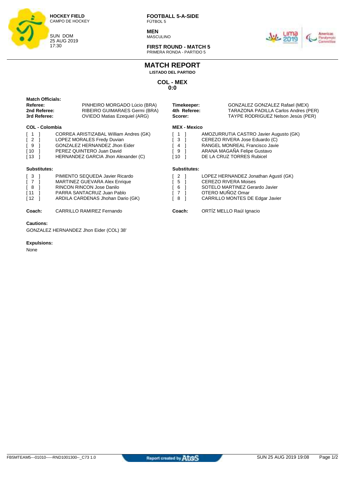

**MEN** MASCULINO



**FIRST ROUND - MATCH 5** PRIMERA RONDA - PARTIDO 5

## **MATCH REPORT**

**LISTADO DEL PARTIDO**

**COL - MEX 0:0**

| <b>Match Officials:</b><br>Referee:<br>2nd Referee:<br>3rd Referee:                                                        | PINHEIRO MORGADO Lúcio (BRA)<br>RIBEIRO GUIMARAES Germi (BRA)<br><b>OVIEDO Matias Ezequiel (ARG)</b>                                                                      | Timekeeper:<br>4th Referee:<br>Scorer:     | GONZALEZ GONZALEZ Rafael (MEX)<br>TARAZONA PADILLA Carlos Andres (PER)<br>TAYPE RODRIGUEZ Nelson Jesús (PER)                                                           |
|----------------------------------------------------------------------------------------------------------------------------|---------------------------------------------------------------------------------------------------------------------------------------------------------------------------|--------------------------------------------|------------------------------------------------------------------------------------------------------------------------------------------------------------------------|
| <b>COL - Colombia</b><br>$\vert$ 1<br>$\begin{bmatrix} 2 \end{bmatrix}$<br>$\sqrt{9}$<br>$\sqrt{10}$<br>$\lceil 13 \rceil$ | CORREA ARISTIZABAL William Andres (GK)<br>LOPEZ MORALES Fredy Duvian<br>GONZALEZ HERNANDEZ Jhon Eider<br>PEREZ QUINTERO Juan David<br>HERNANDEZ GARCIA Jhon Alexander (C) | <b>MEX - Mexico</b><br>3<br>4<br>9<br>ſ 10 | AMOZURRUTIA CASTRO Javier Augusto (GK)<br>CEREZO RIVERA Jose Eduardo (C)<br>RANGEL MONREAL Francisco Javie<br>ARANA MAGAÑA Felipe Gustavo<br>DE LA CRUZ TORRES Rubicel |
| Substitutes:                                                                                                               |                                                                                                                                                                           | Substitutes:                               |                                                                                                                                                                        |
| $\sqrt{3}$<br>[ 7<br>$\sqrt{8}$<br>[11]<br>[12]                                                                            | PIMIENTO SEQUEDA Javier Ricardo<br><b>MARTINEZ GUEVARA Alex Enrique</b><br>RINCON RINCON Jose Danilo<br>PARRA SANTACRUZ Juan Pablo<br>ARDILA CARDENAS Jhohan Dario (GK)   | 2<br>5<br>6<br>7<br>8                      | LOPEZ HERNANDEZ Jonathan Agustí (GK)<br><b>CEREZO RIVERA Moises</b><br>SOTELO MARTINEZ Gerardo Javier<br>OTERO MUÑOZ Omar<br>CARRILLO MONTES DE Edgar Javier           |
| Coach:                                                                                                                     | <b>CARRILLO RAMIREZ Fernando</b>                                                                                                                                          | Coach:                                     | ORTÍZ MELLO Raúl Ignacio                                                                                                                                               |
| <b>Cautions:</b>                                                                                                           | GONZALEZ HERNANDEZ Jhon Eider (COL) 38'                                                                                                                                   |                                            |                                                                                                                                                                        |

#### **Expulsions:**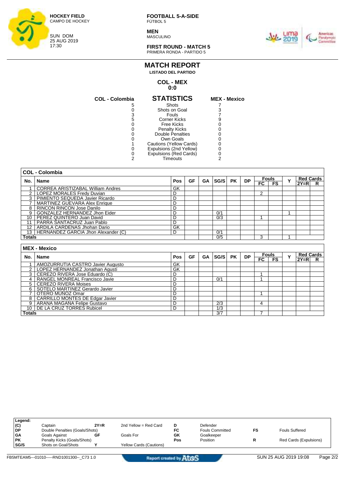

**MEN** MASCULINO



**FIRST ROUND - MATCH 5** PRIMERA RONDA - PARTIDO 5

#### **MATCH REPORT LISTADO DEL PARTIDO**

#### **COL - MEX 0:0**

| <b>COL - Colombia</b> | <b>STATISTICS</b>             | <b>MEX - Mexico</b> |
|-----------------------|-------------------------------|---------------------|
| 5                     | Shots                         |                     |
|                       | Shots on Goal                 |                     |
| 3                     | Fouls                         |                     |
| 5                     | <b>Corner Kicks</b>           |                     |
|                       | <b>Free Kicks</b>             |                     |
|                       | <b>Penalty Kicks</b>          |                     |
|                       | Double Penalties              |                     |
|                       | Own Goals                     |                     |
|                       | Cautions (Yellow Cards)       |                     |
|                       | Expulsions (2nd Yellow)       |                     |
|                       | <b>Expulsions (Red Cards)</b> |                     |
|                       | Timeouts                      |                     |

| MEX             | $\blacksquare$ |  |
|-----------------|----------------|--|
|                 |                |  |
| $\frac{7}{3}$   |                |  |
| 7               |                |  |
| 9               |                |  |
| $\check{\rm o}$ |                |  |
| $\mathbf{0}$    |                |  |
| $\mathbf{0}$    |                |  |
| 0               |                |  |
| $\mathbf{0}$    |                |  |
| $\mathbf{0}$    |                |  |
| $\frac{0}{2}$   |                |  |
|                 |                |  |
|                 |                |  |

| No.           | <b>Name</b>                              | Pos | GF | <b>GA</b> | SG/S | <b>PK</b> | <b>DP</b> | <b>Fouls</b> |              | $\checkmark$ | <b>Red Cards</b> |   |
|---------------|------------------------------------------|-----|----|-----------|------|-----------|-----------|--------------|--------------|--------------|------------------|---|
|               |                                          |     |    |           |      |           |           | FC           | <b>FS</b>    |              | $2Y=R$           | R |
|               | CORREA ARISTIZABAL William Andres        | GK  |    |           |      |           |           |              |              |              |                  |   |
|               | LOPEZ MORALES Fredy Duvian               | D   |    |           |      |           |           | 2            |              |              |                  |   |
|               | 3   PIMIENTO SEQUEDA Javier Ricardo      | D   |    |           |      |           |           |              |              |              |                  |   |
|               | MARTINEZ GUEVARA Alex Enrique            | D   |    |           |      |           |           |              |              |              |                  |   |
|               | 8   RINCON RINCON Jose Danilo            | D   |    |           |      |           |           |              |              |              |                  |   |
| 9             | GONZALEZ HERNANDEZ Jhon Eider            | D   |    |           | 0/1  |           |           |              |              |              |                  |   |
|               | 10   PEREZ QUINTERO Juan David           | D   |    |           | 0/3  |           |           |              |              |              |                  |   |
| 11            | <b>PARRA SANTACRUZ Juan Pablo</b>        | D   |    |           |      |           |           |              |              |              |                  |   |
| 12            | ARDILA CARDENAS Jhohan Dario             | GK  |    |           |      |           |           |              |              |              |                  |   |
|               | 13   HERNANDEZ GARCIA Jhon Alexander (C) | D   |    |           | 0/1  |           |           |              |              |              |                  |   |
| <b>Totals</b> |                                          |     |    |           | 0/5  |           |           | 3            |              |              |                  |   |
|               | <b>MEX - Mexico</b>                      |     |    |           |      |           |           |              |              |              |                  |   |
|               |                                          |     |    |           |      |           |           |              | <b>Equie</b> |              | <b>Pad Carde</b> |   |

| No.           | Name                                | <b>Pos</b> | GF | SG/S<br>GA |     | <b>PK</b> | <b>DP</b> | <b>Fouls</b> |                          | v | <b>Red Cards</b> |   |
|---------------|-------------------------------------|------------|----|------------|-----|-----------|-----------|--------------|--------------------------|---|------------------|---|
|               |                                     |            |    |            |     |           |           | FC '         | $\overline{\mathsf{FS}}$ |   | $2Y=R$           | R |
|               | AMOZURRUTIA CASTRO Javier Augusto   | GK         |    |            |     |           |           |              |                          |   |                  |   |
|               | LOPEZ HERNANDEZ Jonathan Agustí     | GK         |    |            |     |           |           |              |                          |   |                  |   |
|               | 3   CEREZO RIVERA Jose Eduardo (C)  | D          |    |            |     |           |           |              |                          |   |                  |   |
|               | RANGEL MONREAL Francisco Javie      | D          |    |            | 0/1 |           |           |              |                          |   |                  |   |
|               | 5   CEREZO RIVERA Moises            | D          |    |            |     |           |           |              |                          |   |                  |   |
|               | 6   SOTELO MARTINEZ Gerardo Javier  | D          |    |            |     |           |           |              |                          |   |                  |   |
|               | OTERO MUÑOZ Omar                    | D          |    |            |     |           |           |              |                          |   |                  |   |
|               | 8   CARRILLO MONTES DE Edgar Javier |            |    |            |     |           |           |              |                          |   |                  |   |
|               | ARANA MAGAÑA Felipe Gustavo         | D          |    |            | 2/3 |           |           |              |                          |   |                  |   |
|               | 10   DE LA CRUZ TORRES Rubicel      | D          |    |            | 1/3 |           |           |              |                          |   |                  |   |
| <b>Totals</b> |                                     |            |    |            | 3/7 |           |           |              |                          |   |                  |   |

| Legend:     |                                |        |                         |     |                        |                        |
|-------------|--------------------------------|--------|-------------------------|-----|------------------------|------------------------|
| (C)         | Captain                        | $2Y=R$ | 2nd Yellow = Red Card   | D   | Defender               |                        |
| <b>DP</b>   | Double Penalties (Goals/Shots) |        |                         | FC  | <b>Fouls Committed</b> | Fouls Suffered         |
| <b>GA</b>   | Goals Against                  | GF     | Goals For               | GK  | Goalkeeper             |                        |
| <b>PK</b>   | Penalty Kicks (Goals/Shots)    |        |                         | Pos | Position               | Red Cards (Expulsions) |
| <b>SG/S</b> | Shots on Goal/Shots            |        | Yellow Cards (Cautions) |     |                        |                        |
|             |                                |        |                         |     |                        |                        |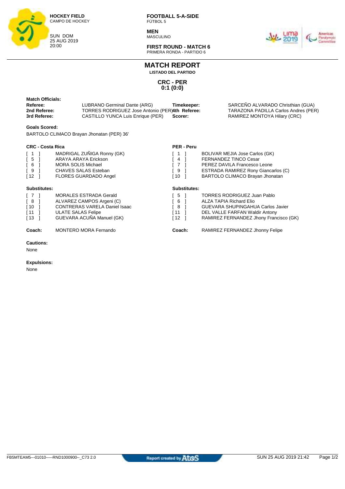

**MEN** MASCULINO



**FIRST ROUND - MATCH 6** PRIMERA RONDA - PARTIDO 6

**MATCH REPORT LISTADO DEL PARTIDO**

> **CRC - PER 0:1 (0:0)**

| <b>Match Officials:</b><br>Referee:<br>2nd Referee:<br>3rd Referee: | LUBRANO Germinal Dante (ARG)<br>Timekeeper:<br>TORRES RODRIGUEZ Jose Antonio (PER)4th Referee:<br>CASTILLO YUNCA Luis Enrique (PER)<br>Scorer: | SARCEÑO ALVARADO Christhian (GUA)<br>TARAZONA PADILLA Carlos Andres (PER)<br>RAMIREZ MONTOYA Hilary (CRC) |
|---------------------------------------------------------------------|------------------------------------------------------------------------------------------------------------------------------------------------|-----------------------------------------------------------------------------------------------------------|
|                                                                     |                                                                                                                                                |                                                                                                           |

#### **Goals Scored:**

BARTOLO CLIMACO Brayan Jhonatan (PER) 36'

#### **CRC - Costa Rica**

|                                                 | <b>CRC - Costa Rica</b>              | <b>PER - Peru</b> |                                            |
|-------------------------------------------------|--------------------------------------|-------------------|--------------------------------------------|
| $\left[ \begin{array}{c} 1 \end{array} \right]$ | MADRIGAL ZUÑIGA Ronny (GK)           |                   | BOLIVAR MEJIA Jose Carlos (GK)             |
| $\sqrt{5}$                                      | ARAYA ARAYA Erickson                 | 4                 | <b>FERNANDEZ TINCO Cesar</b>               |
| $\sqrt{6}$                                      | <b>MORA SOLIS Michael</b>            | $7^{\circ}$       | PEREZ DAVILA Francesco Leone               |
| $\sqrt{9}$                                      | <b>CHAVES SALAS Esteban</b>          | 9                 | <b>ESTRADA RAMIREZ Rony Giancarlos (C)</b> |
| $\sqrt{12}$                                     | <b>FLORES GUARDADO Angel</b>         | [10               | BARTOLO CLIMACO Brayan Jhonatan            |
| Substitutes:                                    |                                      | Substitutes:      |                                            |
| $\sqrt{7}$                                      | <b>MORALES ESTRADA Gerald</b>        | 5                 | <b>TORRES RODRIGUEZ Juan Pablo</b>         |
| $\sqrt{8}$                                      | ALVAREZ CAMPOS Argeni (C)            | 6                 | ALZA TAPIA Richard Elio                    |
| $\sqrt{10}$                                     | <b>CONTRERAS VARELA Daniel Isaac</b> | -8                | <b>GUEVARA SHUPINGAHUA Carlos Javier</b>   |
| $\lceil 11 \rceil$                              | <b>ULATE SALAS Felipe</b>            | [11 ]             | DEL VALLE FARFAN Waldir Antony             |
| $\sqrt{13}$                                     | GUEVARA ACUÑA Manuel (GK)            | [ 12              | RAMIREZ FERNANDEZ Jhony Francisco (GK)     |
| Coach:                                          | <b>MONTERO MORA Fernando</b>         | Coach:            | RAMIREZ FERNANDEZ Jhonny Felipe            |

#### **Cautions:**

None

#### **Expulsions:**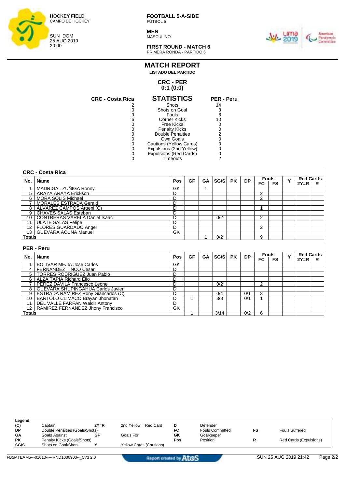

**MEN MASCULINO** 



**FIRST ROUND - MATCH 6** PRIMERA RONDA - PARTIDO 6

### **CRC - PER MATCH REPORT LISTADO DEL PARTIDO**

## **0:1 (0:0)**

| <b>CRC - Costa Rica</b> | <b>STATISTICS</b>       | <b>PER - Peru</b> |
|-------------------------|-------------------------|-------------------|
|                         | Shots                   | 14                |
|                         | Shots on Goal           | 3                 |
| 9                       | Fouls                   | 6                 |
| 6                       | Corner Kicks            | 10                |
|                         | Free Kicks              |                   |
|                         | <b>Penalty Kicks</b>    |                   |
|                         | Double Penalties        | 2                 |
|                         | Own Goals               |                   |
|                         | Cautions (Yellow Cards) |                   |
|                         | Expulsions (2nd Yellow) |                   |
|                         | Expulsions (Red Cards)  |                   |
|                         | Timeouts                |                   |

|               | <b>CRC - Costa Rica</b>          |     |    |           |      |           |           |    |                     |   |                  |                       |
|---------------|----------------------------------|-----|----|-----------|------|-----------|-----------|----|---------------------|---|------------------|-----------------------|
| No.           | Name                             | Pos | GF | GA        | SG/S | <b>PK</b> | <b>DP</b> |    | <b>Fouls</b>        | Y | <b>Red Cards</b> |                       |
|               |                                  |     |    |           |      |           |           | FC | <b>FS</b>           |   | $2Y = R$         | R                     |
|               | MADRIGAL ZUÑIGA Ronny            | GK  |    |           |      |           |           |    |                     |   |                  |                       |
| 5             | ARAYA ARAYA Erickson             | D   |    |           |      |           |           | 2  |                     |   |                  |                       |
| 6             | <b>MORA SOLIS Michael</b>        | D   |    |           |      |           |           | 2  |                     |   |                  |                       |
|               | <b>MORALES ESTRADA Gerald</b>    | D   |    |           |      |           |           |    |                     |   |                  |                       |
| 8             | ALVAREZ CAMPOS Argeni (C)        | D   |    |           |      |           |           |    |                     |   |                  |                       |
| 9             | <b>CHAVES SALAS Esteban</b>      | D   |    |           |      |           |           |    |                     |   |                  |                       |
| 10            | CONTRERAS VARELA Daniel Isaac    | D   |    |           | 0/2  |           |           | 2  |                     |   |                  |                       |
| 11            | <b>ULATE SALAS Felipe</b>        | D   |    |           |      |           |           |    |                     |   |                  |                       |
| 12            | <b>FLORES GUARDADO Angel</b>     | D   |    |           |      |           |           | 2  |                     |   |                  |                       |
| 13            | I GUEVARA ACUÑA Manuel           | GK  |    |           |      |           |           |    |                     |   |                  |                       |
| <b>Totals</b> |                                  |     |    |           | 0/2  |           |           | 9  |                     |   |                  |                       |
|               | <b>PER - Peru</b>                |     |    |           |      |           |           |    |                     |   |                  |                       |
| No.           | Name                             | Pos | GF | <b>GA</b> | SG/S | <b>PK</b> | <b>DP</b> | FC | <b>Fouls</b><br>FS. | Y | $2Y=R$           | <b>Red Cards</b><br>R |
|               | <b>BOLIVAR MEJIA Jose Carlos</b> | GK  |    |           |      |           |           |    |                     |   |                  |                       |
| 4             | FERNANDEZ TINCO Cesar            | D   |    |           |      |           |           |    |                     |   |                  |                       |
|               | 5   TORRES RODRIGUEZ Juan Pablo  | D   |    |           |      |           |           |    |                     |   |                  |                       |

7 PEREZ DAVILA Francesco Leone D 0/2 2

9 | ESTRADA RAMIREZ Rony Giancarlos (C) 0/4 0/1 3 10 BARTOLO CLIMACO Brayan Jhonatan 1 2001 | 1 | 3/8 | 0/1 | 1

**Totals** 1 3/14 0/2 6

6 ALZA TAPIA Richard Elio D

8 | GUEVARA SHUPINGAHUA Carlos Javier | D

11 | DEL VALLE FARFAN Waldir Antony | D 12 | RAMIREZ FERNANDEZ Jhony Francisco GK

| Legend:   |                                |        |                                |     |                        |    |                        |
|-----------|--------------------------------|--------|--------------------------------|-----|------------------------|----|------------------------|
| (C)       | Captain                        | $2Y=R$ | 2nd Yellow = Red Card          | D   | Defender               |    |                        |
| DP        | Double Penalties (Goals/Shots) |        |                                | FC  | <b>Fouls Committed</b> | FS | <b>Fouls Suffered</b>  |
| <b>GA</b> | Goals Against                  | GF     | Goals For                      | GK  | Goalkeeper             |    |                        |
| <b>PK</b> | Penalty Kicks (Goals/Shots)    |        |                                | Pos | Position               |    | Red Cards (Expulsions) |
| SG/S      | Shots on Goal/Shots            |        | <b>Yellow Cards (Cautions)</b> |     |                        |    |                        |
|           |                                |        |                                |     |                        |    |                        |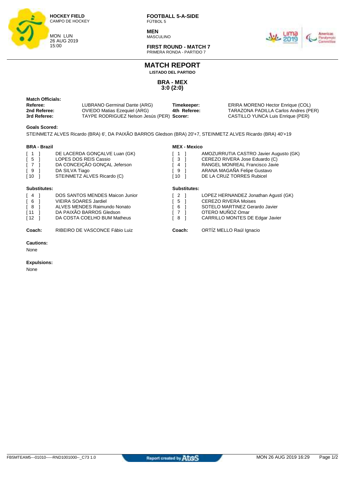

**MEN** MASCULINO



**FIRST ROUND - MATCH 7** PRIMERA RONDA - PARTIDO 7

## **MATCH REPORT**

**LISTADO DEL PARTIDO**

**BRA - MEX 3:0 (2:0)**

| Match Officials: |                                            |              |                                      |
|------------------|--------------------------------------------|--------------|--------------------------------------|
| Referee:         | LUBRANO Germinal Dante (ARG)               | Timekeeper:  | ERIRA MORENO Hector Enrique (COL)    |
| 2nd Referee:     | OVIEDO Matias Ezequiel (ARG)               | 4th Referee: | TARAZONA PADILLA Carlos Andres (PER) |
| 3rd Referee:     | TAYPE RODRIGUEZ Nelson Jesús (PER) Scorer: |              | CASTILLO YUNCA Luis Enrique (PER)    |

#### **Goals Scored:**

STEINMETZ ALVES Ricardo (BRA) 6', DA PAIXÃO BARROS Gledson (BRA) 20'+7, STEINMETZ ALVES Ricardo (BRA) 40'+19

#### **BRA - Brazil**

| <b>BRA - Brazil</b>                                                 |                                                                                                                                         | <b>MEX - Mexico</b>  |                                                                                                                                                                               |
|---------------------------------------------------------------------|-----------------------------------------------------------------------------------------------------------------------------------------|----------------------|-------------------------------------------------------------------------------------------------------------------------------------------------------------------------------|
| $\lceil 1$<br>$\sqrt{5}$<br>$\sqrt{7}$<br>$\sqrt{9}$<br>$\sqrt{10}$ | DE LACERDA GONÇALVE Luan (GK)<br>LOPES DOS REIS Cassio<br>DA CONCEIÇÃO GONÇAL Jeferson<br>DA SILVA Tiago<br>STEINMETZ ALVES Ricardo (C) | -3<br>4<br>- 9<br>ำ0 | AMOZURRUTIA CASTRO Javier Augusto (GK)<br>CEREZO RIVERA Jose Eduardo (C)<br><b>RANGEL MONREAL Francisco Javie</b><br>ARANA MAGAÑA Felipe Gustavo<br>DE LA CRUZ TORRES Rubicel |
| Substitutes:                                                        |                                                                                                                                         | Substitutes:         |                                                                                                                                                                               |
|                                                                     |                                                                                                                                         |                      |                                                                                                                                                                               |

**Coach:** RIBEIRO DE VASCONCE Fábio Luiz **Coach:** ORTÍZ MELLO Raúl Ignacio

**Cautions:**

None

#### **Expulsions:**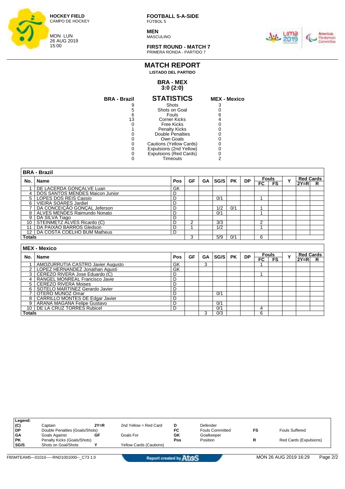

**MEN** MASCULINO



**FIRST ROUND - MATCH 7** PRIMERA RONDA - PARTIDO 7

## **MATCH REPORT LISTADO DEL PARTIDO**

#### **BRA - MEX 3:0 (2:0)**

| <b>BRA - Brazil</b> | <b>STATISTICS</b>       | <b>MEX - Mexico</b> |
|---------------------|-------------------------|---------------------|
|                     | Shots                   |                     |
| 5                   | Shots on Goal           |                     |
| 6                   | Fouls                   |                     |
| 13                  | Corner Kicks            |                     |
|                     | Free Kicks              |                     |
|                     | <b>Penalty Kicks</b>    |                     |
|                     | Double Penalties        |                     |
|                     | Own Goals               |                     |
|                     | Cautions (Yellow Cards) |                     |
|                     | Expulsions (2nd Yellow) |                     |
|                     | Expulsions (Red Cards)  |                     |
|                     | Timeouts                |                     |

|               | <b>BRA - Brazil</b>              |     |    |    |      |           |           |              |              |              |                  |   |  |
|---------------|----------------------------------|-----|----|----|------|-----------|-----------|--------------|--------------|--------------|------------------|---|--|
| No.           | <b>Name</b>                      | Pos | GF | GA | SG/S | <b>PK</b> | <b>DP</b> | <b>Fouls</b> |              | $\checkmark$ | <b>Red Cards</b> |   |  |
|               |                                  |     |    |    |      |           |           | FC.          | <b>FS</b>    |              | $2Y=R$           | R |  |
|               | DE LACERDA GONCALVE Luan         | GK  |    |    |      |           |           |              |              |              |                  |   |  |
| 4             | DOS SANTOS MENDES Maicon Junior  | D   |    |    |      |           |           |              |              |              |                  |   |  |
|               | 5   LOPES DOS REIS Cassio        | D   |    |    | 0/1  |           |           |              |              |              |                  |   |  |
| 6             | <b>VIEIRA SOARES Jardiel</b>     | D   |    |    |      |           |           |              |              |              |                  |   |  |
|               | DA CONCEICÃO GONCAL Jeferson     | D   |    |    | 1/2  | 0/1       |           |              |              |              |                  |   |  |
|               | 8   ALVES MENDES Raimundo Nonato | D   |    |    | 0/1  |           |           |              |              |              |                  |   |  |
| 9             | DA SILVA Tiago                   | D   |    |    |      |           |           |              |              |              |                  |   |  |
| 10            | STEINMETZ ALVES Ricardo (C)      | D   | 2  |    | 3/3  |           |           | っ            |              |              |                  |   |  |
| 11            | DA PAIXÃO BARROS Gledson         | D   |    |    | 1/2  |           |           |              |              |              |                  |   |  |
| 12            | DA COSTA COELHO BUM Matheus      | D   |    |    |      |           |           |              |              |              |                  |   |  |
| <b>Totals</b> |                                  |     | 3  |    | 5/9  | 0/1       |           | 6            |              |              |                  |   |  |
|               |                                  |     |    |    |      |           |           |              |              |              |                  |   |  |
|               | <b>MEX - Mexico</b>              |     |    |    |      |           |           |              |              |              |                  |   |  |
| No.           | Name                             | Pos | GF | GA | SG/S | <b>PK</b> | <b>DP</b> |              | <b>Fouls</b> | $\check{}$   | <b>Red Cards</b> |   |  |
|               |                                  |     |    |    |      |           |           | FC.          | <b>FS</b>    |              | $2Y = R$         | R |  |

|               |                                        |    |   |     |  | ru 1 ro | IZT=RI |  |
|---------------|----------------------------------------|----|---|-----|--|---------|--------|--|
|               | AMOZURRUTIA CASTRO Javier Augusto      | GK | ົ |     |  |         |        |  |
|               | LOPEZ HERNANDEZ Jonathan Agustí        | GK |   |     |  |         |        |  |
|               | CEREZO RIVERA Jose Eduardo (C)         | D  |   |     |  |         |        |  |
|               | RANGEL MONREAL Francisco Javie         |    |   |     |  |         |        |  |
|               | 5 CEREZO RIVERA Moises                 |    |   |     |  |         |        |  |
| 6             | SOTELO MARTINEZ Gerardo Javier         |    |   |     |  |         |        |  |
|               | OTERO MUÑOZ Omar                       |    |   | 0/1 |  |         |        |  |
| 8             | <b>CARRILLO MONTES DE Edgar Javier</b> |    |   |     |  |         |        |  |
| 9             | ARANA MAGAÑA Felipe Gustavo            |    |   | 0/1 |  |         |        |  |
| 10            | DE LA CRUZ TORRES Rubicel              | D  |   | 0/1 |  |         |        |  |
| <b>Totals</b> |                                        |    |   | 0/3 |  |         |        |  |

| Legend:   |                                |        |                                |     |                        |    |                        |
|-----------|--------------------------------|--------|--------------------------------|-----|------------------------|----|------------------------|
| (C)       | Captain                        | $2Y=R$ | 2nd Yellow = Red Card          | D   | Defender               |    |                        |
| l DP      | Double Penalties (Goals/Shots) |        |                                | FC  | <b>Fouls Committed</b> | FS | <b>Fouls Suffered</b>  |
| GA        | Goals Against                  | GF     | Goals For                      | GK  | Goalkeeper             |    |                        |
| <b>PK</b> | Penalty Kicks (Goals/Shots)    |        |                                | Pos | Position               |    | Red Cards (Expulsions) |
| SG/S      | Shots on Goal/Shots            |        | <b>Yellow Cards (Cautions)</b> |     |                        |    |                        |
|           |                                |        |                                |     |                        |    |                        |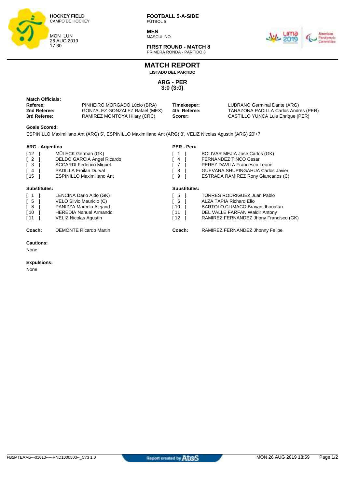

**MEN MASCULINO** 



**FIRST ROUND - MATCH 8** PRIMERA RONDA - PARTIDO 8

**MATCH REPORT**

**LISTADO DEL PARTIDO**

**ARG - PER 3:0 (3:0)**

| Match Officials: |                                |              |                                      |
|------------------|--------------------------------|--------------|--------------------------------------|
| Referee:         | PINHEIRO MORGADO Lúcio (BRA)   | Timekeeper:  | LUBRANO Germinal Dante (ARG)         |
| 2nd Referee:     | GONZALEZ GONZALEZ Rafael (MEX) | 4th Referee: | TARAZONA PADILLA Carlos Andres (PER) |
| 3rd Referee:     | RAMIREZ MONTOYA Hilary (CRC)   | Scorer:      | CASTILLO YUNCA Luis Enrique (PER)    |

#### **Goals Scored:**

ESPINILLO Maximiliano Ant (ARG) 5', ESPINILLO Maximiliano Ant (ARG) 8', VELIZ Nicolas Agustin (ARG) 20'+7

| <b>ARG - Argentina</b>                                                                                                                            |                                                                                                                                                         | <b>PER - Peru</b>               |                                                                                                                                                                                          |  |  |  |  |  |
|---------------------------------------------------------------------------------------------------------------------------------------------------|---------------------------------------------------------------------------------------------------------------------------------------------------------|---------------------------------|------------------------------------------------------------------------------------------------------------------------------------------------------------------------------------------|--|--|--|--|--|
| $\begin{bmatrix} 12 \end{bmatrix}$<br>$\begin{bmatrix} 2 \end{bmatrix}$<br>$\begin{bmatrix} 3 \end{bmatrix}$<br>$\left[ 4 \right]$<br>$\sqrt{15}$ | MÜLECK German (GK)<br>DELDO GARCIA Angel Ricardo<br><b>ACCARDI Federico Miquel</b><br><b>PADILLA Froilan Durval</b><br><b>ESPINILLO Maximiliano Ant</b> | 4<br>8<br>9                     | <b>BOLIVAR MEJIA Jose Carlos (GK)</b><br><b>FERNANDEZ TINCO Cesar</b><br>PEREZ DAVILA Francesco Leone<br><b>GUEVARA SHUPINGAHUA Carlos Javier</b><br>ESTRADA RAMIREZ Rony Giancarlos (C) |  |  |  |  |  |
| Substitutes:                                                                                                                                      |                                                                                                                                                         | Substitutes:                    |                                                                                                                                                                                          |  |  |  |  |  |
| $\begin{bmatrix} 1 \end{bmatrix}$<br>$\overline{1}$ 5<br>$\begin{bmatrix} 8 \end{bmatrix}$<br>[ 10<br>[11]                                        | LENCINA Dario Aldo (GK)<br>VELO Silvio Mauricio (C)<br>PANIZZA Marcelo Alejand<br><b>HEREDIA Nahuel Armando</b><br><b>VELIZ Nicolas Agustin</b>         | -5<br>6<br>[ 10<br>[ 11<br>[ 12 | <b>TORRES RODRIGUEZ Juan Pablo</b><br><b>ALZA TAPIA Richard Elio</b><br>BARTOLO CLIMACO Brayan Jhonatan<br>DEL VALLE FARFAN Waldir Antony<br>RAMIREZ FERNANDEZ Jhony Francisco (GK)      |  |  |  |  |  |
| Coach:                                                                                                                                            | <b>DEMONTE Ricardo Martin</b>                                                                                                                           | Coach:                          | RAMIREZ FERNANDEZ Jhonny Felipe                                                                                                                                                          |  |  |  |  |  |

#### **Cautions:**

None

#### **Expulsions:**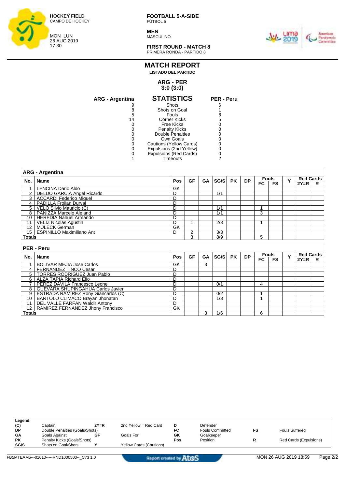

**MEN MASCULINO** 



**FIRST ROUND - MATCH 8** PRIMERA RONDA - PARTIDO 8

## **MATCH REPORT LISTADO DEL PARTIDO**

#### **ARG - PER 3:0 (3:0)**

| ARG - Argentina | <b>STATISTICS</b>       | <b>PER - Peru</b> |
|-----------------|-------------------------|-------------------|
|                 | Shots                   |                   |
| 8               | Shots on Goal           |                   |
| 5               | Fouls                   |                   |
| 14              | <b>Corner Kicks</b>     | 5                 |
|                 | Free Kicks              |                   |
|                 | <b>Penalty Kicks</b>    |                   |
|                 | <b>Double Penalties</b> |                   |
|                 | Own Goals               |                   |
|                 | Cautions (Yellow Cards) |                   |
|                 | Expulsions (2nd Yellow) |                   |
|                 | Expulsions (Red Cards)  |                   |
|                 | Timeouts                |                   |
|                 |                         |                   |

|                | <b>ARG - Argentina</b>                                                   |                |                |           |                  |           |           |              |                |   |                  |   |
|----------------|--------------------------------------------------------------------------|----------------|----------------|-----------|------------------|-----------|-----------|--------------|----------------|---|------------------|---|
| No.            | Name                                                                     | Pos            | <b>GF</b>      | <b>GA</b> | SG/S             | <b>PK</b> | <b>DP</b> | <b>Fouls</b> |                | Y | <b>Red Cards</b> |   |
|                |                                                                          |                |                |           |                  |           |           | $F_{\rm C}$  | <b>FS</b>      |   | $2Y = R$         | R |
|                | LENCINA Dario Aldo                                                       | GK             |                |           |                  |           |           |              |                |   |                  |   |
| $\overline{2}$ | <b>DELDO GARCIA Angel Ricardo</b>                                        | D              |                |           | 1/1              |           |           |              |                |   |                  |   |
| 3              | <b>ACCARDI Federico Miquel</b>                                           | D              |                |           |                  |           |           |              |                |   |                  |   |
| 4              | PADILLA Froilan Durval                                                   | D              |                |           |                  |           |           |              |                |   |                  |   |
| 5              | VELO Silvio Mauricio (C)                                                 | D              |                |           | 1/1              |           |           | A            |                |   |                  |   |
| 8              | PANIZZA Marcelo Alejand                                                  | D              |                |           | 1/1              |           |           | 3            |                |   |                  |   |
| 10             | <b>HEREDIA Nahuel Armando</b>                                            | D              |                |           |                  |           |           |              |                |   |                  |   |
| 11             | <b>VELIZ Nicolas Agustin</b>                                             | $\overline{D}$ |                |           | $\overline{2/3}$ |           |           | 4            |                |   |                  |   |
| 12             | MÜLECK German                                                            | GK             |                |           |                  |           |           |              |                |   |                  |   |
| 15             | <b>ESPINILLO Maximiliano Ant</b>                                         | D              | $\overline{2}$ |           | 3/3              |           |           |              |                |   |                  |   |
|                | Totals                                                                   |                |                |           | 8/9              |           |           | 5            |                |   |                  |   |
|                |                                                                          |                |                |           |                  |           |           |              |                |   |                  |   |
|                |                                                                          |                |                |           |                  |           |           |              |                |   |                  |   |
|                | PER - Peru                                                               |                |                |           |                  |           |           |              |                |   |                  |   |
|                |                                                                          |                |                |           |                  |           |           |              | <b>Fouls</b>   |   | <b>Red Cards</b> |   |
| No.            | Name                                                                     | Pos            | <b>GF</b>      | GA        | SG/S             | <b>PK</b> | <b>DP</b> | $F_{\rm C}$  | F <sub>S</sub> | Y | $2Y=R$           | R |
|                | <b>BOLIVAR MEJIA Jose Carlos</b>                                         | GK             |                | 3         |                  |           |           |              |                |   |                  |   |
| 4              | <b>FERNANDEZ TINCO Cesar</b>                                             | D              |                |           |                  |           |           |              |                |   |                  |   |
| 5              | <b>TORRES RODRIGUEZ Juan Pablo</b>                                       | D              |                |           |                  |           |           |              |                |   |                  |   |
| 6              | <b>ALZA TAPIA Richard Elio</b>                                           | D              |                |           |                  |           |           |              |                |   |                  |   |
| $\overline{7}$ | PEREZ DAVILA Francesco Leone                                             | D              |                |           | 0/1              |           |           | 4            |                |   |                  |   |
| 8              | GUEVARA SHUPINGAHUA Carlos Javier                                        | D              |                |           |                  |           |           |              |                |   |                  |   |
| 9              | ESTRADA RAMIREZ Rony Giancarlos (C)                                      | D              |                |           | 0/2              |           |           | и            |                |   |                  |   |
| 10             | BARTOLO CLIMACO Brayan Jhonatan<br><b>DEL VALLE FARFAN Waldir Antony</b> | D<br>D         |                |           | $\overline{1/3}$ |           |           |              |                |   |                  |   |

| Legend:   |                                |        |                                |     |                        |                        |
|-----------|--------------------------------|--------|--------------------------------|-----|------------------------|------------------------|
| (C)       | Captain                        | $2Y=R$ | 2nd Yellow = Red Card          | D   | Defender               |                        |
| <b>DP</b> | Double Penalties (Goals/Shots) |        |                                | FC  | <b>Fouls Committed</b> | <b>Fouls Suffered</b>  |
| <b>GA</b> | Goals Against                  | GF     | Goals For                      | GK  | Goalkeeper             |                        |
| <b>PK</b> | Penalty Kicks (Goals/Shots)    |        |                                | Pos | Position               | Red Cards (Expulsions) |
| SG/S      | Shots on Goal/Shots            |        | <b>Yellow Cards (Cautions)</b> |     |                        |                        |
|           |                                |        |                                |     |                        |                        |

12 | RAMIREZ FERNANDEZ Jhony Francisco GK

**Totals** 3 1/6 6 6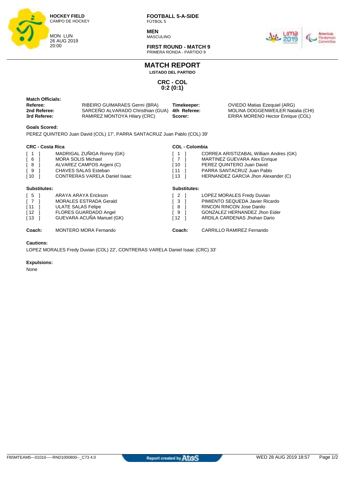

**MEN** MASCULINO



**FIRST ROUND - MATCH 9** PRIMERA RONDA - PARTIDO 9

**MATCH REPORT**

**LISTADO DEL PARTIDO**

**CRC - COL 0:2 (0:1)**

| <b>Match Officials:</b><br>RIBEIRO GUIMARAES Germi (BRA)<br>Referee:<br>Timekeeper:<br>SARCENO ALVARADO Christhian (GUA)<br>2nd Referee:<br>4th Referee:<br>RAMIREZ MONTOYA Hilary (CRC)<br>3rd Referee:<br>Scorer: | OVIEDO Matias Ezequiel (ARG)<br>MOLINA DOGGENWEILER Natalia (CHI)<br>ERIRA MORENO Hector Enrique (COL) |
|---------------------------------------------------------------------------------------------------------------------------------------------------------------------------------------------------------------------|--------------------------------------------------------------------------------------------------------|
|---------------------------------------------------------------------------------------------------------------------------------------------------------------------------------------------------------------------|--------------------------------------------------------------------------------------------------------|

#### **Goals Scored:**

PEREZ QUINTERO Juan David (COL) 17', PARRA SANTACRUZ Juan Pablo (COL) 39'

### **CRC - Costa Rica**

| <b>CRC - Costa Rica</b>                                                                                                    |                                                                                                                                                             |                                         | <b>COL - Colombia</b>                                                                                                                                                            |  |  |  |  |  |  |
|----------------------------------------------------------------------------------------------------------------------------|-------------------------------------------------------------------------------------------------------------------------------------------------------------|-----------------------------------------|----------------------------------------------------------------------------------------------------------------------------------------------------------------------------------|--|--|--|--|--|--|
| $\begin{bmatrix} 1 \end{bmatrix}$<br>[6]<br>[8]<br>[9<br>[10                                                               | MADRIGAL ZUÑIGA Ronny (GK)<br><b>MORA SOLIS Michael</b><br>ALVAREZ CAMPOS Argeni (C)<br><b>CHAVES SALAS Esteban</b><br><b>CONTRERAS VARELA Daniel Isaac</b> | (1)<br>10<br>i 11<br>์ 13               | CORREA ARISTIZABAL William Andres (GK)<br><b>MARTINEZ GUEVARA Alex Enrique</b><br>PEREZ QUINTERO Juan David<br>PARRA SANTACRUZ Juan Pablo<br>HERNANDEZ GARCIA Jhon Alexander (C) |  |  |  |  |  |  |
| Substitutes:                                                                                                               |                                                                                                                                                             | <b>Substitutes:</b>                     |                                                                                                                                                                                  |  |  |  |  |  |  |
| $\begin{bmatrix} 5 \end{bmatrix}$<br>$\begin{bmatrix} 7 \end{bmatrix}$<br>$\lceil 11 \rceil$<br>$\sqrt{12}$<br>$\sqrt{13}$ | ARAYA ARAYA Erickson<br><b>MORALES ESTRADA Gerald</b><br><b>ULATE SALAS Felipe</b><br>FLORES GUARDADO Angel<br>GUEVARA ACUÑA Manuel (GK)                    | $\overline{2}$<br>3<br>8<br>- 9<br>[ 12 | LOPEZ MORALES Fredy Duvian<br>PIMIENTO SEQUEDA Javier Ricardo<br><b>RINCON RINCON Jose Danilo</b><br>GONZALEZ HERNANDEZ Jhon Eider<br>ARDILA CARDENAS Jhohan Dario               |  |  |  |  |  |  |
| Coach:                                                                                                                     | <b>MONTERO MORA Fernando</b>                                                                                                                                | Coach:                                  | <b>CARRILLO RAMIREZ Fernando</b>                                                                                                                                                 |  |  |  |  |  |  |

#### **Cautions:**

LOPEZ MORALES Fredy Duvian (COL) 22', CONTRERAS VARELA Daniel Isaac (CRC) 33'

#### **Expulsions:**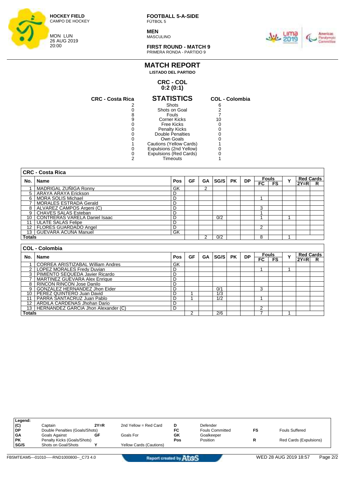

**MEN MASCULINO** 



**FIRST ROUND - MATCH 9** PRIMERA RONDA - PARTIDO 9

#### **MATCH REPORT LISTADO DEL PARTIDO**

#### **CRC - COL 0:2 (0:1)**

| <b>CRC - Costa Rica</b> | <b>STATISTICS</b>       | <b>COL - Colombia</b> |
|-------------------------|-------------------------|-----------------------|
|                         | Shots                   | 6                     |
|                         | Shots on Goal           |                       |
|                         | Fouls                   |                       |
| 9                       | <b>Corner Kicks</b>     | 10                    |
|                         | Free Kicks              |                       |
|                         | <b>Penalty Kicks</b>    |                       |
|                         | Double Penalties        |                       |
|                         | Own Goals               |                       |
|                         | Cautions (Yellow Cards) |                       |
|                         | Expulsions (2nd Yellow) |                       |
|                         | Expulsions (Red Cards)  |                       |
|                         | Timeouts                |                       |
|                         |                         |                       |

| 6                       |  |
|-------------------------|--|
| $\overline{\mathbf{c}}$ |  |
| 7                       |  |
| 10                      |  |
| 0                       |  |
| 0                       |  |
| 0                       |  |
| 0                       |  |
| 1                       |  |
| 0                       |  |
| 0                       |  |
| 1                       |  |
|                         |  |

|               | <b>CRC - Costa Rica</b>                  |     |    |           |      |           |           |                |                |   |        |                  |
|---------------|------------------------------------------|-----|----|-----------|------|-----------|-----------|----------------|----------------|---|--------|------------------|
| No.           | Name                                     | Pos | GF | <b>GA</b> | SG/S | <b>PK</b> | <b>DP</b> |                | <b>Fouls</b>   | Y |        | <b>Red Cards</b> |
|               |                                          |     |    |           |      |           |           | $_{\sf FC}$    | F <sub>S</sub> |   | $2Y=R$ | R                |
|               | MADRIGAL ZUNIGA Ronny                    | GK  |    | 2         |      |           |           |                |                |   |        |                  |
| 5             | ARAYA ARAYA Erickson                     | D   |    |           |      |           |           |                |                |   |        |                  |
| 6             | <b>MORA SOLIS Michael</b>                | D   |    |           |      |           |           |                |                |   |        |                  |
|               | <b>MORALES ESTRADA Gerald</b>            | D   |    |           |      |           |           |                |                |   |        |                  |
| 8             | ALVAREZ CAMPOS Argeni (C)                | D   |    |           |      |           |           | 3              |                |   |        |                  |
| 9             | <b>CHAVES SALAS Esteban</b>              | D   |    |           |      |           |           |                |                |   |        |                  |
| 10            | <b>CONTRERAS VARELA Daniel Isaac</b>     | D   |    |           | 0/2  |           |           |                |                |   |        |                  |
| 11            | <b>ULATE SALAS Felipe</b>                | D   |    |           |      |           |           |                |                |   |        |                  |
| 12            | <b>FLORES GUARDADO Angel</b>             | D   |    |           |      |           |           | $\overline{2}$ |                |   |        |                  |
| 13            | <b>GUEVARA ACUÑA Manuel</b>              | GK  |    |           |      |           |           |                |                |   |        |                  |
| <b>Totals</b> |                                          |     |    | 2         | 0/2  |           |           | 8              |                |   |        |                  |
|               |                                          |     |    |           |      |           |           |                |                |   |        |                  |
|               | <b>COL - Colombia</b>                    |     |    |           |      |           |           |                |                |   |        |                  |
| No.           | Name                                     | Pos | GF | <b>GA</b> | SG/S | <b>PK</b> | <b>DP</b> |                | <b>Fouls</b>   | Y |        | <b>Red Cards</b> |
|               |                                          |     |    |           |      |           |           | FC             | <b>FS</b>      |   | $2Y=R$ | R                |
|               | <b>CORREA ARISTIZABAL William Andres</b> | GK  |    |           |      |           |           |                |                |   |        |                  |
| 2             | LOPEZ MORALES Fredy Duvian               | D   |    |           |      |           |           |                |                |   |        |                  |
| 3             | PIMIENTO SEQUEDA Javier Ricardo          | D   |    |           |      |           |           |                |                |   |        |                  |
|               | <b>MARTINEZ GUEVARA Alex Enrique</b>     | D   |    |           |      |           |           |                |                |   |        |                  |

| Totals          |                                     |  | 2/6 |  |   |  |  |
|-----------------|-------------------------------------|--|-----|--|---|--|--|
| 13 <sub>1</sub> | HERNANDEZ GARCIA Jhon Alexander (C) |  |     |  |   |  |  |
| 12 I            | I ARDILA CARDENAS Jhohan Dario      |  |     |  |   |  |  |
|                 | PARRA SANTACRUZ Juan Pablo          |  | 1/2 |  |   |  |  |
| 10.             | PEREZ QUINTERO Juan David           |  | 1/3 |  |   |  |  |
|                 | GONZALEZ HERNANDEZ Jhon Eider       |  | 0/1 |  | ື |  |  |
|                 | RINCON RINCON Jose Danilo           |  |     |  |   |  |  |
|                 | MARTINEZ GUEVARA AIEX ENIQUE        |  |     |  |   |  |  |

| Legend:   |                                |        |                                |     |                        |    |                        |
|-----------|--------------------------------|--------|--------------------------------|-----|------------------------|----|------------------------|
| (C)       | Captain                        | $2Y=R$ | 2nd Yellow = Red Card          | D   | Defender               |    |                        |
| DP        | Double Penalties (Goals/Shots) |        |                                | FC  | <b>Fouls Committed</b> | FS | <b>Fouls Suffered</b>  |
| l GA      | Goals Against                  | GF     | Goals For                      | GK  | Goalkeeper             |    |                        |
| <b>PK</b> | Penalty Kicks (Goals/Shots)    |        |                                | Pos | Position               |    | Red Cards (Expulsions) |
| SG/S      | Shots on Goal/Shots            |        | <b>Yellow Cards (Cautions)</b> |     |                        |    |                        |
|           |                                |        |                                |     |                        |    |                        |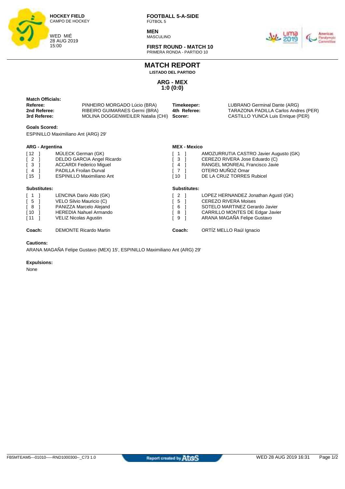

**MEN MASCULINO** 



**FIRST ROUND - MATCH 10** PRIMERA RONDA - PARTIDO 10

**MATCH REPORT**

**LISTADO DEL PARTIDO**

**ARG - MEX 1:0 (0:0)**

| <b>Match Officials:</b><br>Referee:<br>2nd Referee:<br>3rd Referee:                                                       | PINHEIRO MORGADO Lúcio (BRA)<br>RIBEIRO GUIMARAES Germi (BRA)<br>MOLINA DOGGENWEILER Natalia (CHI)                                                      | Timekeeper:<br>4th Referee:<br>Scorer:        | LUBRANO Germinal Dante (ARG)<br>TARAZONA PADILLA Carlos Andres (PER)<br>CASTILLO YUNCA Luis Enrique (PER)                                                               |
|---------------------------------------------------------------------------------------------------------------------------|---------------------------------------------------------------------------------------------------------------------------------------------------------|-----------------------------------------------|-------------------------------------------------------------------------------------------------------------------------------------------------------------------------|
| <b>Goals Scored:</b>                                                                                                      |                                                                                                                                                         |                                               |                                                                                                                                                                         |
|                                                                                                                           | <b>ESPINILLO Maximiliano Ant (ARG) 29'</b>                                                                                                              |                                               |                                                                                                                                                                         |
| <b>ARG - Argentina</b>                                                                                                    |                                                                                                                                                         | <b>MEX - Mexico</b>                           |                                                                                                                                                                         |
| $[12]$<br>$\begin{bmatrix} 2 \end{bmatrix}$<br>$\sqrt{3}$<br>$\lceil 4 \rceil$<br>$\sqrt{15}$                             | MÜLECK German (GK)<br>DELDO GARCIA Angel Ricardo<br><b>ACCARDI Federico Miquel</b><br><b>PADILLA Froilan Durval</b><br><b>ESPINILLO Maximiliano Ant</b> | 3 <sup>1</sup><br>4<br>$\overline{7}$<br>[ 10 | AMOZURRUTIA CASTRO Javier Augusto (GK)<br>CEREZO RIVERA Jose Eduardo (C)<br>RANGEL MONREAL Francisco Javie<br>OTERO MUÑOZ Omar<br>DE LA CRUZ TORRES Rubicel             |
| <b>Substitutes:</b>                                                                                                       |                                                                                                                                                         | <b>Substitutes:</b>                           |                                                                                                                                                                         |
| $\begin{bmatrix} 1 \end{bmatrix}$<br>$\begin{bmatrix} 5 \end{bmatrix}$<br>$\sqrt{8}$<br>$\sqrt{10}$<br>$\lceil 11 \rceil$ | LENCINA Dario Aldo (GK)<br>VELO Silvio Mauricio (C)<br>PANIZZA Marcelo Alejand<br><b>HEREDIA Nahuel Armando</b><br>VELIZ Nicolas Agustin                | 2<br>5<br>6<br>8<br>9                         | LOPEZ HERNANDEZ Jonathan Agustí (GK)<br><b>CEREZO RIVERA Moises</b><br>SOTELO MARTINEZ Gerardo Javier<br>CARRILLO MONTES DE Edgar Javier<br>ARANA MAGAÑA Felipe Gustavo |
| Coach:                                                                                                                    | <b>DEMONTE Ricardo Martin</b>                                                                                                                           | Coach:                                        | ORTÍZ MELLO Raúl Ignacio                                                                                                                                                |

#### **Cautions:**

ARANA MAGAÑA Felipe Gustavo (MEX) 15', ESPINILLO Maximiliano Ant (ARG) 29'

#### **Expulsions:**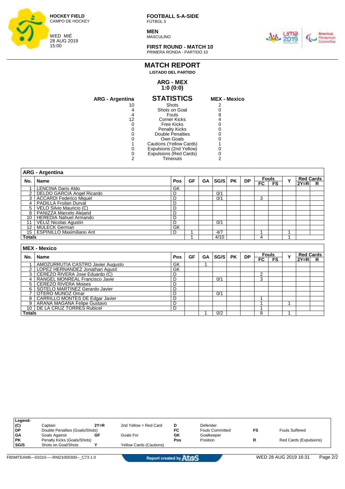

**MEN** MASCULINO



**FIRST ROUND - MATCH 10** PRIMERA RONDA - PARTIDO 10

### **MATCH REPORT LISTADO DEL PARTIDO**

#### **ARG - MEX 1:0 (0:0)**

| ARG - Argentina | <b>STATISTICS</b>       | <b>MEX - Mexico</b> |
|-----------------|-------------------------|---------------------|
| 10              | Shots                   |                     |
|                 | Shots on Goal           |                     |
|                 | Fouls                   |                     |
| 12              | <b>Corner Kicks</b>     |                     |
|                 | Free Kicks              |                     |
|                 | <b>Penalty Kicks</b>    |                     |
|                 | Double Penalties        |                     |
|                 | Own Goals               |                     |
|                 | Cautions (Yellow Cards) |                     |
|                 | Expulsions (2nd Yellow) |                     |
|                 | Expulsions (Red Cards)  |                     |
|                 | Timeouts                |                     |
|                 |                         |                     |

|                 | <b>ARG - Argentina</b>            |     |    |           |      |           |           |                 |              |   |                  |   |
|-----------------|-----------------------------------|-----|----|-----------|------|-----------|-----------|-----------------|--------------|---|------------------|---|
| No.             | Name                              | Pos | GF | <b>GA</b> | SG/S | <b>PK</b> | <b>DP</b> |                 | <b>Fouls</b> | Y | <b>Red Cards</b> |   |
|                 |                                   |     |    |           |      |           |           | $\overline{FC}$ | FS           |   | $2Y=R$           | R |
|                 | LENCINA Dario Aldo                | GK  |    |           |      |           |           |                 |              |   |                  |   |
| $\overline{2}$  | DELDO GARCIA Angel Ricardo        | D   |    |           | 0/1  |           |           |                 |              |   |                  |   |
| 3               | <b>ACCARDI Federico Miguel</b>    | D   |    |           | 0/1  |           |           | 3               |              |   |                  |   |
| 4               | PADILLA Froilan Durval            | D   |    |           |      |           |           |                 |              |   |                  |   |
| 5               | VELO Silvio Mauricio (C)          | D   |    |           |      |           |           |                 |              |   |                  |   |
| 8               | PANIZZA Marcelo Alejand           | D   |    |           |      |           |           |                 |              |   |                  |   |
| 10              | <b>HEREDIA Nahuel Armando</b>     | D   |    |           |      |           |           |                 |              |   |                  |   |
| 11              | VELIZ Nicolas Agustin             | D   |    |           | 0/1  |           |           |                 |              |   |                  |   |
| $\overline{12}$ | <b>MÜLECK German</b>              | GK  |    |           |      |           |           |                 |              |   |                  |   |
| 15              | <b>ESPINILLO Maximiliano Ant</b>  | D   |    |           | 4/7  |           |           | 4               |              |   |                  |   |
| <b>Totals</b>   |                                   |     |    |           | 4/10 |           |           | 4               |              |   |                  |   |
|                 |                                   |     |    |           |      |           |           |                 |              |   |                  |   |
|                 | <b>MEX - Mexico</b>               |     |    |           |      |           |           |                 |              |   |                  |   |
| No.             | <b>Name</b>                       | Pos | GF | <b>GA</b> | SG/S | <b>PK</b> | <b>DP</b> |                 | <b>Fouls</b> | Y | <b>Red Cards</b> |   |
|                 |                                   |     |    |           |      |           |           | FC              | <b>FS</b>    |   | $2Y=R$           | R |
|                 | AMOZURRUTIA CASTRO Javier Augusto | GK  |    |           |      |           |           |                 |              |   |                  |   |
| 2               | LOPEZ HERNANDEZ Jonathan Agustí   | GK  |    |           |      |           |           |                 |              |   |                  |   |
| 3               | CEREZO RIVERA Jose Eduardo (C)    | D   |    |           |      |           |           | $\overline{2}$  |              |   |                  |   |
| 4               | RANGEL MONREAL Francisco Javie    | D   |    |           | 0/1  |           |           | 3               |              |   |                  |   |
| 5               | <b>CEREZO RIVERA Moises</b>       | D   |    |           |      |           |           |                 |              |   |                  |   |
| 6               | SOTELO MARTINEZ Gerardo Javier    | D   |    |           |      |           |           |                 |              |   |                  |   |
|                 | OTERO MUÑOZ Omar                  | D   |    |           | 0/1  |           |           |                 |              |   |                  |   |

8 CARRILLO MONTES DE Edgar Javier D 1

10 DE LA CRUZ TORRES Rubicel D 1

9 ARANA MAGAÑA Felipe Gustavo D 1 1

**Totals** 1 0/2 8 1

| Legend:   |                                |        |                                |     |                        |    |                        |
|-----------|--------------------------------|--------|--------------------------------|-----|------------------------|----|------------------------|
| (C)       | Captain                        | $2Y=R$ | 2nd Yellow = Red Card          | D   | Defender               |    |                        |
| DP        | Double Penalties (Goals/Shots) |        |                                | FC  | <b>Fouls Committed</b> | FS | <b>Fouls Suffered</b>  |
| <b>GA</b> | Goals Against                  | GF     | Goals For                      | GK  | Goalkeeper             |    |                        |
| <b>PK</b> | Penalty Kicks (Goals/Shots)    |        |                                | Pos | Position               |    | Red Cards (Expulsions) |
| SG/S      | Shots on Goal/Shots            |        | <b>Yellow Cards (Cautions)</b> |     |                        |    |                        |
|           |                                |        |                                |     |                        |    |                        |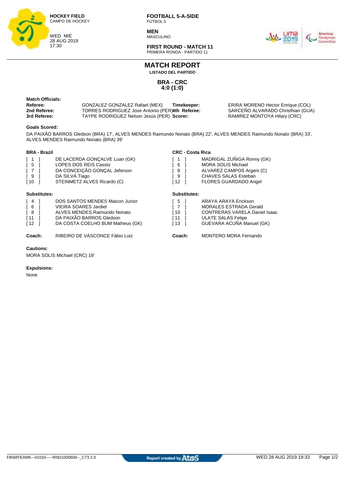

**MEN** MASCULINO



**FIRST ROUND - MATCH 11** PRIMERA RONDA - PARTIDO 11

**MATCH REPORT**

**LISTADO DEL PARTIDO**

**BRA - CRC 4:0 (1:0)**

**Match Officials:** 

**Referee:** GONZALEZ GONZALEZ Rafael (MEX) **Timekeeper:** ERIRA MORENO Hector Enrique (COL)<br> **2nd Referee:** TORRES RODRIGUEZ Jose Antonio (PER)4th Referee: SARCEÑO ALVARADO Christhian (GUA) **2nd Referee:** TORRES RODRIGUEZ Jose Antonio (PER)4th Referee: SARCEÑO ALVARADO Christhian (<br> **3rd Referee:** TAYPE RODRIGUEZ Nelson Jesús (PER) **Scorer:** RAMIREZ MONTOYA Hilary (CRC) **TAYPE RODRIGUEZ Nelson Jesús (PER) Scorer:** 

#### **Goals Scored:**

DA PAIXÃO BARROS Gledson (BRA) 17', ALVES MENDES Raimundo Nonato (BRA) 22', ALVES MENDES Raimundo Nonato (BRA) 33', ALVES MENDES Raimundo Nonato (BRA) 39'

**CRC - Costa Rica**

#### **BRA - Brazil**

| $\sqrt{1}$<br>$\sqrt{5}$<br>$\sqrt{7}$<br>[ 9<br>$\sqrt{10}$  | DE LACERDA GONÇALVE Luan (GK)<br>LOPES DOS REIS Cassio<br>DA CONCEIÇÃO GONÇAL Jeferson<br>DA SILVA Tiago<br>STEINMETZ ALVES Ricardo (C)                                | - 6<br>- 8<br>് 9<br>[ 12 | MADRIGAL ZUÑIGA Ronny (GK)<br><b>MORA SOLIS Michael</b><br>ALVAREZ CAMPOS Argeni (C)<br><b>CHAVES SALAS Esteban</b><br><b>FLORES GUARDADO Angel</b>     |
|---------------------------------------------------------------|------------------------------------------------------------------------------------------------------------------------------------------------------------------------|---------------------------|---------------------------------------------------------------------------------------------------------------------------------------------------------|
| Substitutes:                                                  |                                                                                                                                                                        | Substitutes:              |                                                                                                                                                         |
| $\sqrt{4}$<br>$\sqrt{6}$<br>[ 8<br>$\sqrt{11}$<br>$\sqrt{12}$ | <b>DOS SANTOS MENDES Maicon Junior</b><br><b>VIEIRA SOARES Jardiel</b><br>ALVES MENDES Raimundo Nonato<br>DA PAIXÃO BARROS Gledson<br>DA COSTA COELHO BUM Matheus (GK) | [5<br>10<br>ſ 11<br>[ 13  | ARAYA ARAYA Erickson<br><b>MORALES ESTRADA Gerald</b><br><b>CONTRERAS VARELA Daniel Isaac</b><br><b>ULATE SALAS Felipe</b><br>GUEVARA ACUÑA Manuel (GK) |

**Coach:** RIBEIRO DE VASCONCE Fábio Luiz **Coach:** MONTERO MORA Fernando

**Cautions:**

MORA SOLIS Michael (CRC) 19'

#### **Expulsions:**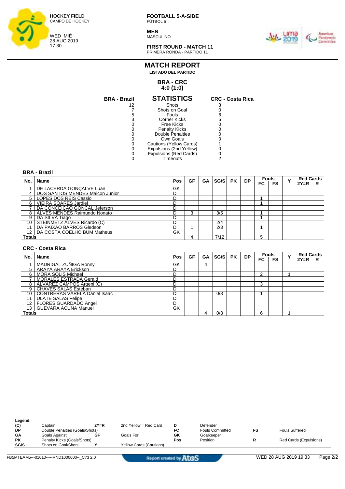

**MEN MASCULINO** 



**FIRST ROUND - MATCH 11** PRIMERA RONDA - PARTIDO 11

#### **MATCH REPORT LISTADO DEL PARTIDO**

#### **BRA - CRC 4:0 (1:0)**

| <b>BRA - Brazil</b> | <b>STATISTICS</b>       | <b>CRC - Costa Rica</b> |
|---------------------|-------------------------|-------------------------|
| 12                  | Shots                   |                         |
|                     | Shots on Goal           |                         |
| 5                   | Fouls                   |                         |
| 3                   | Corner Kicks            |                         |
|                     | Free Kicks              |                         |
|                     | <b>Penalty Kicks</b>    |                         |
|                     | Double Penalties        |                         |
|                     | Own Goals               |                         |
| 0                   | Cautions (Yellow Cards) |                         |
|                     | Expulsions (2nd Yellow) |                         |
| O                   | Expulsions (Red Cards)  |                         |
|                     | Timeouts                |                         |
|                     |                         |                         |

|               | <b>BRA - Brazil</b>             |     |    |    |      |           |           |     |                           |   |                              |   |
|---------------|---------------------------------|-----|----|----|------|-----------|-----------|-----|---------------------------|---|------------------------------|---|
| No.           | Name                            | Pos | GF | GA | SG/S | <b>PK</b> | <b>DP</b> | FC. | <b>Fouls</b><br><b>FS</b> | v | <b>Red Cards</b><br>$2Y = R$ | R |
|               | DE LACERDA GONCALVE Luan        | GK  |    |    |      |           |           |     |                           |   |                              |   |
| 4             | DOS SANTOS MENDES Maicon Junior | D   |    |    |      |           |           |     |                           |   |                              |   |
| 5             | LOPES DOS REIS Cassio           | D   |    |    |      |           |           |     |                           |   |                              |   |
| 6             | <b>VIEIRA SOARES Jardiel</b>    | D   |    |    |      |           |           |     |                           |   |                              |   |
|               | DA CONCEIÇÃO GONÇAL Jeferson    | D   |    |    |      |           |           |     |                           |   |                              |   |
| 8             | ALVES MENDES Raimundo Nonato    | D   | 3  |    | 3/5  |           |           |     |                           |   |                              |   |
| 9             | DA SILVA Tiago                  |     |    |    |      |           |           |     |                           |   |                              |   |
| 10            | STEINMETZ ALVES Ricardo (C)     | D   |    |    | 2/4  |           |           |     |                           |   |                              |   |
| 11            | DA PAIXÃO BARROS Gledson        | D   |    |    | 2/3  |           |           |     |                           |   |                              |   |
| 12            | DA COSTA COELHO BUM Matheus     | GK  |    |    |      |           |           |     |                           |   |                              |   |
| <b>Totals</b> |                                 |     | 4  |    | 7/12 |           |           | 5   |                           |   |                              |   |
|               |                                 |     |    |    |      |           |           |     |                           |   |                              |   |
|               | <b>CRC - Costa Rica</b>         |     |    |    |      |           |           |     |                           |   |                              |   |

|                 | UNU - UUSIA NIUA                   |            |    |    |      |           |           |              |           |             |                  |    |
|-----------------|------------------------------------|------------|----|----|------|-----------|-----------|--------------|-----------|-------------|------------------|----|
| No.             | Name                               | <b>Pos</b> | GF | GA | SG/S | <b>PK</b> | <b>DP</b> | <b>Fouls</b> |           | $\mathbf v$ | <b>Red Cards</b> |    |
|                 |                                    |            |    |    |      |           |           | FC           | <b>FS</b> |             | $2Y=R$           | R. |
|                 | MADRIGAL ZUÑIGA Ronny<br>GK        |            |    | 4  |      |           |           |              |           |             |                  |    |
| 5               | ARAYA ARAYA Erickson<br>D          |            |    |    |      |           |           |              |           |             |                  |    |
| 6 I             | MORA SOLIS Michael<br>D            |            |    |    |      |           |           | n            |           |             |                  |    |
|                 | <b>MORALES ESTRADA Gerald</b><br>D |            |    |    |      |           |           |              |           |             |                  |    |
| 8 I             | ALVAREZ CAMPOS Argeni (C)<br>D     |            |    |    |      |           |           | 3            |           |             |                  |    |
| 9 I             | <b>CHAVES SALAS Esteban</b><br>D   |            |    |    |      |           |           |              |           |             |                  |    |
| 10 <sup>1</sup> | CONTRERAS VARELA Daniel Isaac<br>D |            |    |    | 0/3  |           |           |              |           |             |                  |    |
|                 | <b>ULATE SALAS Felipe</b><br>D     |            |    |    |      |           |           |              |           |             |                  |    |
| 12 <sub>1</sub> | <b>FLORES GUARDADO Angel</b><br>D  |            |    |    |      |           |           |              |           |             |                  |    |
| 13 <sup>1</sup> | <b>GUEVARA ACUÑA Manuel</b><br>GK  |            |    |    |      |           |           |              |           |             |                  |    |
| <b>Totals</b>   |                                    |            |    |    | 0/3  |           |           | 6            |           |             |                  |    |

| Legend:   |                                |        |                         |     |                        |    |                        |
|-----------|--------------------------------|--------|-------------------------|-----|------------------------|----|------------------------|
| (C)       | Captain                        | $2Y=R$ | 2nd Yellow = Red Card   | D   | Defender               |    |                        |
| l DP      | Double Penalties (Goals/Shots) |        |                         | FC  | <b>Fouls Committed</b> | FS | <b>Fouls Suffered</b>  |
| <b>GA</b> | Goals Against                  | GF     | Goals For               | GK  | Goalkeeper             |    |                        |
| <b>PK</b> | Penalty Kicks (Goals/Shots)    |        |                         | Pos | Position               |    | Red Cards (Expulsions) |
| SG/S      | Shots on Goal/Shots            |        | Yellow Cards (Cautions) |     |                        |    |                        |
|           |                                |        |                         |     |                        |    |                        |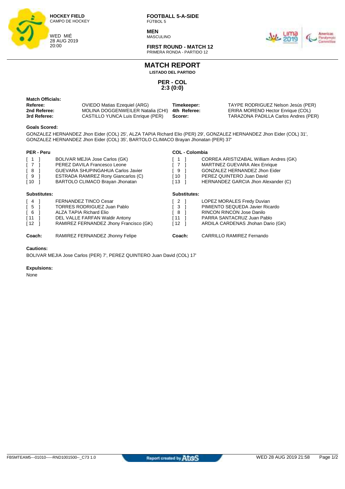

**MEN MASCULINO** 



**FIRST ROUND - MATCH 12** PRIMERA RONDA - PARTIDO 12

## **MATCH REPORT**

**LISTADO DEL PARTIDO**

**PER - COL 2:3 (0:0)**

| Match Officials:<br>Referee:<br>2nd Referee: | <b>OVIEDO Matias Ezequiel (ARG)</b><br>MOLINA DOGGENWEILER Natalia (CHI) | Timekeeper:<br>4th Referee: | TAYPE RODRIGUEZ Nelson Jesús (PER)<br>ERIRA MORENO Hector Enrique (COL) |
|----------------------------------------------|--------------------------------------------------------------------------|-----------------------------|-------------------------------------------------------------------------|
| 3rd Referee:                                 | CASTILLO YUNCA Luis Enrique (PER)                                        | Scorer:                     | TARAZONA PADILLA Carlos Andres (PER)                                    |

#### **Goals Scored:**

GONZALEZ HERNANDEZ Jhon Eider (COL) 25', ALZA TAPIA Richard Elio (PER) 29', GONZALEZ HERNANDEZ Jhon Eider (COL) 31', GONZALEZ HERNANDEZ Jhon Eider (COL) 35', BARTOLO CLIMACO Brayan Jhonatan (PER) 37'

#### **PER - Peru**

| <b>PER - Peru</b>                                                                           |                                                                                                                                                                                             | <b>COL - Colombia</b>            |                                                                                                                                                                              |
|---------------------------------------------------------------------------------------------|---------------------------------------------------------------------------------------------------------------------------------------------------------------------------------------------|----------------------------------|------------------------------------------------------------------------------------------------------------------------------------------------------------------------------|
| $\begin{bmatrix} 1 \end{bmatrix}$<br>$\sqrt{7}$<br>[8]<br>[9<br>$\sqrt{10}$                 | BOLIVAR MEJIA Jose Carlos (GK)<br>PEREZ DAVILA Francesco Leone<br><b>GUEVARA SHUPINGAHUA Carlos Javier</b><br><b>ESTRADA RAMIREZ Rony Giancarlos (C)</b><br>BARTOLO CLIMACO Brayan Jhonatan | $\overline{1}$<br>9<br>ำ0<br>13  | CORREA ARISTIZABAL William Andres (GK)<br>MARTINEZ GUEVARA Alex Enrique<br>GONZALEZ HERNANDEZ Jhon Eider<br>PEREZ QUINTERO Juan David<br>HERNANDEZ GARCIA Jhon Alexander (C) |
| Substitutes:                                                                                |                                                                                                                                                                                             | <b>Substitutes:</b>              |                                                                                                                                                                              |
| $\begin{bmatrix} 4 \end{bmatrix}$<br>$\sqrt{5}$<br>$\sqrt{6}$<br>$\sqrt{11}$<br>$\sqrt{12}$ | <b>FERNANDEZ TINCO Cesar</b><br><b>TORRES RODRIGUEZ Juan Pablo</b><br>ALZA TAPIA Richard Elio<br>DEL VALLE FARFAN Waldir Antony<br>RAMIREZ FERNANDEZ Jhony Francisco (GK)                   | 2 I<br>- 3<br>-8<br>i 11<br>[ 12 | LOPEZ MORALES Fredy Duvian<br>PIMIENTO SEQUEDA Javier Ricardo<br><b>RINCON RINCON Jose Danilo</b><br>PARRA SANTACRUZ Juan Pablo<br>ARDILA CARDENAS Jhohan Dario (GK)         |
| Coach:                                                                                      | RAMIREZ FERNANDEZ Jhonny Felipe                                                                                                                                                             | Coach:                           | <b>CARRILLO RAMIREZ Fernando</b>                                                                                                                                             |

#### **Cautions:**

BOLIVAR MEJIA Jose Carlos (PER) 7', PEREZ QUINTERO Juan David (COL) 17'

#### **Expulsions:**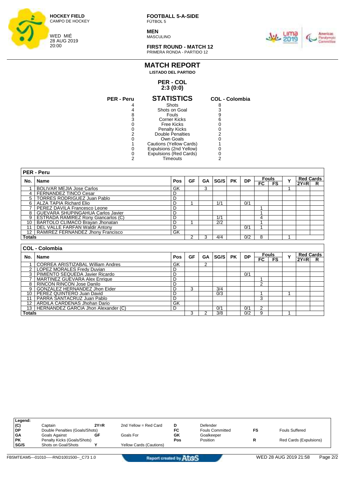

**MEN MASCULINO** 



**FIRST ROUND - MATCH 12** PRIMERA RONDA - PARTIDO 12

#### **PER - COL MATCH REPORT LISTADO DEL PARTIDO**

## **2:3 (0:0)**

| <b>PER - Peru</b> | <b>STATISTICS</b>       | <b>COL - Colombia</b> |
|-------------------|-------------------------|-----------------------|
|                   | Shots                   |                       |
|                   | Shots on Goal           |                       |
| 8                 | Fouls                   |                       |
| 3                 | <b>Corner Kicks</b>     | ิค                    |
|                   | Free Kicks              |                       |
|                   | <b>Penalty Kicks</b>    |                       |
| 2                 | Double Penalties        |                       |
|                   | Own Goals               |                       |
|                   | Cautions (Yellow Cards) |                       |
|                   | Expulsions (2nd Yellow) |                       |
|                   | Expulsions (Red Cards)  |                       |
|                   | Timeouts                |                       |
|                   |                         |                       |

| 8            |  |
|--------------|--|
| 3            |  |
| 9            |  |
| 6            |  |
| 0            |  |
| $\mathbf{0}$ |  |
| 2            |  |
| 0            |  |
| 1            |  |
| 0            |  |
| 0            |  |
| 2            |  |
|              |  |

|               | PER - Peru                              |              |    |           |      |           |           |    |              |              |                  |                  |  |
|---------------|-----------------------------------------|--------------|----|-----------|------|-----------|-----------|----|--------------|--------------|------------------|------------------|--|
| No.           | Name                                    | Pos          | GF | <b>GA</b> | SG/S | <b>PK</b> | <b>DP</b> |    | <b>Fouls</b> | $\checkmark$ | <b>Red Cards</b> |                  |  |
|               |                                         |              |    |           |      |           |           | FC | <b>FS</b>    |              | $2Y=R$           | R                |  |
|               | <b>BOLIVAR MEJIA Jose Carlos</b>        | GK           |    | 3         |      |           |           |    |              |              |                  |                  |  |
|               | 4   FERNANDEZ TINCO Cesar               | D            |    |           |      |           |           |    |              |              |                  |                  |  |
|               | 5   TORRES RODRIGUEZ Juan Pablo         | D            |    |           |      |           |           |    |              |              |                  |                  |  |
|               | 6   ALZA TAPIA Richard Elio             | D            |    |           | 1/1  |           | 0/1       |    |              |              |                  |                  |  |
|               | <b>I PEREZ DAVILA Francesco Leone</b>   | D            |    |           |      |           |           |    |              |              |                  |                  |  |
|               | 8 GUEVARA SHUPINGAHUA Carlos Javier     | D            |    |           |      |           |           |    |              |              |                  |                  |  |
|               | 9   ESTRADA RAMIREZ Rony Giancarlos (C) | D            |    |           | 1/1  |           |           | 4  |              |              |                  |                  |  |
| 10            | BARTOLO CLIMACO Brayan Jhonatan         | D            |    |           | 2/2  |           |           |    |              |              |                  |                  |  |
| 11            | DEL VALLE FARFAN Waldir Antony          | D            |    |           |      |           | 0/1       |    |              |              |                  |                  |  |
| 12            | RAMIREZ FERNANDEZ Jhony Francisco       | GK           |    |           |      |           |           |    |              |              |                  |                  |  |
| <b>Totals</b> |                                         |              | 2  | 3         | 4/4  |           | 0/2       | 8  |              |              |                  |                  |  |
|               |                                         |              |    |           |      |           |           |    |              |              |                  |                  |  |
|               | <b>COL - Colombia</b>                   |              |    |           |      |           |           |    |              |              |                  |                  |  |
| No.           | Name                                    | Pos          | GF | <b>GA</b> | SG/S | <b>PK</b> | <b>DP</b> |    | <b>Fouls</b> | $\checkmark$ |                  | <b>Red Cards</b> |  |
|               |                                         |              |    |           |      |           |           | FC | <b>FS</b>    |              | $2Y=R$           | R                |  |
|               | CORREA ARISTIZABAL William Andres       | GK           |    | 2         |      |           |           |    |              |              |                  |                  |  |
|               | 2   LODEZ MODALES Erody Duvion          | <sub>D</sub> |    |           |      |           |           |    |              |              |                  |                  |  |

|        |                                          | ິ  |   |     |     |  |  |  |
|--------|------------------------------------------|----|---|-----|-----|--|--|--|
|        | LOPEZ MORALES Fredy Duvian               |    |   |     |     |  |  |  |
| 3      | PIMIENTO SEQUEDA Javier Ricardo          |    |   |     | 0/1 |  |  |  |
|        | MARTINEZ GUEVARA Alex Enrique            |    |   |     |     |  |  |  |
|        | 8   RINCON RINCON Jose Danilo            |    |   |     |     |  |  |  |
| 9      | <b>GONZALEZ HERNANDEZ Jhon Eider</b>     |    | 3 | 3/4 |     |  |  |  |
|        | 10   PEREZ QUINTERO Juan David           |    |   | 0/3 |     |  |  |  |
|        | 11   PARRA SANTACRUZ Juan Pablo          |    |   |     |     |  |  |  |
|        | 12   ARDILA CARDENAS Jhohan Dario        | GK |   |     |     |  |  |  |
|        | 13   HERNANDEZ GARCIA Jhon Alexander (C) |    |   | 0/1 | 0/1 |  |  |  |
| Totals |                                          |    | ◠ | 3/8 | 0/2 |  |  |  |

| Legend:   |                                |        |                                |     |                        |    |                        |
|-----------|--------------------------------|--------|--------------------------------|-----|------------------------|----|------------------------|
| (C)       | Captain                        | $2Y=R$ | 2nd Yellow = Red Card          | D   | Defender               |    |                        |
| l DP      | Double Penalties (Goals/Shots) |        |                                | FC  | <b>Fouls Committed</b> | FS | <b>Fouls Suffered</b>  |
| <b>GA</b> | Goals Against                  | GF     | Goals For                      | GK  | Goalkeeper             |    |                        |
| <b>PK</b> | Penalty Kicks (Goals/Shots)    |        |                                | Pos | Position               |    | Red Cards (Expulsions) |
| SG/S      | Shots on Goal/Shots            |        | <b>Yellow Cards (Cautions)</b> |     |                        |    |                        |
|           |                                |        |                                |     |                        |    |                        |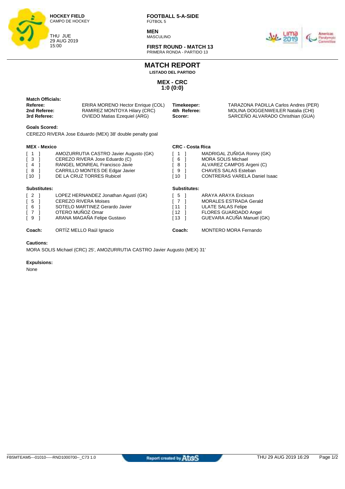

**MEN MASCULINO** 



**FIRST ROUND - MATCH 13** PRIMERA RONDA - PARTIDO 13

**MATCH REPORT**

**LISTADO DEL PARTIDO**

**MEX - CRC 1:0 (0:0)**

| <b>Match Officials:</b><br>Referee:<br>2nd Referee:<br>3rd Referee:                                  | ERIRA MORENO Hector Enrique (COL)<br>RAMIREZ MONTOYA Hilary (CRC)<br><b>OVIEDO Matias Ezequiel (ARG)</b>                                                                   | Timekeeper:<br>4th Referee:<br>Scorer:                                                                                                                                                 | TARAZONA PADILLA Carlos Andres (PER)<br>MOLINA DOGGENWEILER Natalia (CHI)<br>SARCEÑO ALVARADO Christhian (GUA)                           |  |  |  |
|------------------------------------------------------------------------------------------------------|----------------------------------------------------------------------------------------------------------------------------------------------------------------------------|----------------------------------------------------------------------------------------------------------------------------------------------------------------------------------------|------------------------------------------------------------------------------------------------------------------------------------------|--|--|--|
| <b>Goals Scored:</b>                                                                                 | CEREZO RIVERA Jose Eduardo (MEX) 38' double penalty goal                                                                                                                   |                                                                                                                                                                                        |                                                                                                                                          |  |  |  |
| <b>MEX - Mexico</b>                                                                                  |                                                                                                                                                                            | <b>CRC - Costa Rica</b>                                                                                                                                                                |                                                                                                                                          |  |  |  |
| $^{\circ}$ 1<br>$\sqrt{3}$<br>$\begin{bmatrix} 4 \end{bmatrix}$<br>[8]<br>[10 ]                      | AMOZURRUTIA CASTRO Javier Augusto (GK)<br>CEREZO RIVERA Jose Eduardo (C)<br>RANGEL MONREAL Francisco Javie<br>CARRILLO MONTES DE Edgar Javier<br>DE LA CRUZ TORRES Rubicel | MADRIGAL ZUÑIGA Ronny (GK)<br>-1<br>6<br><b>MORA SOLIS Michael</b><br>8<br>ALVAREZ CAMPOS Argeni (C)<br>9<br>CHAVES SALAS Esteban<br><b>10</b><br><b>CONTRERAS VARELA Daniel Isaac</b> |                                                                                                                                          |  |  |  |
| Substitutes:                                                                                         |                                                                                                                                                                            | Substitutes:                                                                                                                                                                           |                                                                                                                                          |  |  |  |
| $\begin{bmatrix} 2 \end{bmatrix}$<br>$\begin{bmatrix} 5 \end{bmatrix}$<br>6<br>$\overline{7}$<br>I 9 | LOPEZ HERNANDEZ Jonathan Agustí (GK)<br><b>CEREZO RIVERA Moises</b><br>SOTELO MARTINEZ Gerardo Javier<br>OTERO MUÑOZ Omar<br>ARANA MAGAÑA Felipe Gustavo                   | $\sqrt{5}$<br>$\sqrt{7}$<br>[11]<br>$\lceil 12 \rceil$<br>[13]                                                                                                                         | ARAYA ARAYA Erickson<br><b>MORALES ESTRADA Gerald</b><br><b>ULATE SALAS Felipe</b><br>FLORES GUARDADO Angel<br>GUEVARA ACUÑA Manuel (GK) |  |  |  |
| Coach:                                                                                               | ORTIZ MELLO Raúl Ignacio                                                                                                                                                   | Coach:                                                                                                                                                                                 | MONTERO MORA Fernando                                                                                                                    |  |  |  |
| <b>Cautions:</b>                                                                                     |                                                                                                                                                                            |                                                                                                                                                                                        |                                                                                                                                          |  |  |  |

MORA SOLIS Michael (CRC) 25', AMOZURRUTIA CASTRO Javier Augusto (MEX) 31'

#### **Expulsions:**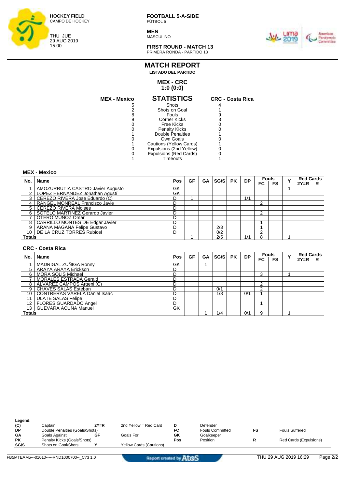

**MEN MASCULINO** 



**FIRST ROUND - MATCH 13** PRIMERA RONDA - PARTIDO 13

## **MATCH REPORT LISTADO DEL PARTIDO**

#### **MEX - CRC 1:0 (0:0)**

| <b>MEX - Mexico</b> | <b>STATISTICS</b>       | <b>CRC - Costa Rica</b> |
|---------------------|-------------------------|-------------------------|
| 5                   | Shots                   |                         |
|                     | Shots on Goal           |                         |
|                     | Fouls                   |                         |
|                     | Corner Kicks            |                         |
|                     | Free Kicks              |                         |
|                     | <b>Penalty Kicks</b>    |                         |
|                     | Double Penalties        |                         |
|                     | Own Goals               |                         |
|                     | Cautions (Yellow Cards) |                         |
|                     | Expulsions (2nd Yellow) |                         |
|                     | Expulsions (Red Cards)  |                         |
|                     | Timeouts                |                         |

|        | <b>MEX - Mexico</b>                 |     |    |           |      |           |           |                |                     |   |                            |    |  |  |  |   |                  |  |
|--------|-------------------------------------|-----|----|-----------|------|-----------|-----------|----------------|---------------------|---|----------------------------|----|--|--|--|---|------------------|--|
| No.    | Name                                | Pos | GF | <b>GA</b> | SG/S | <b>PK</b> | <b>DP</b> |                | <b>Fouls</b>        |   |                            |    |  |  |  | Y | <b>Red Cards</b> |  |
|        |                                     |     |    |           |      |           |           | FC.            | <b>FS</b>           |   | $2Y=R$                     | R. |  |  |  |   |                  |  |
|        | AMOZURRUTIA CASTRO Javier Augusto   | GK  |    |           |      |           |           |                |                     |   |                            |    |  |  |  |   |                  |  |
|        | LOPEZ HERNANDEZ Jonathan Agustí     | GK  |    |           |      |           |           |                |                     |   |                            |    |  |  |  |   |                  |  |
|        | 3   CEREZO RIVERA Jose Eduardo (C)  | D   |    |           |      |           | 1/1       |                |                     |   |                            |    |  |  |  |   |                  |  |
|        | RANGEL MONREAL Francisco Javie      | D   |    |           |      |           |           | 2              |                     |   |                            |    |  |  |  |   |                  |  |
|        | 5   CEREZO RIVERA Moises            | D   |    |           |      |           |           |                |                     |   |                            |    |  |  |  |   |                  |  |
| 6      | SOTELO MARTINEZ Gerardo Javier      | D   |    |           |      |           |           | $\overline{2}$ |                     |   |                            |    |  |  |  |   |                  |  |
|        | OTERO MUÑOZ Omar                    | D   |    |           |      |           |           |                |                     |   |                            |    |  |  |  |   |                  |  |
|        | 8   CARRILLO MONTES DE Edgar Javier | D   |    |           |      |           |           |                |                     |   |                            |    |  |  |  |   |                  |  |
| 9      | ARANA MAGANA Felipe Gustavo         | D   |    |           | 2/3  |           |           |                |                     |   |                            |    |  |  |  |   |                  |  |
| 10     | DE LA CRUZ TORRES Rubicel           | D   |    |           | 0/2  |           |           | 2              |                     |   |                            |    |  |  |  |   |                  |  |
| Totals |                                     |     |    |           | 2/5  |           | 1/1       | 8              |                     |   |                            |    |  |  |  |   |                  |  |
|        |                                     |     |    |           |      |           |           |                |                     |   |                            |    |  |  |  |   |                  |  |
|        | <b>CRC - Costa Rica</b>             |     |    |           |      |           |           |                |                     |   |                            |    |  |  |  |   |                  |  |
| No.    | l Name                              | Pos | GF | <b>GA</b> | SG/S | <b>PK</b> | <b>DP</b> | FC.            | <b>Fouls</b><br>FS. | Y | <b>Red Cards</b><br>$2Y=R$ | R. |  |  |  |   |                  |  |
|        | MADRIGAL ZUÑIGA Ronny               | GK  |    |           |      |           |           |                |                     |   |                            |    |  |  |  |   |                  |  |
|        | 5   ARAYA ARAYA Erickson            | D   |    |           |      |           |           |                |                     |   |                            |    |  |  |  |   |                  |  |
|        | 6   MORA SOLIS Michael              | D   |    |           |      |           |           | 3              |                     |   |                            |    |  |  |  |   |                  |  |

8 ALVAREZ CAMPOS Argeni (C) D 2 9 CHAVES SALAS Esteban D 0/1 2 10 CONTRERAS VARELA Daniel Isaac D 10 1 1/3 0/1 1

12 FLORES GUARDADO Angel D 1

**Totals** 1 1/4 0/1 9 1

7 | MORALES ESTRADA Gerald | D

11 | ULATE SALAS Felipe | D

13 GUEVARA ACUÑA Manuel GK

| Legend:   |                                |        |                                |     |                        |                        |
|-----------|--------------------------------|--------|--------------------------------|-----|------------------------|------------------------|
| (C)       | Captain                        | $2Y=R$ | 2nd Yellow = Red Card          | D   | Defender               |                        |
| DP        | Double Penalties (Goals/Shots) |        |                                | FC  | <b>Fouls Committed</b> | <b>Fouls Suffered</b>  |
| <b>GA</b> | Goals Against                  | GF     | Goals For                      | GK  | Goalkeeper             |                        |
| <b>PK</b> | Penalty Kicks (Goals/Shots)    |        |                                | Pos | Position               | Red Cards (Expulsions) |
| SG/S      | Shots on Goal/Shots            |        | <b>Yellow Cards (Cautions)</b> |     |                        |                        |
|           |                                |        |                                |     |                        |                        |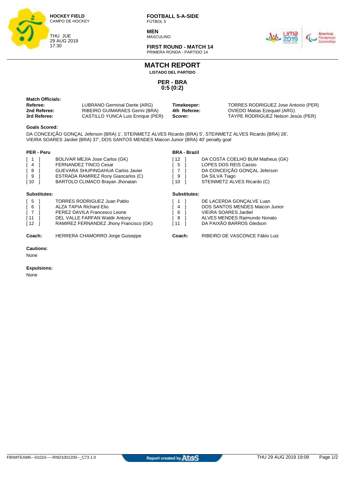

**MEN** MASCULINO



**FIRST ROUND - MATCH 14** PRIMERA RONDA - PARTIDO 14

**MATCH REPORT**

**LISTADO DEL PARTIDO**

**PER - BRA 0:5 (0:2)**

| <b>Match Officials:</b> |
|-------------------------|
| Referee:                |
| 2nd Referee:            |
| 3rd Referee:            |

**Referee:** LUBRANO Germinal Dante (ARG) **Timekeeper:** TORRES RODRIGUEZ Jose Antonio (PER)  $\overline{C}$ ASTILLO YUNCA Luis Enrique (PER)

**BRA - Brazil**

**2000 RIBEIRO GUIMARAES Germi (BRA) 4th Referee:** OVIEDO Matias Ezequiel (ARG)<br>CASTILLO YUNCA Luis Enrique (PER) **Scorer:** TAYPE RODRIGUEZ Nelson Jesús (PER)

#### **Goals Scored:**

DA CONCEIÇÃO GONÇAL Jeferson (BRA) 1', STEINMETZ ALVES Ricardo (BRA) 5', STEINMETZ ALVES Ricardo (BRA) 26', VIEIRA SOARES Jardiel (BRA) 37', DOS SANTOS MENDES Maicon Junior (BRA) 40' penalty goal

#### **PER - Peru**

| I 1<br>[ 4<br><b>6</b> I<br>$\sqrt{9}$<br>[ 10           | BOLIVAR MEJIA Jose Carlos (GK)<br><b>FERNANDEZ TINCO Cesar</b><br><b>GUEVARA SHUPINGAHUA Carlos Javier</b><br>ESTRADA RAMIREZ Rony Giancarlos (C)<br>BARTOLO CLIMACO Brayan Jhonatan | [ 12<br>5<br>[ 7<br>9<br>[ 10     |                     | DA COSTA COELHO BUM Matheus (GK)<br>LOPES DOS REIS Cassio<br>DA CONCEIÇÃO GONÇAL Jeferson<br>DA SILVA Tiago<br>STEINMETZ ALVES Ricardo (C)                     |
|----------------------------------------------------------|--------------------------------------------------------------------------------------------------------------------------------------------------------------------------------------|-----------------------------------|---------------------|----------------------------------------------------------------------------------------------------------------------------------------------------------------|
| Substitutes:                                             |                                                                                                                                                                                      |                                   | <b>Substitutes:</b> |                                                                                                                                                                |
| $\sqrt{5}$<br>6 <sup>1</sup><br>$\sqrt{7}$<br>[11]<br>12 | TORRES RODRIGUEZ Juan Pablo<br>ALZA TAPIA Richard Elio<br>PEREZ DAVILA Francesco Leone<br>DEL VALLE FARFAN Waldir Antony<br>RAMIREZ FERNANDEZ Jhony Francisco (GK)                   | 4<br>6<br>.8 <sub>1</sub><br>ſ 11 |                     | DE LACERDA GONÇALVE Luan<br><b>DOS SANTOS MENDES Maicon Junior</b><br><b>VIEIRA SOARES Jardiel</b><br>ALVES MENDES Raimundo Nonato<br>DA PAIXÃO BARROS Gledson |

**Coach:** HERRERA CHAMORRO Jorge Guiseppe **Coach:** RIBEIRO DE VASCONCE Fábio Luiz

**Cautions:**

None

#### **Expulsions:**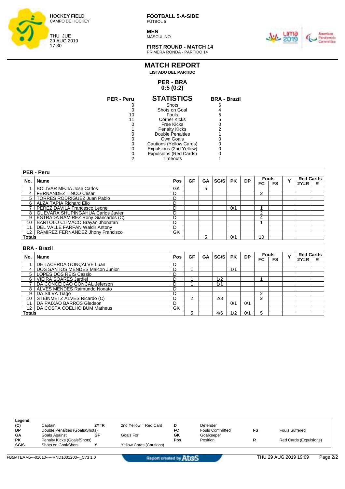

**MEN MASCULINO** 



**FIRST ROUND - MATCH 14** PRIMERA RONDA - PARTIDO 14

### **PER - BRA MATCH REPORT LISTADO DEL PARTIDO**

## **0:5 (0:2)**

| <b>PER - Peru</b> | <b>STATISTICS</b>             | <b>BRA - Brazil</b> |
|-------------------|-------------------------------|---------------------|
|                   | Shots                         | ิธ                  |
|                   | Shots on Goal                 |                     |
| 10                | Fouls                         | 5                   |
|                   | <b>Corner Kicks</b>           | 5                   |
|                   | Free Kicks                    |                     |
|                   | <b>Penalty Kicks</b>          | 2                   |
|                   | Double Penalties              |                     |
|                   | Own Goals                     |                     |
|                   | Cautions (Yellow Cards)       |                     |
|                   | Expulsions (2nd Yellow)       |                     |
| 0                 | <b>Expulsions (Red Cards)</b> |                     |
| 2                 | Timeouts                      |                     |
|                   |                               |                     |

|                   | <b>PER - Peru</b>                          |     |    |           |      |           |           |              |              |   |          |                  |
|-------------------|--------------------------------------------|-----|----|-----------|------|-----------|-----------|--------------|--------------|---|----------|------------------|
| No.               |                                            |     | GF | <b>GA</b> | SG/S | <b>PK</b> | <b>DP</b> |              | <b>Fouls</b> | Y |          | <b>Red Cards</b> |
|                   | <b>Name</b>                                | Pos |    |           |      |           |           | FC           | <b>FS</b>    |   | $2Y = R$ | R                |
|                   | <b>BOLIVAR MEJIA Jose Carlos</b>           | GK  |    | 5         |      |           |           |              |              |   |          |                  |
| 4                 | <b>FERNANDEZ TINCO Cesar</b>               | D   |    |           |      |           |           | 2            |              |   |          |                  |
| 5.                | <b>TORRES RODRIGUEZ Juan Pablo</b>         | D   |    |           |      |           |           |              |              |   |          |                  |
| 6                 | <b>ALZA TAPIA Richard Elio</b>             | D   |    |           |      |           |           |              |              |   |          |                  |
|                   | PEREZ DAVILA Francesco Leone               | D   |    |           |      | 0/1       |           |              |              |   |          |                  |
| 8                 | GUEVARA SHUPINGAHUA Carlos Javier          | D   |    |           |      |           |           | 2            |              |   |          |                  |
| 9                 | <b>ESTRADA RAMIREZ Rony Giancarlos (C)</b> | D   |    |           |      |           |           | 4            |              |   |          |                  |
| 10                | BARTOLO CLIMACO Brayan Jhonatan            | D   |    |           |      |           |           |              |              |   |          |                  |
| 11                | DEL VALLE FARFAN Waldir Antony             | D   |    |           |      |           |           |              |              |   |          |                  |
| $12 \overline{ }$ | RAMIREZ FERNANDEZ Jhony Francisco          | GK  |    |           |      |           |           |              |              |   |          |                  |
| <b>Totals</b>     |                                            |     |    | 5         |      | 0/1       |           | 10           |              |   |          |                  |
|                   |                                            |     |    |           |      |           |           |              |              |   |          |                  |
|                   | <b>BRA - Brazil</b>                        |     |    |           |      |           |           |              |              |   |          |                  |
| No.               | <b>Name</b>                                | Pos | GF | <b>GA</b> | SG/S | <b>PK</b> | <b>DP</b> | <b>Fouls</b> |              | Y |          | <b>Red Cards</b> |
|                   |                                            |     |    |           |      |           |           | FC.          | <b>FS</b>    |   | $2Y = R$ | R                |
|                   | DE LACERDA GONCALVE Luan                   | D   |    |           |      |           |           |              |              |   |          |                  |
| 4                 | DOS SANTOS MENDES Maicon Junior            | D   | и  |           |      | 1/1       |           |              |              |   |          |                  |
|                   | 5   LOPES DOS REIS Cassio                  | D   |    |           |      |           |           |              |              |   |          |                  |

6 VIEIRA SOARES Jardiel D 1 1/2 1

9 DA SILVA Tiago D 2 10 STEINMETZ ALVES Ricardo (C) D 2 2/3 2 11 DA PAIXÃO BARROS Gledson D 0/1 0/1

**Totals** 5 4/6 1/2 0/1 5

7 DA CONCEIÇÃO GONÇAL Jeferson  $\vert$ D | 1 | 1/1

8 | ALVES MENDES Raimundo Nonato | D

12 | DA COSTA COELHO BUM Matheus GK

| Legend:   |                                |        |                                |     |                        |    |                        |
|-----------|--------------------------------|--------|--------------------------------|-----|------------------------|----|------------------------|
| (C)       | Captain                        | $2Y=R$ | 2nd Yellow = Red Card          | D   | Defender               |    |                        |
| <b>DP</b> | Double Penalties (Goals/Shots) |        |                                | FC  | <b>Fouls Committed</b> | FS | <b>Fouls Suffered</b>  |
| <b>GA</b> | Goals Against                  | GF     | Goals For                      | GK  | Goalkeeper             |    |                        |
| <b>PK</b> | Penalty Kicks (Goals/Shots)    |        |                                | Pos | Position               |    | Red Cards (Expulsions) |
| SG/S      | Shots on Goal/Shots            |        | <b>Yellow Cards (Cautions)</b> |     |                        |    |                        |
|           |                                |        |                                |     |                        |    |                        |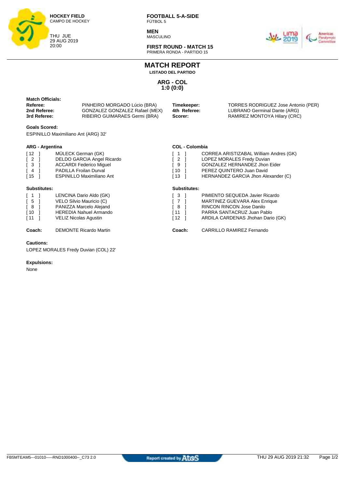

**MEN MASCULINO** 



**FIRST ROUND - MATCH 15** PRIMERA RONDA - PARTIDO 15

## **MATCH REPORT**

**LISTADO DEL PARTIDO**

**ARG - COL 1:0 (0:0)**

| matvii viilviais.<br>Referee:<br>2nd Referee:<br>3rd Referee: | PINHEIRO MORGADO Lúcio (BRA)<br>GONZALEZ GONZALEZ Rafael (MEX)<br>RIBEIRO GUIMARAES Germi (BRA) | Timekeeper:<br>4th Referee:<br>Scorer: | TORRES RODRIGUEZ Jose Antonio (PER)<br>LUBRANO Germinal Dante (ARG)<br>RAMIREZ MONTOYA Hilary (CRC) |
|---------------------------------------------------------------|-------------------------------------------------------------------------------------------------|----------------------------------------|-----------------------------------------------------------------------------------------------------|
| $\sim$ $\sim$ $\sim$ $\sim$                                   |                                                                                                 |                                        |                                                                                                     |

**COL - Colombia**

[ 1 ] CORREA ARISTIZABAL William Andres (GK)

HERNANDEZ GARCIA Jhon Alexander (C)

[ 2 ] LOPEZ MORALES Fredy Duvian<br>[ 9 ] GONZALEZ HERNANDEZ Jhon I [ 9 ] GONZALEZ HERNANDEZ Jhon Eider<br>[ 10 ] PEREZ QUINTERO Juan David [10 ] PEREZ QUINTERO Juan David<br>[13 ] HERNANDEZ GARCIA Jhon Ale

#### **Goals Scored:**

**Match Officials:** 

ESPINILLO Maximiliano Ant (ARG) 32'

#### **ARG - Argentina**

| $\lceil 12 \rceil$ | MÜLECK German (GK)                |
|--------------------|-----------------------------------|
| I 2                | <b>DELDO GARCIA Angel Ricardo</b> |
| I 3                | <b>ACCARDI Federico Miguel</b>    |
| [ 4                | <b>PADILLA Froilan Durval</b>     |
| $\lceil 15 \rceil$ | <b>ESPINILLO Maximiliano Ant</b>  |

|  | <b>Substitutes:</b> |  |
|--|---------------------|--|
|  |                     |  |

| Substitutes:                                                                                                |                                                                                                                                          | Substitutes:                                                                                                                                     |                                                                                                                                                                         |
|-------------------------------------------------------------------------------------------------------------|------------------------------------------------------------------------------------------------------------------------------------------|--------------------------------------------------------------------------------------------------------------------------------------------------|-------------------------------------------------------------------------------------------------------------------------------------------------------------------------|
| $\begin{bmatrix} 1 \end{bmatrix}$<br>$\begin{bmatrix} 5 \end{bmatrix}$<br>$\sqrt{8}$<br>$\sqrt{10}$<br>[11] | LENCINA Dario Aldo (GK)<br>VELO Silvio Mauricio (C)<br>PANIZZA Marcelo Alejand<br><b>HEREDIA Nahuel Armando</b><br>VELIZ Nicolas Agustin | $\begin{bmatrix} 3 \end{bmatrix}$<br>$\begin{bmatrix} 7 \end{bmatrix}$<br>[ 8<br>$\begin{array}{c} \boxed{11} \end{array}$<br>$\lceil 12 \rceil$ | PIMIENTO SEQUEDA Javier Ricardo<br>MARTINEZ GUEVARA Alex Enrique<br><b>RINCON RINCON Jose Danilo</b><br>PARRA SANTACRUZ Juan Pablo<br>ARDILA CARDENAS Jhohan Dario (GK) |
| Coach:                                                                                                      | <b>DEMONTE Ricardo Martin</b>                                                                                                            | Coach:                                                                                                                                           | <b>CARRILLO RAMIREZ Fernando</b>                                                                                                                                        |

#### **Cautions:**

LOPEZ MORALES Fredy Duvian (COL) 22'

#### **Expulsions:**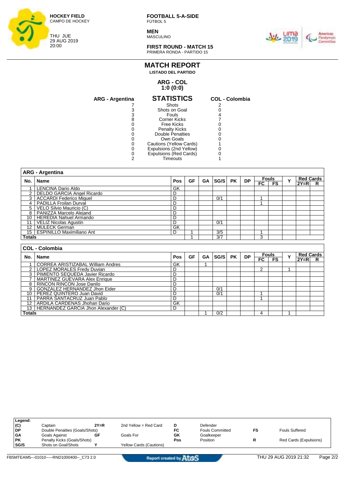

**MEN MASCULINO** 



**FIRST ROUND - MATCH 15** PRIMERA RONDA - PARTIDO 15

#### **MATCH REPORT LISTADO DEL PARTIDO**

#### **ARG - COL 1:0 (0:0)**

| <b>ARG - Argentina</b> | <b>STATISTICS</b>       | <b>COL - Colombia</b> |
|------------------------|-------------------------|-----------------------|
|                        | Shots                   |                       |
| 3                      | Shots on Goal           |                       |
| 3                      | Fouls                   |                       |
| 8                      | Corner Kicks            |                       |
|                        | Free Kicks              |                       |
|                        | <b>Penalty Kicks</b>    |                       |
|                        | Double Penalties        |                       |
|                        | Own Goals               |                       |
| 0                      | Cautions (Yellow Cards) |                       |
| Ω                      | Expulsions (2nd Yellow) |                       |
| 0                      | Expulsions (Red Cards)  |                       |
| 2                      | Timeouts                |                       |

|                | <b>ARG - Argentina</b>                   |     |           |           |      |           |           |                |    |   |                  |                  |
|----------------|------------------------------------------|-----|-----------|-----------|------|-----------|-----------|----------------|----|---|------------------|------------------|
|                |                                          |     | <b>GF</b> | <b>GA</b> | SG/S | <b>PK</b> | <b>DP</b> | Fouls          |    | Y | <b>Red Cards</b> |                  |
| No.            | <b>Name</b>                              | Pos |           |           |      |           |           | $_{\rm FC}$    | FS |   | $2Y=R$           | R                |
|                | <b>LENCINA Dario Aldo</b>                | GK  |           |           |      |           |           |                |    |   |                  |                  |
| $\overline{2}$ | <b>DELDO GARCIA Angel Ricardo</b>        | D   |           |           |      |           |           |                |    |   |                  |                  |
| 3              | <b>ACCARDI Federico Miquel</b>           | D   |           |           | 0/1  |           |           |                |    |   |                  |                  |
| 4              | PADILLA Froilan Durval                   | D   |           |           |      |           |           |                |    |   |                  |                  |
| 5              | VELO Silvio Mauricio (C)                 | D   |           |           |      |           |           |                |    |   |                  |                  |
| 8              | PANIZZA Marcelo Alejand                  | D   |           |           |      |           |           |                |    |   |                  |                  |
| 10             | <b>HEREDIA Nahuel Armando</b>            | D   |           |           |      |           |           |                |    |   |                  |                  |
| 11             | <b>VELIZ Nicolas Agustin</b>             | D   |           |           | 0/1  |           |           |                |    |   |                  |                  |
| 12             | MÜLECK German                            | GK  |           |           |      |           |           |                |    |   |                  |                  |
| 15             | <b>ESPINILLO Maximiliano Ant</b>         | D   |           |           | 3/5  |           |           |                |    |   |                  |                  |
|                | <b>Totals</b>                            |     |           |           | 3/7  |           |           | 3              |    |   |                  |                  |
|                |                                          |     |           |           |      |           |           |                |    |   |                  |                  |
|                | <b>COL - Colombia</b>                    |     |           |           |      |           |           |                |    |   |                  |                  |
| No.            | Name                                     | Pos | <b>GF</b> | <b>GA</b> | SG/S | <b>PK</b> | <b>DP</b> | <b>Fouls</b>   |    | Y |                  | <b>Red Cards</b> |
|                |                                          |     |           |           |      |           |           | FC             | FS |   | $2Y=R$           | R                |
|                | <b>CORREA ARISTIZABAL William Andres</b> | GK  |           |           |      |           |           |                |    |   |                  |                  |
| 2              | LOPEZ MORALES Fredy Duvian               | D   |           |           |      |           |           | $\overline{2}$ |    | и |                  |                  |
| 3              | PIMIENTO SEQUEDA Javier Ricardo          | D   |           |           |      |           |           |                |    |   |                  |                  |
|                | <b>MARTINEZ GUEVARA Alex Enrique</b>     | D   |           |           |      |           |           |                |    |   |                  |                  |

8 | RINCON RINCON Jose Danilo | D

12 | ARDILA CARDENAS Jhohan Dario GK 13 | HERNANDEZ GARCIA Jhon Alexander (C) | D

9 GONZALEZ HERNANDEZ Jhon Eider **D D** D 0/1

10 PEREZ QUINTERO Juan David **D 0/1 1** 0/1 1 1 11 PARRA SANTACRUZ Juan Pablo D 1

**Totals** 1 0/2 4 1

| Legend:     |                                |        |                                |     |                        |                        |
|-------------|--------------------------------|--------|--------------------------------|-----|------------------------|------------------------|
| (C)         | Captain                        | $2Y=R$ | 2nd Yellow = Red Card          | D   | Defender               |                        |
| l DP        | Double Penalties (Goals/Shots) |        |                                | FC  | <b>Fouls Committed</b> | <b>Fouls Suffered</b>  |
| <b>GA</b>   | Goals Against                  | GF     | Goals For                      | GK  | Goalkeeper             |                        |
| <b>PK</b>   | Penalty Kicks (Goals/Shots)    |        |                                | Pos | Position               | Red Cards (Expulsions) |
| <b>SG/S</b> | Shots on Goal/Shots            |        | <b>Yellow Cards (Cautions)</b> |     |                        |                        |
|             |                                |        |                                |     |                        |                        |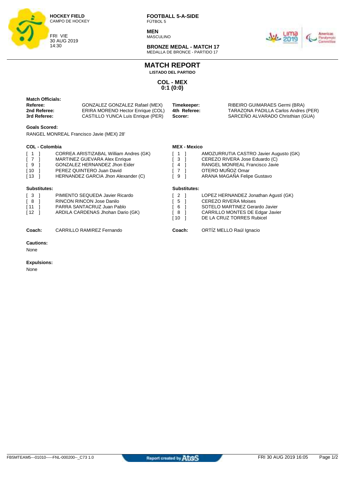

**MEN** MASCULINO



**BRONZE MEDAL - MATCH 17** MEDALLA DE BRONCE - PARTIDO 17

**MATCH REPORT**

**LISTADO DEL PARTIDO**

**COL - MEX 0:1 (0:0)**

| <b>Match Officials:</b><br>Referee:<br>2nd Referee:<br>3rd Referee:<br><b>Goals Scored:</b>                                                 | GONZALEZ GONZALEZ Rafael (MEX)<br>ERIRA MORENO Hector Enrique (COL)<br>CASTILLO YUNCA Luis Enrique (PER)                                                                     | Timekeeper:<br>4th Referee:<br>Scorer:                                           | RIBEIRO GUIMARAES Germi (BRA)<br>TARAZONA PADILLA Carlos Andres (PER)<br>SARCEÑO ALVARADO Christhian (GUA)                                                            |
|---------------------------------------------------------------------------------------------------------------------------------------------|------------------------------------------------------------------------------------------------------------------------------------------------------------------------------|----------------------------------------------------------------------------------|-----------------------------------------------------------------------------------------------------------------------------------------------------------------------|
|                                                                                                                                             | RANGEL MONREAL Francisco Javie (MEX) 28'                                                                                                                                     |                                                                                  |                                                                                                                                                                       |
| <b>COL - Colombia</b><br>$\begin{bmatrix} 1 \end{bmatrix}$<br>$\begin{bmatrix} 7 \end{bmatrix}$<br>- 1<br>[9]<br>$\sqrt{10}$<br>$\sqrt{13}$ | CORREA ARISTIZABAL William Andres (GK)<br>MARTINEZ GUEVARA Alex Enrique<br>GONZALEZ HERNANDEZ Jhon Eider<br>PEREZ QUINTERO Juan David<br>HERNANDEZ GARCIA Jhon Alexander (C) | <b>MEX - Mexico</b><br>ſ 1<br>3 <sup>1</sup><br>$4 \quad$<br>$\overline{7}$<br>9 | AMOZURRUTIA CASTRO Javier Augusto (GK)<br>CEREZO RIVERA Jose Eduardo (C)<br>RANGEL MONREAL Francisco Javie<br>OTERO MUÑOZ Omar<br>ARANA MAGAÑA Felipe Gustavo         |
| Substitutes:<br>$\begin{bmatrix} 3 \end{bmatrix}$<br>[8]<br>[11]<br>[12]                                                                    | PIMIENTO SEQUEDA Javier Ricardo<br><b>RINCON RINCON Jose Danilo</b><br>PARRA SANTACRUZ Juan Pablo<br>ARDILA CARDENAS Jhohan Dario (GK)                                       | <b>Substitutes:</b><br>2 ]<br>5<br>6<br>8<br>l 10                                | LOPEZ HERNANDEZ Jonathan Agustí (GK)<br><b>CEREZO RIVERA Moises</b><br>SOTELO MARTINEZ Gerardo Javier<br>CARRILLO MONTES DE Edgar Javier<br>DE LA CRUZ TORRES Rubicel |
| Coach:                                                                                                                                      | CARRILLO RAMIREZ Fernando                                                                                                                                                    | Coach:                                                                           | ORTÍZ MELLO Raúl Ignacio                                                                                                                                              |
| <b>Cautions:</b><br>None                                                                                                                    |                                                                                                                                                                              |                                                                                  |                                                                                                                                                                       |

#### **Expulsions:**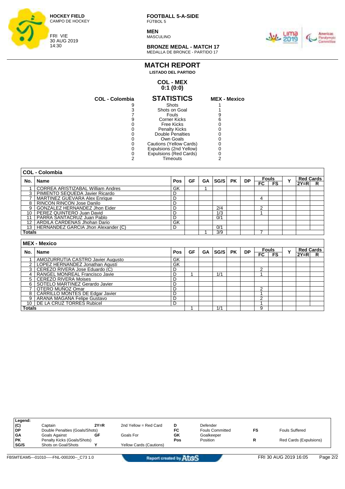

**MEN MASCULINO** 



**BRONZE MEDAL - MATCH 17** MEDALLA DE BRONCE - PARTIDO 17

#### **MATCH REPORT LISTADO DEL PARTIDO**

#### **COL - MEX 0:1 (0:0)**

| <b>COL - Colombia</b> | <b>STATISTICS</b>       | <b>MEX - Mexico</b> |
|-----------------------|-------------------------|---------------------|
|                       | Shots                   |                     |
| 3                     | Shots on Goal           |                     |
|                       | Fouls                   |                     |
|                       | <b>Corner Kicks</b>     |                     |
|                       | Free Kicks              |                     |
|                       | <b>Penalty Kicks</b>    |                     |
|                       | Double Penalties        |                     |
|                       | Own Goals               |                     |
|                       | Cautions (Yellow Cards) |                     |
|                       | Expulsions (2nd Yellow) |                     |
|                       | Expulsions (Red Cards)  |                     |
|                       | Timeouts                |                     |

| 1              |  |
|----------------|--|
| 1              |  |
| 9              |  |
| $\overline{6}$ |  |
| $\mathbf{0}$   |  |
| $\mathbf{0}$   |  |
| 0              |  |
| 0              |  |
| ō              |  |
| $\mathbf{0}$   |  |
| $\frac{0}{2}$  |  |
|                |  |
|                |  |

|               | <b>COL - Colombia</b>                    |            |    |           |             |           |           |     |                              |  |        |                  |
|---------------|------------------------------------------|------------|----|-----------|-------------|-----------|-----------|-----|------------------------------|--|--------|------------------|
| No.           | <b>Name</b>                              | <b>Pos</b> | GF | <b>GA</b> | <b>SG/S</b> | <b>PK</b> | <b>DP</b> |     | <b>Fouls</b><br>$\checkmark$ |  |        | <b>Red Cards</b> |
|               |                                          |            |    |           |             |           |           | FC. | <b>FS</b>                    |  | $2Y=R$ | R                |
|               | <b>CORREA ARISTIZABAL William Andres</b> | GK         |    |           |             |           |           |     |                              |  |        |                  |
|               | 3   PIMIENTO SEQUEDA Javier Ricardo      | D          |    |           |             |           |           |     |                              |  |        |                  |
|               | MARTINEZ GUEVARA Alex Enrique            | D          |    |           |             |           |           | Δ   |                              |  |        |                  |
|               | 8   RINCON RINCON Jose Danilo            | D          |    |           |             |           |           |     |                              |  |        |                  |
|               | 9 GONZALEZ HERNANDEZ Jhon Eider          | D          |    |           | 2/4         |           |           | c   |                              |  |        |                  |
| 10            | PEREZ QUINTERO Juan David                | D          |    |           | 1/3         |           |           |     |                              |  |        |                  |
|               | <b>I PARRA SANTACRUZ Juan Pablo</b>      | D          |    |           | 0/1         |           |           |     |                              |  |        |                  |
|               | 12   ARDILA CARDENAS Jhohan Dario        | GK         |    |           |             |           |           |     |                              |  |        |                  |
|               | 13   HERNANDEZ GARCIA Jhon Alexander (C) | D          |    |           | 0/1         |           |           |     |                              |  |        |                  |
| <b>Totals</b> |                                          |            |    |           | 3/9         |           |           |     |                              |  |        |                  |
|               |                                          |            |    |           |             |           |           |     |                              |  |        |                  |
|               | <b>MEX - Mexico</b>                      |            |    |           |             |           |           |     |                              |  |        |                  |
|               |                                          |            |    |           |             |           |           |     |                              |  |        |                  |

| No.            | Name                               | Pos | GF | GA | SG/S | <b>PK</b> | <b>DP</b> | <b>Fouls</b> |    | v |        | <b>Red Cards</b> |
|----------------|------------------------------------|-----|----|----|------|-----------|-----------|--------------|----|---|--------|------------------|
|                |                                    |     |    |    |      |           |           | FC           | FS |   | $2Y=R$ | R                |
|                | AMOZURRUTIA CASTRO Javier Augusto  | GK  |    |    |      |           |           |              |    |   |        |                  |
|                | LOPEZ HERNANDEZ Jonathan Agustí    | GK  |    |    |      |           |           |              |    |   |        |                  |
| 3 <sup>1</sup> | CEREZO RIVERA Jose Eduardo (C)     | D   |    |    |      |           |           |              |    |   |        |                  |
|                | RANGEL MONREAL Francisco Javie     |     |    |    | 1/1  |           |           |              |    |   |        |                  |
|                | 5 CEREZO RIVERA Moises             | D   |    |    |      |           |           |              |    |   |        |                  |
| 6              | SOTELO MARTINEZ Gerardo Javier     | D   |    |    |      |           |           |              |    |   |        |                  |
|                | OTERO MUÑOZ Omar                   | D   |    |    |      |           |           |              |    |   |        |                  |
| 81             | CARRILLO MONTES DE Edgar Javier    | D   |    |    |      |           |           |              |    |   |        |                  |
| 9 I            | <b>ARANA MAGAÑA Felipe Gustavo</b> | D   |    |    |      |           |           |              |    |   |        |                  |
|                | 10   DE LA CRUZ TORRES Rubicel     | D   |    |    |      |           |           |              |    |   |        |                  |
| <b>Totals</b>  |                                    |     |    |    | 1/2  |           |           |              |    |   |        |                  |

| Legend:   |                                |        |                         |     |                        |    |                        |
|-----------|--------------------------------|--------|-------------------------|-----|------------------------|----|------------------------|
| (C)       | Captain                        | $2Y=R$ | 2nd Yellow = Red Card   | D   | Defender               |    |                        |
| l DP      | Double Penalties (Goals/Shots) |        |                         | FC  | <b>Fouls Committed</b> | FS | <b>Fouls Suffered</b>  |
| <b>GA</b> | Goals Against                  | GF     | Goals For               | GK  | Goalkeeper             |    |                        |
| <b>PK</b> | Penalty Kicks (Goals/Shots)    |        |                         | Pos | Position               |    | Red Cards (Expulsions) |
| SG/S      | Shots on Goal/Shots            |        | Yellow Cards (Cautions) |     |                        |    |                        |
|           |                                |        |                         |     |                        |    |                        |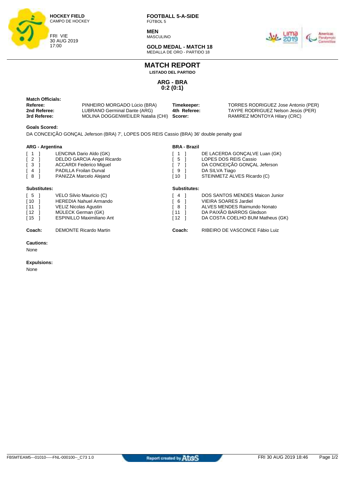

**MEN** MASCULINO



**GOLD MEDAL - MATCH 18** MEDALLA DE ORO - PARTIDO 18

## **MATCH REPORT**

**LISTADO DEL PARTIDO**

**ARG - BRA 0:2 (0:1)**

| Match Officials:<br>Referee: | PINHEIRO MORGADO Lúcio (BRA)      | Timekeeper:  | TORRES RODRIGUEZ Jose Antonio (PER) |
|------------------------------|-----------------------------------|--------------|-------------------------------------|
| 2nd Referee:                 | LUBRANO Germinal Dante (ARG)      | 4th Referee: | TAYPE RODRIGUEZ Nelson Jesús (PER)  |
| 3rd Referee:                 | MOLINA DOGGENWEILER Natalia (CHI) | Scorer:      | RAMIREZ MONTOYA Hilary (CRC)        |

#### **Goals Scored:**

DA CONCEIÇÃO GONÇAL Jeferson (BRA) 7', LOPES DOS REIS Cassio (BRA) 36' double penalty goal

#### **ARG - Argentina**

| <b>ARG - Argentina</b>                                                                                   |                                                                                                                                                            |                                  | <b>BRA - Brazil</b> |                                                                                                                                                                        |
|----------------------------------------------------------------------------------------------------------|------------------------------------------------------------------------------------------------------------------------------------------------------------|----------------------------------|---------------------|------------------------------------------------------------------------------------------------------------------------------------------------------------------------|
| $\lceil 1 \rceil$<br>$\begin{bmatrix} 2 \end{bmatrix}$<br>$\sqrt{3}$<br>$\left[ 4 \right]$<br>$\sqrt{8}$ | LENCINA Dario Aldo (GK)<br><b>DELDO GARCIA Angel Ricardo</b><br><b>ACCARDI Federico Miquel</b><br><b>PADILLA Froilan Durval</b><br>PANIZZA Marcelo Alejand | 5<br>$\overline{7}$<br>9<br>[ 10 |                     | DE LACERDA GONÇALVE Luan (GK)<br><b>LOPES DOS REIS Cassio</b><br>DA CONCEIÇÃO GONÇAL Jeferson<br>DA SILVA Tiago<br>STEINMETZ ALVES Ricardo (C)                         |
| <b>Substitutes:</b>                                                                                      |                                                                                                                                                            |                                  | <b>Substitutes:</b> |                                                                                                                                                                        |
| $\sqrt{5}$<br>$\sqrt{10}$<br>$\sqrt{11}$<br>$\sqrt{12}$<br>$\sqrt{15}$                                   | VELO Silvio Mauricio (C)<br><b>HEREDIA Nahuel Armando</b><br><b>VELIZ Nicolas Agustin</b><br>MÜLECK German (GK)<br><b>ESPINILLO Maximiliano Ant</b>        | 4<br>6<br>8<br>[ 11<br>12        |                     | <b>DOS SANTOS MENDES Maicon Junior</b><br><b>VIEIRA SOARES Jardiel</b><br>ALVES MENDES Raimundo Nonato<br>DA PAIXÃO BARROS Gledson<br>DA COSTA COELHO BUM Matheus (GK) |

**Coach:** DEMONTE Ricardo Martin **Coach:** RIBEIRO DE VASCONCE Fábio Luiz

#### **Cautions:**

None

#### **Expulsions:**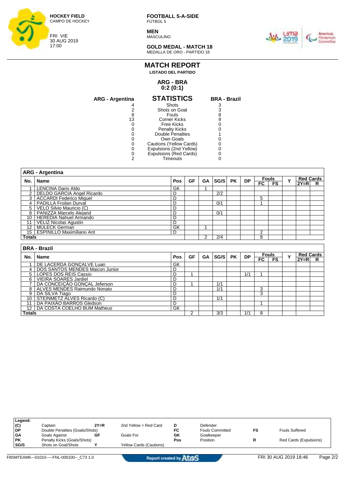

**MEN** MASCULINO



**GOLD MEDAL - MATCH 18** MEDALLA DE ORO - PARTIDO 18

## **MATCH REPORT LISTADO DEL PARTIDO**

#### **ARG - BRA 0:2 (0:1)**

| ARG - Argentina | <b>STATISTICS</b>       | <b>BRA - Brazil</b> |
|-----------------|-------------------------|---------------------|
|                 | Shots                   |                     |
|                 | Shots on Goal           |                     |
|                 | Fouls                   |                     |
| 13              | Corner Kicks            | 9                   |
|                 | Free Kicks              |                     |
|                 | <b>Penalty Kicks</b>    |                     |
|                 | Double Penalties        |                     |
|                 | Own Goals               |                     |
|                 | Cautions (Yellow Cards) |                     |
|                 | Expulsions (2nd Yellow) |                     |
|                 | Expulsions (Red Cards)  |                     |
|                 | Timeouts                |                     |
|                 |                         |                     |

|                 | <b>ARG - Argentina</b>                                  |     |                     |           |      |           |           |                |                    |   |                            |                  |  |  |
|-----------------|---------------------------------------------------------|-----|---------------------|-----------|------|-----------|-----------|----------------|--------------------|---|----------------------------|------------------|--|--|
| No.             | <b>Name</b>                                             | Pos | <b>GF</b>           | <b>GA</b> | SG/S | <b>PK</b> | <b>DP</b> | $_{\sf FC}$    | <b>Fouls</b><br>FS | Y | <b>Red Cards</b><br>$2Y=R$ | R                |  |  |
| 1               | <b>LENCINA Dario Aldo</b>                               | GK  |                     |           |      |           |           |                |                    |   |                            |                  |  |  |
| 2               | <b>DELDO GARCIA Angel Ricardo</b>                       | D   |                     |           | 2/2  |           |           |                |                    |   |                            |                  |  |  |
| 3               | <b>ACCARDI Federico Miquel</b>                          | D   |                     |           |      |           |           | 5              |                    |   |                            |                  |  |  |
| 4               | PADILLA Froilan Durval                                  | D   |                     |           | 0/1  |           |           |                |                    |   |                            |                  |  |  |
| 5               | VELO Silvio Mauricio (C)                                | D   |                     |           |      |           |           |                |                    |   |                            |                  |  |  |
| 8               | PANIZZA Marcelo Alejand                                 | D   |                     |           | 0/1  |           |           |                |                    |   |                            |                  |  |  |
| 10              | <b>HEREDIA Nahuel Armando</b>                           | D   |                     |           |      |           |           |                |                    |   |                            |                  |  |  |
| 11              | <b>VELIZ Nicolas Agustin</b>                            | D   |                     |           |      |           |           |                |                    |   |                            |                  |  |  |
| 12              | <b>MÜLECK German</b>                                    | GK  |                     | 4         |      |           |           |                |                    |   |                            |                  |  |  |
| 15 <sup>1</sup> | <b>ESPINILLO Maximiliano Ant</b>                        | D   |                     |           |      |           |           | $\overline{2}$ |                    |   |                            |                  |  |  |
| Totals          |                                                         |     |                     | 2         | 2/4  |           |           | 8              |                    |   |                            |                  |  |  |
|                 |                                                         |     |                     |           |      |           |           |                |                    |   |                            |                  |  |  |
|                 |                                                         |     | <b>BRA - Brazil</b> |           |      |           |           |                |                    |   |                            |                  |  |  |
|                 |                                                         |     |                     |           |      |           |           |                |                    |   |                            |                  |  |  |
|                 |                                                         |     |                     |           |      |           |           |                | <b>Fouls</b>       |   |                            | <b>Red Cards</b> |  |  |
| No.             | <b>Name</b>                                             | Pos | <b>GF</b>           | GA        | SG/S | <b>PK</b> | <b>DP</b> | $F_{\rm C}$    | FS                 | Y | $2Y=R$                     | R                |  |  |
|                 | DE LACERDA GONCALVE Luan                                | GK  |                     |           |      |           |           |                |                    |   |                            |                  |  |  |
| 4               | DOS SANTOS MENDES Maicon Junior                         | D   |                     |           |      |           |           |                |                    |   |                            |                  |  |  |
| 5               | <b>LOPES DOS REIS Cassio</b>                            | D   |                     |           |      |           | 1/1       |                |                    |   |                            |                  |  |  |
| 6               | <b>VIEIRA SOARES Jardiel</b>                            | D   |                     |           |      |           |           |                |                    |   |                            |                  |  |  |
| $\overline{7}$  | DA CONCEIÇÃO GONÇAL Jeferson                            | D   | 4                   |           | 1/1  |           |           |                |                    |   |                            |                  |  |  |
| 8               | ALVES MENDES Raimundo Nonato                            | D   |                     |           | 1/1  |           |           | 3              |                    |   |                            |                  |  |  |
| 9               | DA SILVA Tiago                                          | D   |                     |           |      |           |           | 3              |                    |   |                            |                  |  |  |
| 10              | STEINMETZ ALVES Ricardo (C)<br>DA PAIXÃO BARROS Gledson | D   |                     |           | 1/1  |           |           |                |                    |   |                            |                  |  |  |

| Legend:   |                                |        |                         |     |                        |    |                        |
|-----------|--------------------------------|--------|-------------------------|-----|------------------------|----|------------------------|
| (C)       | Captain                        | $2Y=R$ | 2nd Yellow = Red Card   |     | Defender               |    |                        |
| <b>DP</b> | Double Penalties (Goals/Shots) |        |                         | FC  | <b>Fouls Committed</b> | FS | <b>Fouls Suffered</b>  |
| <b>GA</b> | Goals Against                  | GF     | Goals For               | GK  | Goalkeeper             |    |                        |
| <b>PK</b> | Penalty Kicks (Goals/Shots)    |        |                         | Pos | Position               |    | Red Cards (Expulsions) |
| SG/S      | Shots on Goal/Shots            |        | Yellow Cards (Cautions) |     |                        |    |                        |
|           |                                |        |                         |     |                        |    |                        |

12 | DA COSTA COELHO BUM Matheus GK

**Totals** 2 3/3 1/1 8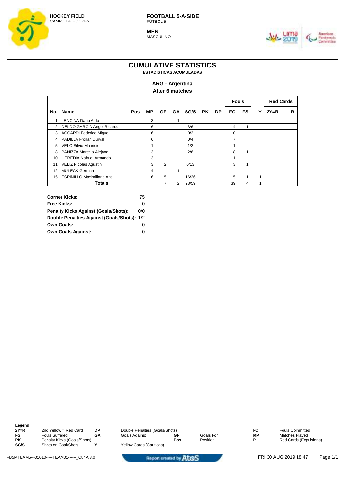

**MEN** MASCULINO



## **CUMULATIVE STATISTICS**

**ESTADÍSTICAS ACUMULADAS**

### **ARG - Argentina**

**After 6 matches**

|                |                                   |     |           |                |    |       |           |    | <b>Fouls</b>   |                  |   | <b>Red Cards</b> |   |
|----------------|-----------------------------------|-----|-----------|----------------|----|-------|-----------|----|----------------|------------------|---|------------------|---|
| No.            | <b>Name</b>                       | Pos | <b>MP</b> | GF             | GΑ | SG/S  | <b>PK</b> | DP | FC             | <b>FS</b>        | ν | $2Y=R$           | R |
| 1              | LENCINA Dario Aldo                |     | 3         |                |    |       |           |    |                |                  |   |                  |   |
| $\overline{2}$ | <b>DELDO GARCIA Angel Ricardo</b> |     | 6         |                |    | 3/6   |           |    | 4              | $\overline{A}$   |   |                  |   |
| 3              | <b>ACCARDI Federico Miquel</b>    |     | 6         |                |    | 0/2   |           |    | 10             |                  |   |                  |   |
| 4              | <b>PADILLA Froilan Durval</b>     |     | 6         |                |    | 0/4   |           |    | $\overline{ }$ |                  |   |                  |   |
| 5              | <b>VELO Silvio Mauricio</b>       |     | 1         |                |    | 1/2   |           |    |                |                  |   |                  |   |
| 8              | PANIZZA Marcelo Alejand           |     | 3         |                |    | 2/6   |           |    | 8              | 4                |   |                  |   |
| 10             | <b>HEREDIA Nahuel Armando</b>     |     | 3         |                |    |       |           |    |                |                  |   |                  |   |
| 11             | <b>VELIZ Nicolas Agustin</b>      |     | 3         | $\overline{2}$ |    | 6/13  |           |    | 3              | $\boldsymbol{A}$ |   |                  |   |
| 12             | MÜLECK German                     |     | 4         |                | ۸  |       |           |    |                |                  |   |                  |   |
| 15             | <b>ESPINILLO Maximiliano Ant</b>  |     | 6         | 5              |    | 16/26 |           |    | 5              |                  |   |                  |   |
|                | Totals                            |     |           | 7              | 2  | 28/59 |           |    | 39             | 4                |   |                  |   |

| <b>Corner Kicks:</b>                        | 75  |
|---------------------------------------------|-----|
| Free Kicks:                                 | O   |
| <b>Penalty Kicks Against (Goals/Shots):</b> | 0/0 |
| Double Penalties Against (Goals/Shots): 1/2 |     |
| <b>Own Goals:</b>                           | 0   |
| <b>Own Goals Against:</b>                   | Ω   |

| Legend:     |                             |    |                                |     |           |    |                        |
|-------------|-----------------------------|----|--------------------------------|-----|-----------|----|------------------------|
| $2Y=R$      | 2nd Yellow = Red Card       | DP | Double Penalties (Goals/Shots) |     |           | FC | <b>Fouls Committed</b> |
| FS          | <b>Fouls Suffered</b>       | GΑ | Goals Against                  | GF  | Goals For | МP | Matches Played         |
| <b>PK</b>   | Penalty Kicks (Goals/Shots) |    |                                | Pos | Position  | R  | Red Cards (Expulsions) |
| <b>SG/S</b> | Shots on Goal/Shots         |    | <b>Yellow Cards (Cautions)</b> |     |           |    |                        |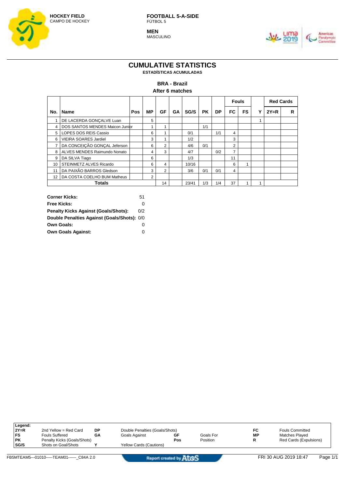

**MEN** MASCULINO



## **CUMULATIVE STATISTICS**

**ESTADÍSTICAS ACUMULADAS**

#### **BRA - Brazil**

**After 6 matches**

|                |                                 |     |           |                |    |       |           |     | <b>Fouls</b>   |           |   | <b>Red Cards</b> |   |
|----------------|---------------------------------|-----|-----------|----------------|----|-------|-----------|-----|----------------|-----------|---|------------------|---|
| No.            | <b>Name</b>                     | Pos | <b>MP</b> | GF             | GА | SG/S  | <b>PK</b> | DP  | FC             | <b>FS</b> | ν | $2Y=R$           | R |
|                | DE LACERDA GONÇALVE Luan        |     | 5         |                |    |       |           |     |                |           | 1 |                  |   |
| 4              | DOS SANTOS MENDES Maicon Junior |     |           |                |    |       | 1/1       |     |                |           |   |                  |   |
| 5 <sup>1</sup> | LOPES DOS REIS Cassio           |     | 6         |                |    | 0/1   |           | 1/1 | 4              |           |   |                  |   |
| 6              | <b>VIEIRA SOARES Jardiel</b>    |     | 3         |                |    | 1/2   |           |     | 3              |           |   |                  |   |
|                | DA CONCEIÇÃO GONÇAL Jeferson    |     | 6         | $\overline{2}$ |    | 4/6   | 0/1       |     | $\overline{2}$ |           |   |                  |   |
| 8              | ALVES MENDES Raimundo Nonato    |     | 4         | 3              |    | 4/7   |           | 0/2 | ⇁              |           |   |                  |   |
| 9              | DA SILVA Tiago                  |     | 6         |                |    | 1/3   |           |     | 11             |           |   |                  |   |
| 10             | <b>STEINMETZ ALVES Ricardo</b>  |     | 6         | 4              |    | 10/16 |           |     | 6              |           |   |                  |   |
| 11             | DA PAIXÃO BARROS Gledson        |     | 3         | $\overline{2}$ |    | 3/6   | 0/1       | 0/1 | 4              |           |   |                  |   |
| 12             | DA COSTA COELHO BUM Matheus     |     | 2         |                |    |       |           |     |                |           |   |                  |   |
|                | <b>Totals</b>                   |     |           | 14             |    | 23/41 | 1/3       | 1/4 | 37             |           |   |                  |   |

| <b>Corner Kicks:</b>                        | 51  |
|---------------------------------------------|-----|
| Free Kicks:                                 | Ω   |
| <b>Penalty Kicks Against (Goals/Shots):</b> | 0/2 |
| Double Penalties Against (Goals/Shots): 0/0 |     |
| <b>Own Goals:</b>                           | 0   |
| <b>Own Goals Against:</b>                   | Ω   |

| Legend:     |                             |    |                                |     |           |                        |                        |
|-------------|-----------------------------|----|--------------------------------|-----|-----------|------------------------|------------------------|
| $2Y=R$      | 2nd Yellow = Red Card       | DP | Double Penalties (Goals/Shots) |     | FC        | <b>Fouls Committed</b> |                        |
| FS          | Fouls Suffered              | GΑ | Goals Against                  | GF  | Goals For | МP                     | Matches Played         |
| PΚ          | Penalty Kicks (Goals/Shots) |    |                                | Pos | Position  | R                      | Red Cards (Expulsions) |
| <b>SG/S</b> | Shots on Goal/Shots         |    | <b>Yellow Cards (Cautions)</b> |     |           |                        |                        |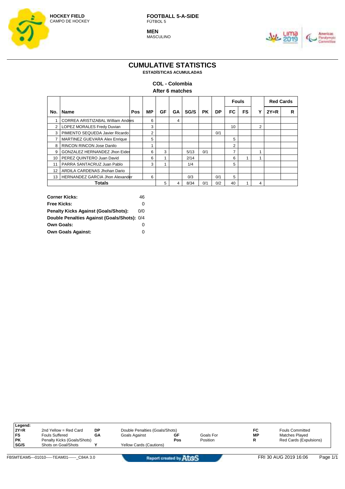

**MEN** MASCULINO



#### **CUMULATIVE STATISTICS ESTADÍSTICAS ACUMULADAS**

### **COL - Colombia**

|  |  | After 6 matches |
|--|--|-----------------|
|--|--|-----------------|

|                |                                          |     |                |    |    |      |           |     | <b>Fouls</b>    |           |                |        | <b>Red Cards</b> |  |
|----------------|------------------------------------------|-----|----------------|----|----|------|-----------|-----|-----------------|-----------|----------------|--------|------------------|--|
| No.            | <b>Name</b>                              | Pos | <b>MP</b>      | GF | GΑ | SG/S | <b>PK</b> | DP  | FC              | <b>FS</b> | v              | $2Y=R$ | R                |  |
|                | <b>CORREA ARISTIZABAL William Andres</b> |     | 6              |    | 4  |      |           |     |                 |           |                |        |                  |  |
| $\overline{2}$ | <b>LOPEZ MORALES Fredy Duvian</b>        |     | 3              |    |    |      |           |     | 10 <sup>1</sup> |           | $\overline{2}$ |        |                  |  |
| 3              | PIMIENTO SEQUEDA Javier Ricardo          |     | $\overline{2}$ |    |    |      |           | 0/1 |                 |           |                |        |                  |  |
|                | MARTINEZ GUEVARA Alex Enrique            |     | 5              |    |    |      |           |     | 5               |           |                |        |                  |  |
| 8              | <b>RINCON RINCON Jose Danilo</b>         |     | ۸              |    |    |      |           |     | 2               |           |                |        |                  |  |
| 9              | GONZALEZ HERNANDEZ Jhon Eider            |     | 6              | 3  |    | 5/13 | 0/1       |     | $\overline{ }$  |           |                |        |                  |  |
| 10             | PEREZ QUINTERO Juan David                |     | 6              |    |    | 2/14 |           |     | 6               | и         | 1              |        |                  |  |
| 11             | PARRA SANTACRUZ Juan Pablo               |     | 3              |    |    | 1/4  |           |     | 5               |           |                |        |                  |  |
| 12             | ARDILA CARDENAS Jhohan Dario             |     |                |    |    |      |           |     |                 |           |                |        |                  |  |
| 13             | HERNANDEZ GARCIA Jhon Alexander          |     | 6              |    |    | 0/3  |           | 0/1 | 5               |           |                |        |                  |  |
|                | Totals                                   |     |                | 5  | 4  | 8/34 | 0/1       | 0/2 | 40              |           | 4              |        |                  |  |

| <b>Corner Kicks:</b>                        | 46  |
|---------------------------------------------|-----|
| Free Kicks:                                 | 0   |
| <b>Penalty Kicks Against (Goals/Shots):</b> | 0/0 |
| Double Penalties Against (Goals/Shots): 0/4 |     |
| <b>Own Goals:</b>                           | 0   |
| <b>Own Goals Against:</b>                   | Ω   |

| 2nd Yellow = Red Card       | <b>DP</b> | Double Penalties (Goals/Shots) |     |           | FC        | <b>Fouls Committed</b> |  |
|-----------------------------|-----------|--------------------------------|-----|-----------|-----------|------------------------|--|
| <b>Fouls Suffered</b>       | GA        | Goals Against                  | GF  | Goals For | <b>MP</b> | Matches Played         |  |
| Penalty Kicks (Goals/Shots) |           |                                | Pos | Position  | R         | Red Cards (Expulsions) |  |
| Shots on Goal/Shots         |           | <b>Yellow Cards (Cautions)</b> |     |           |           |                        |  |
|                             |           |                                |     |           |           |                        |  |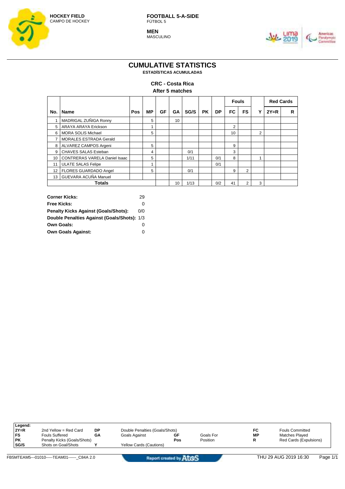

**MEN** MASCULINO



#### **CUMULATIVE STATISTICS ESTADÍSTICAS ACUMULADAS**

#### **CRC - Costa Rica After 5 matches**

|     |                                      |     |    |    |    |      |           |     | <b>Fouls</b> |           |                |        | <b>Red Cards</b> |  |
|-----|--------------------------------------|-----|----|----|----|------|-----------|-----|--------------|-----------|----------------|--------|------------------|--|
| No. | <b>Name</b>                          | Pos | МP | GF | GΑ | SG/S | <b>PK</b> | DP  | FC           | <b>FS</b> | v              | $2Y=R$ | R                |  |
|     | MADRIGAL ZUÑIGA Ronny                |     | 5  |    | 10 |      |           |     |              |           |                |        |                  |  |
| 5   | ARAYA ARAYA Erickson                 |     | и  |    |    |      |           |     | 2            |           |                |        |                  |  |
| 6   | <b>MORA SOLIS Michael</b>            |     | 5  |    |    |      |           |     | 10           |           | $\overline{2}$ |        |                  |  |
| 7   | <b>MORALES ESTRADA Gerald</b>        |     |    |    |    |      |           |     |              |           |                |        |                  |  |
| 8   | ALVAREZ CAMPOS Argeni                |     | 5  |    |    |      |           |     | 9            |           |                |        |                  |  |
| 9   | CHAVES SALAS Esteban                 |     | 4  |    |    | 0/1  |           |     | 3            |           |                |        |                  |  |
| 10  | <b>CONTRERAS VARELA Daniel Isaac</b> |     | 5  |    |    | 1/11 |           | 0/1 | 8            |           | 4              |        |                  |  |
| 11  | <b>ULATE SALAS Felipe</b>            |     | и  |    |    |      |           | 0/1 |              |           |                |        |                  |  |
| 12  | <b>FLORES GUARDADO Angel</b>         |     | 5  |    |    | 0/1  |           |     | 9            | 2         |                |        |                  |  |
|     | 13 GUEVARA ACUÑA Manuel              |     |    |    |    |      |           |     |              |           |                |        |                  |  |
|     | <b>Totals</b>                        |     |    |    | 10 | 1/13 |           | 0/2 | 41           | 2         | 3              |        |                  |  |

| <b>Corner Kicks:</b>                        | 29  |
|---------------------------------------------|-----|
| <b>Free Kicks:</b>                          | O   |
| <b>Penalty Kicks Against (Goals/Shots):</b> | 0/0 |
| Double Penalties Against (Goals/Shots): 1/3 |     |
| <b>Own Goals:</b>                           | 0   |
| <b>Own Goals Against:</b>                   | Ω   |

| Legend:   |                             |    |                                |     |           |    |                        |
|-----------|-----------------------------|----|--------------------------------|-----|-----------|----|------------------------|
| $2Y=R$    | 2nd Yellow = Red Card       | DP | Double Penalties (Goals/Shots) |     |           | FC | <b>Fouls Committed</b> |
| FS        | <b>Fouls Suffered</b>       | GΑ | Goals Against                  | GF  | Goals For | МP | <b>Matches Plaved</b>  |
| <b>PK</b> | Penalty Kicks (Goals/Shots) |    |                                | Pos | Position  | R  | Red Cards (Expulsions) |
| SG/S      | Shots on Goal/Shots         |    | <b>Yellow Cards (Cautions)</b> |     |           |    |                        |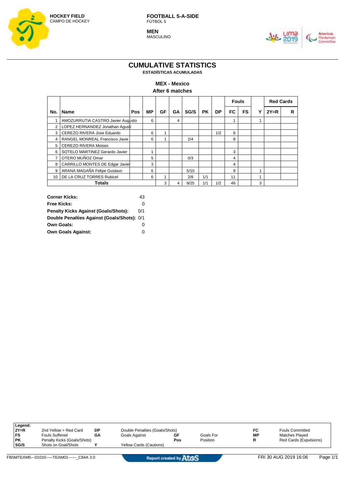

**MEN** MASCULINO



## **CUMULATIVE STATISTICS**

**ESTADÍSTICAS ACUMULADAS**

#### **MEX - Mexico**

**After 6 matches**

|                                          |                                   |     |    |     |    |      |     |     | <b>Fouls</b> |           |   |        | <b>Red Cards</b> |  |
|------------------------------------------|-----------------------------------|-----|----|-----|----|------|-----|-----|--------------|-----------|---|--------|------------------|--|
| No.                                      | <b>Name</b>                       | Pos | МP | GF  | GА | SG/S | PK. | DP. | FC           | <b>FS</b> |   | $2Y=R$ | R                |  |
|                                          | AMOZURRUTIA CASTRO Javier Augusto |     | 6  |     | 4  |      |     |     |              |           | 1 |        |                  |  |
| 2                                        | LOPEZ HERNANDEZ Jonathan Agustí   |     |    |     |    |      |     |     |              |           |   |        |                  |  |
| 3                                        | CEREZO RIVERA Jose Eduardo        |     | 6  |     |    |      |     | 1/2 | 6            |           |   |        |                  |  |
| RANGEL MONREAL Francisco Javie<br>6<br>4 |                                   |     |    | 2/4 |    |      | 8   |     |              |           |   |        |                  |  |
|                                          | 5 CEREZO RIVERA Moises            |     |    |     |    |      |     |     |              |           |   |        |                  |  |
| 6                                        | SOTELO MARTINEZ Gerardo Javier    |     |    |     |    |      |     |     | 3            |           |   |        |                  |  |
|                                          | OTERO MUÑOZ Omar                  |     | 5  |     |    | 0/3  |     |     | 4            |           |   |        |                  |  |
| 8                                        | CARRILLO MONTES DE Edgar Javier   |     | 3  |     |    |      |     |     | 4            |           |   |        |                  |  |
| 9                                        | ARANA MAGAÑA Felipe Gustavo       |     | 6  |     |    | 5/10 |     |     | 9            |           |   |        |                  |  |
| 10 <sup>1</sup>                          | DE LA CRUZ TORRES Rubicel         |     | 6  |     |    | 2/8  | 1/1 |     | 11           |           |   |        |                  |  |
|                                          | <b>Totals</b>                     |     |    | 3   |    | 9/25 | 1/1 | 1/2 | 46           |           | 3 |        |                  |  |

| <b>Corner Kicks:</b>                        | 43  |
|---------------------------------------------|-----|
| <b>Free Kicks:</b>                          | O   |
| <b>Penalty Kicks Against (Goals/Shots):</b> | 0/1 |
| Double Penalties Against (Goals/Shots): 0/1 |     |
| <b>Own Goals:</b>                           | 0   |
| <b>Own Goals Against:</b>                   | Ω   |

| Legend: |                             |    |                                |     |           |    |                        |
|---------|-----------------------------|----|--------------------------------|-----|-----------|----|------------------------|
| $2Y=R$  | 2nd Yellow = Red Card       | DP | Double Penalties (Goals/Shots) |     |           | FC | <b>Fouls Committed</b> |
| FS      | <b>Fouls Suffered</b>       | GΑ | Goals Against                  | GF  | Goals For | МP | <b>Matches Played</b>  |
| PΚ      | Penalty Kicks (Goals/Shots) |    |                                | Pos | Position  | R  | Red Cards (Expulsions) |
| SG/S    | Shots on Goal/Shots         |    | Yellow Cards (Cautions)        |     |           |    |                        |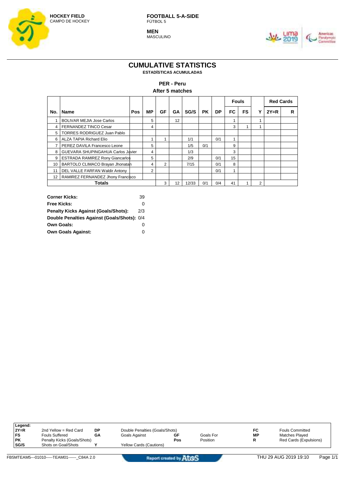

**MEN** MASCULINO



## **CUMULATIVE STATISTICS**

**ESTADÍSTICAS ACUMULADAS**

#### **PER - Peru**

**After 5 matches**

|     |                                        |     |                |    |    |       |           |     | <b>Fouls</b> |           |   |        | <b>Red Cards</b> |  |
|-----|----------------------------------------|-----|----------------|----|----|-------|-----------|-----|--------------|-----------|---|--------|------------------|--|
| No. | <b>Name</b>                            | Pos | <b>MP</b>      | GF | GA | SG/S  | <b>PK</b> | DP  | FC           | <b>FS</b> | v | $2Y=R$ | R                |  |
|     | <b>BOLIVAR MEJIA Jose Carlos</b>       |     | 5              |    | 12 |       |           |     |              |           | 4 |        |                  |  |
| 4   | <b>FERNANDEZ TINCO Cesar</b>           |     | 4              |    |    |       |           |     | 3            |           |   |        |                  |  |
| 5   | <b>TORRES RODRIGUEZ Juan Pablo</b>     |     |                |    |    |       |           |     |              |           |   |        |                  |  |
| 6   | <b>ALZA TAPIA Richard Elio</b>         |     |                |    |    | 1/1   |           | 0/1 |              |           |   |        |                  |  |
|     | PEREZ DAVILA Francesco Leone           |     | 5              |    |    | 1/5   | 0/1       |     | 9            |           |   |        |                  |  |
| 8   | GUEVARA SHUPINGAHUA Carlos Javier      |     | 4              |    |    | 1/3   |           |     | 3            |           |   |        |                  |  |
| 9   | <b>ESTRADA RAMIREZ Rony Giancarlos</b> |     | 5              |    |    | 2/9   |           | 0/1 | 15           |           |   |        |                  |  |
| 10  | BARTOLO CLIMACO Brayan Jhonatah        |     | 4              | 2  |    | 7/15  |           | 0/1 | 8            |           |   |        |                  |  |
| 11  | DEL VALLE FARFAN Waldir Antony         |     | $\overline{2}$ |    |    |       |           | 0/1 |              |           |   |        |                  |  |
| 12  | RAMIREZ FERNANDEZ Jhony Francisco      |     |                |    |    |       |           |     |              |           |   |        |                  |  |
|     | Totals                                 |     |                | 3  | 12 | 12/33 | 0/1       | 0/4 | 41           |           | 2 |        |                  |  |

| <b>Corner Kicks:</b>                        | 39  |
|---------------------------------------------|-----|
| <b>Free Kicks:</b>                          | Ω   |
| <b>Penalty Kicks Against (Goals/Shots):</b> | 2/3 |
| Double Penalties Against (Goals/Shots): 0/4 |     |
| <b>Own Goals:</b>                           | 0   |
| <b>Own Goals Against:</b>                   | Ω   |

| Legend:     |                             |    |                                |     |           |    |                        |
|-------------|-----------------------------|----|--------------------------------|-----|-----------|----|------------------------|
| $2Y=R$      | 2nd Yellow = Red Card       | DP | Double Penalties (Goals/Shots) |     |           | FC | <b>Fouls Committed</b> |
| FS          | <b>Fouls Suffered</b>       | GΑ | Goals Against                  | GF  | Goals For | МP | Matches Played         |
| <b>PK</b>   | Penalty Kicks (Goals/Shots) |    |                                | Pos | Position  | R  | Red Cards (Expulsions) |
| <b>SG/S</b> | Shots on Goal/Shots         |    | <b>Yellow Cards (Cautions)</b> |     |           |    |                        |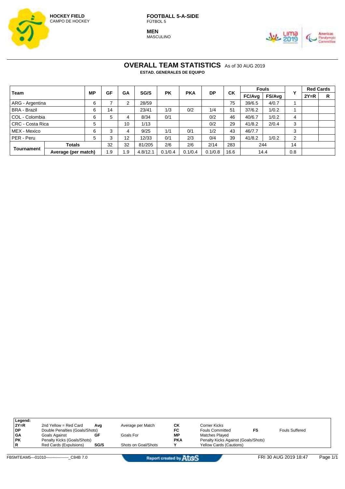

**MEN MASCULINO** 



#### **OVERALL TEAM STATISTICS** As of 30 AUG 2019 **ESTAD. GENERALES DE EQUIPO**

**Team MP GF GA SG/S PK PKA DP CK Fouls Y Red Cards FC/Avg FS/Avg 2Y=R R** ARG - Argentina 1 6 7 2 28/59 1 75 39/6.5 4/0.7 1 BRA - Brazil | 6 | 14 | | 23/41 | 1/3 | 0/2 | 1/4 | 51 | 37/6.2 | 1/0.2 | 1 COL - Colombia 6 5 4 8/34 0/1 0/2 46 40/6.7 1/0.2 4 CRC - Costa Rica 5 10 1/13 0/2 29 41/8.2 2/0.4 3 MEX - Mexico 6 3 4 9/25 1/1 0/1 1/2 43 46/7.7 PER - Peru | 5 | 3 | 12 | 12/33 | 0/1 | 2/3 | 0/4 | 39 | 41/8.2 | 1/0.2 | 2 **Tournament Totals** 32 32 81/205 2/6 2/6 2/14 283 244 14 **Average (per match)** 1.9 1.9 4.8/12.1 0.1/0.4 0.1/0.4 0.1/0.8 16.6 14.4 0.8

| Legend:<br>$2Y=R$ | 2nd Yellow = Red Card          | Ava  | Average per Match   | СK         | Corner Kicks                        |                |
|-------------------|--------------------------------|------|---------------------|------------|-------------------------------------|----------------|
| DP.               | Double Penalties (Goals/Shots) |      |                     | FC         | <b>Fouls Committed</b>              | Fouls Suffered |
| <b>GA</b>         | Goals Against                  | GF   | Goals For           | <b>MP</b>  | Matches Played                      |                |
| <b>PK</b>         | Penalty Kicks (Goals/Shots)    |      |                     | <b>PKA</b> | Penalty Kicks Against (Goals/Shots) |                |
|                   | Red Cards (Expulsions)         | SG/S | Shots on Goal/Shots |            | <b>Yellow Cards (Cautions)</b>      |                |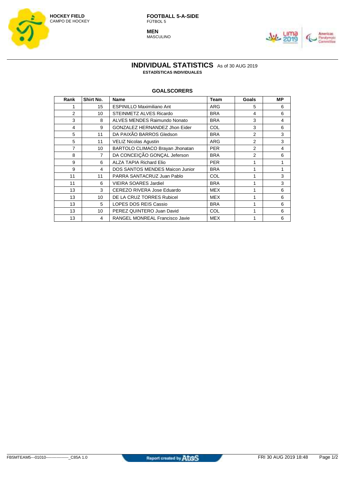

**MEN** MASCULINO



#### **INDIVIDUAL STATISTICS** As of 30 AUG 2019 **ESTADÍSTICAS INDIVIDUALES**

#### **GOALSCORERS**

| Rank           | Shirt No.      | <b>Name</b>                            | <b>Team</b> | Goals          | MР |
|----------------|----------------|----------------------------------------|-------------|----------------|----|
|                | 15             | <b>ESPINILLO Maximiliano Ant</b>       | ARG         | 5              | 6  |
| 2              | 10             | <b>STEINMETZ ALVES Ricardo</b>         | <b>BRA</b>  | 4              | 6  |
| 3              | 8              | ALVES MENDES Raimundo Nonato           | <b>BRA</b>  | 3              | 4  |
| 4              | 9              | GONZALEZ HERNANDEZ Jhon Eider          | <b>COL</b>  | 3              | 6  |
| 5              | 11             | DA PAIXÃO BARROS Gledson               | <b>BRA</b>  | $\mathcal{P}$  | 3  |
| 5              | 11             | <b>VELIZ Nicolas Agustin</b>           | <b>ARG</b>  | $\mathfrak{p}$ | 3  |
| $\overline{7}$ | 10             | BARTOLO CLIMACO Brayan Jhonatan        | <b>PER</b>  | $\mathfrak{p}$ | 4  |
| 8              | $\overline{7}$ | DA CONCEIÇÃO GONÇAL Jeferson           | <b>BRA</b>  | $\overline{2}$ | 6  |
| 9              | 6              | <b>ALZA TAPIA Richard Elio</b>         | <b>PER</b>  |                | 1  |
| 9              | 4              | <b>DOS SANTOS MENDES Maicon Junior</b> | <b>BRA</b>  |                | 1  |
| 11             | 11             | PARRA SANTACRUZ Juan Pablo             | <b>COL</b>  |                | 3  |
| 11             | 6              | <b>VIEIRA SOARES Jardiel</b>           | <b>BRA</b>  |                | 3  |
| 13             | 3              | CEREZO RIVERA Jose Eduardo             | <b>MEX</b>  |                | 6  |
| 13             | 10             | DE LA CRUZ TORRES Rubicel              | MEX         |                | 6  |
| 13             | 5              | <b>LOPES DOS REIS Cassio</b>           | <b>BRA</b>  |                | 6  |
| 13             | 10             | PEREZ QUINTERO Juan David              | <b>COL</b>  |                | 6  |
| 13             | 4              | RANGEL MONREAL Francisco Javie         | <b>MEX</b>  |                | 6  |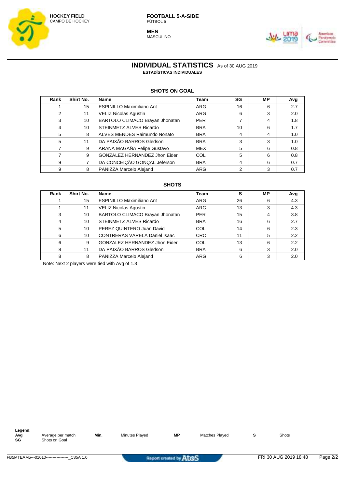

**MEN** MASCULINO



**INDIVIDUAL STATISTICS** As of 30 AUG 2019 **ESTADÍSTICAS INDIVIDUALES**

#### **SHOTS ON GOAL**

| Rank | Shirt No. | <b>Name</b>                      | <b>Team</b> | SG | МP | Avg |
|------|-----------|----------------------------------|-------------|----|----|-----|
|      | 15        | <b>ESPINILLO Maximiliano Ant</b> | ARG         | 16 | 6  | 2.7 |
| 2    | 11        | <b>VELIZ Nicolas Aqustin</b>     | ARG         | 6  | 3  | 2.0 |
| 3    | 10        | BARTOLO CLIMACO Brayan Jhonatan  | <b>PER</b>  |    | 4  | 1.8 |
| 4    | 10        | <b>STEINMETZ ALVES Ricardo</b>   | <b>BRA</b>  | 10 | 6  | 1.7 |
| 5    | 8         | ALVES MENDES Raimundo Nonato     | <b>BRA</b>  | 4  | 4  | 1.0 |
| 5    | 11        | DA PAIXÃO BARROS Gledson         | <b>BRA</b>  | 3  | 3  | 1.0 |
|      | 9         | ARANA MAGAÑA Felipe Gustavo      | <b>MEX</b>  | 5  | 6  | 0.8 |
|      | 9         | GONZALEZ HERNANDEZ Jhon Eider    | COL         | 5  | 6  | 0.8 |
| 9    |           | DA CONCEIÇÃO GONÇAL Jeferson     | <b>BRA</b>  | 4  | 6  | 0.7 |
| 9    | 8         | PANIZZA Marcelo Alejand          | <b>ARG</b>  | 2  | 3  | 0.7 |

#### **SHOTS**

| Rank | Shirt No. | Name                                 | Team       | s  | МP | Avg |
|------|-----------|--------------------------------------|------------|----|----|-----|
|      | 15        | <b>ESPINILLO Maximiliano Ant</b>     | ARG        | 26 | 6  | 4.3 |
|      |           | <b>VELIZ Nicolas Agustin</b>         | ARG        | 13 | 3  | 4.3 |
| 3    | 10        | BARTOLO CLIMACO Brayan Jhonatan      | <b>PER</b> | 15 | 4  | 3.8 |
| 4    | 10        | <b>STEINMETZ ALVES Ricardo</b>       | <b>BRA</b> | 16 | 6  | 2.7 |
| 5    | 10        | PEREZ QUINTERO Juan David            | COL        | 14 | 6  | 2.3 |
| 6    | 10        | <b>CONTRERAS VARELA Daniel Isaac</b> | <b>CRC</b> | 11 | 5  | 2.2 |
| 6    | 9         | GONZALEZ HERNANDEZ Jhon Eider        | COL        | 13 | 6  | 2.2 |
| 8    |           | DA PAIXÃO BARROS Gledson             | <b>BRA</b> | 6  | 3  | 2.0 |
| 8    | 8         | PANIZZA Marcelo Alejand              | ARG        | 6  | 3  | 2.0 |

Note: Next 2 players were tied with Avg of 1.8

| Leaend: |                           |      |                                  |           |                       |       |  |
|---------|---------------------------|------|----------------------------------|-----------|-----------------------|-------|--|
| Ava     | per match<br>Average<br>. | Min. | $\sim$ Alignes<br>Minutes Plaved | <b>MP</b> | <b>Matches Plaved</b> | Shots |  |
| ' SG    | Shots on Goal             |      |                                  |           |                       |       |  |